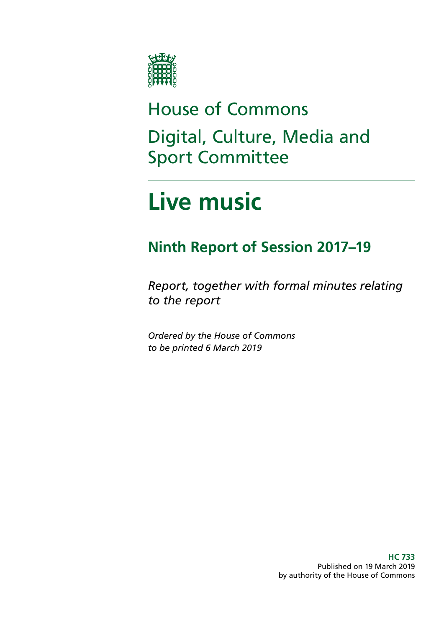

# House of Commons Digital, Culture, Media and Sport Committee

# **Live music**

## **Ninth Report of Session 2017–19**

*Report, together with formal minutes relating to the report*

*Ordered by the House of Commons to be printed 6 March 2019*

> **HC 733** Published on 19 March 2019 by authority of the House of Commons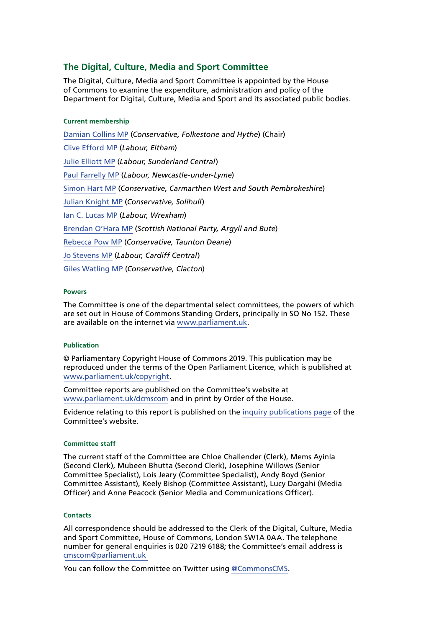#### **The Digital, Culture, Media and Sport Committee**

The Digital, Culture, Media and Sport Committee is appointed by the House of Commons to examine the expenditure, administration and policy of the Department for Digital, Culture, Media and Sport and its associated public bodies.

#### **Current membership**

[Damian Collins MP](https://www.parliament.uk/biographies/commons/damian-collins/3986) (*Conservative, Folkestone and Hythe*) (Chair) [Clive Efford MP](https://www.parliament.uk/biographies/commons/clive-efford/165) (*Labour, Eltham*) [Julie Elliott MP](https://www.parliament.uk/biographies/commons/julie-elliott/4127) (*Labour, Sunderland Central*) [Paul Farrelly MP](https://www.parliament.uk/biographies/commons/paul-farrelly/1436) (*Labour, Newcastle-under-Lyme*) [Simon Hart MP](https://www.parliament.uk/biographies/commons/simon-hart/3944) (*Conservative, Carmarthen West and South Pembrokeshire*) [Julian Knight MP](https://www.parliament.uk/biographies/commons/julian-knight/4410) (*Conservative, Solihull*) [Ian C. Lucas MP](https://www.parliament.uk/biographies/commons/ian-c.-lucas/1470) (*Labour, Wrexham*) [Brendan O'Hara MP](https://www.parliament.uk/biographies/commons/brendan-o) (*Scottish National Party, Argyll and Bute*) [Rebecca Pow MP](https://www.parliament.uk/biographies/commons/rebecca-pow/4522) (*Conservative, Taunton Deane*) [Jo Stevens MP](https://www.parliament.uk/biographies/commons/jo-stevens/4425) (*Labour, Cardiff Central*) [Giles Watling MP](https://www.parliament.uk/biographies/commons/giles-watling/4677) (*Conservative, Clacton*)

#### **Powers**

The Committee is one of the departmental select committees, the powers of which are set out in House of Commons Standing Orders, principally in SO No 152. These are available on the internet via [www.parliament.uk.](https://www.parliament.uk/)

#### **Publication**

© Parliamentary Copyright House of Commons 2019. This publication may be reproduced under the terms of the Open Parliament Licence, which is published at [www.parliament.uk/copyright](https://www.parliament.uk/copyright).

Committee reports are published on the Committee's website at [www.parliament.uk/dcmscom](https://www.parliament.uk/business/committees/committees-a-z/commons-select/digital-culture-media-and-sport-committee/) and in print by Order of the House.

Evidence relating to this report is published on the [inquiry publications page](https://www.parliament.uk/business/committees/committees-a-z/commons-select/digital-culture-media-and-sport-committee/inquiries/parliament-2017/livemusic/publications/) of the Committee's website.

#### **Committee staff**

The current staff of the Committee are Chloe Challender (Clerk), Mems Ayinla (Second Clerk), Mubeen Bhutta (Second Clerk), Josephine Willows (Senior Committee Specialist), Lois Jeary (Committee Specialist), Andy Boyd (Senior Committee Assistant), Keely Bishop (Committee Assistant), Lucy Dargahi (Media Officer) and Anne Peacock (Senior Media and Communications Officer).

#### **Contacts**

All correspondence should be addressed to the Clerk of the Digital, Culture, Media and Sport Committee, House of Commons, London SW1A 0AA. The telephone number for general enquiries is 020 7219 6188; the Committee's email address is [cmscom@parliament.uk](mailto:cmscom%40parliament.uk?subject=)

You can follow the Committee on Twitter using [@CommonsCMS](https://twitter.com/CommonsCMS?ref_src=twsrc%5Egoogle%7Ctwcamp%5Eserp%7Ctwgr%5Eauthor).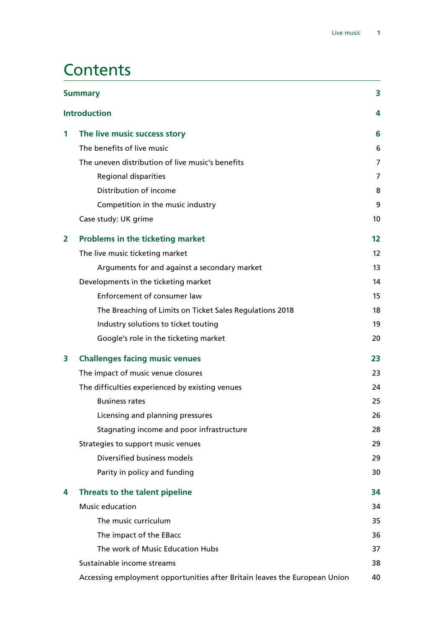### **Contents**

| <b>Summary</b>      |                                                                            | 3<br>4            |
|---------------------|----------------------------------------------------------------------------|-------------------|
| <b>Introduction</b> |                                                                            |                   |
| 1                   | The live music success story                                               | 6                 |
|                     | The benefits of live music                                                 | 6                 |
|                     | The uneven distribution of live music's benefits                           | 7                 |
|                     | Regional disparities                                                       | $\overline{7}$    |
|                     | Distribution of income                                                     | 8                 |
|                     | Competition in the music industry                                          | 9                 |
|                     | Case study: UK grime                                                       | 10                |
| $\overline{2}$      | <b>Problems in the ticketing market</b>                                    | $12 \,$           |
|                     | The live music ticketing market                                            | $12 \overline{ }$ |
|                     | Arguments for and against a secondary market                               | 13                |
|                     | Developments in the ticketing market                                       | 14                |
|                     | Enforcement of consumer law                                                | 15                |
|                     | The Breaching of Limits on Ticket Sales Regulations 2018                   | 18                |
|                     | Industry solutions to ticket touting                                       | 19                |
|                     | Google's role in the ticketing market                                      | 20                |
| 3                   | <b>Challenges facing music venues</b>                                      | 23                |
|                     | The impact of music venue closures                                         | 23                |
|                     | The difficulties experienced by existing venues                            | 24                |
|                     | <b>Business rates</b>                                                      | 25                |
|                     | Licensing and planning pressures                                           | 26                |
|                     | Stagnating income and poor infrastructure                                  | 28                |
|                     | Strategies to support music venues                                         | 29                |
|                     | Diversified business models                                                | 29                |
|                     | Parity in policy and funding                                               | 30                |
| 4                   | Threats to the talent pipeline                                             | 34                |
|                     | Music education                                                            | 34                |
|                     | The music curriculum                                                       | 35                |
|                     | The impact of the EBacc                                                    | 36                |
|                     | The work of Music Education Hubs                                           | 37                |
|                     | Sustainable income streams                                                 | 38                |
|                     | Accessing employment opportunities after Britain leaves the European Union | 40                |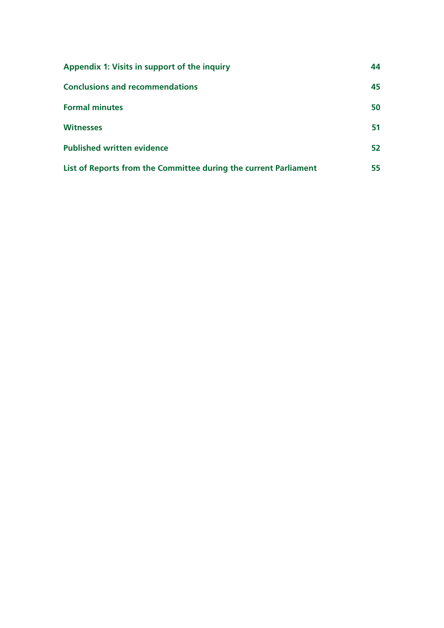| Appendix 1: Visits in support of the inquiry                     |    |
|------------------------------------------------------------------|----|
| <b>Conclusions and recommendations</b>                           | 45 |
| <b>Formal minutes</b>                                            | 50 |
| <b>Witnesses</b>                                                 | 51 |
| <b>Published written evidence</b>                                | 52 |
| List of Reports from the Committee during the current Parliament | 55 |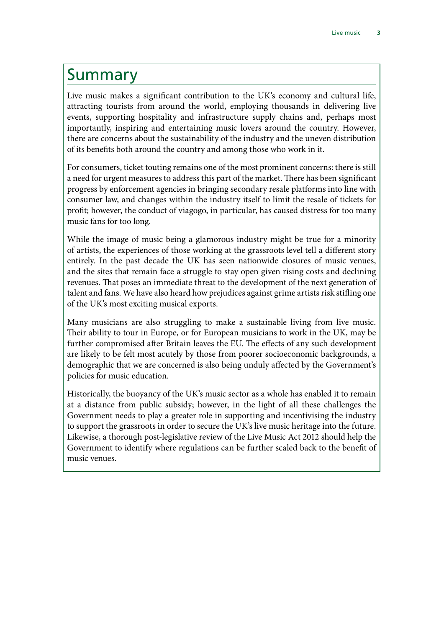### <span id="page-4-0"></span>Summary

Live music makes a significant contribution to the UK's economy and cultural life, attracting tourists from around the world, employing thousands in delivering live events, supporting hospitality and infrastructure supply chains and, perhaps most importantly, inspiring and entertaining music lovers around the country. However, there are concerns about the sustainability of the industry and the uneven distribution of its benefits both around the country and among those who work in it.

For consumers, ticket touting remains one of the most prominent concerns: there is still a need for urgent measures to address this part of the market. There has been significant progress by enforcement agencies in bringing secondary resale platforms into line with consumer law, and changes within the industry itself to limit the resale of tickets for profit; however, the conduct of viagogo, in particular, has caused distress for too many music fans for too long.

While the image of music being a glamorous industry might be true for a minority of artists, the experiences of those working at the grassroots level tell a different story entirely. In the past decade the UK has seen nationwide closures of music venues, and the sites that remain face a struggle to stay open given rising costs and declining revenues. That poses an immediate threat to the development of the next generation of talent and fans. We have also heard how prejudices against grime artists risk stifling one of the UK's most exciting musical exports.

Many musicians are also struggling to make a sustainable living from live music. Their ability to tour in Europe, or for European musicians to work in the UK, may be further compromised after Britain leaves the EU. The effects of any such development are likely to be felt most acutely by those from poorer socioeconomic backgrounds, a demographic that we are concerned is also being unduly affected by the Government's policies for music education.

Historically, the buoyancy of the UK's music sector as a whole has enabled it to remain at a distance from public subsidy; however, in the light of all these challenges the Government needs to play a greater role in supporting and incentivising the industry to support the grassroots in order to secure the UK's live music heritage into the future. Likewise, a thorough post-legislative review of the Live Music Act 2012 should help the Government to identify where regulations can be further scaled back to the benefit of music venues.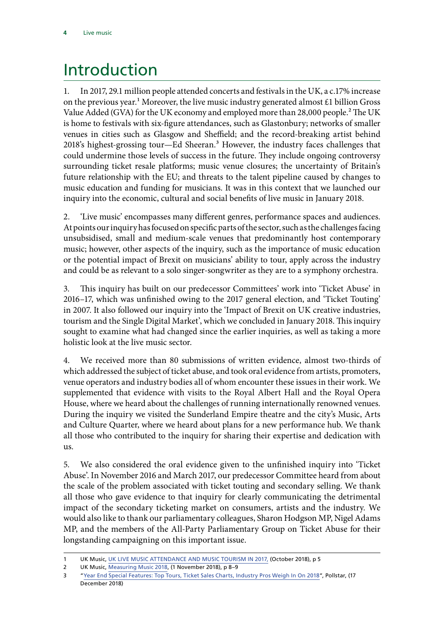## <span id="page-5-0"></span>Introduction

1. In 2017, 29.1 million people attended concerts and festivals in the UK, a c.17% increase on the previous year.<sup>1</sup> Moreover, the live music industry generated almost  $\mathcal{E}1$  billion Gross Value Added (GVA) for the UK economy and employed more than 28,000 people.<sup>2</sup> The UK is home to festivals with six-figure attendances, such as Glastonbury; networks of smaller venues in cities such as Glasgow and Sheffield; and the record-breaking artist behind 2018's highest-grossing tour—Ed Sheeran.3 However, the industry faces challenges that could undermine those levels of success in the future. They include ongoing controversy surrounding ticket resale platforms; music venue closures; the uncertainty of Britain's future relationship with the EU; and threats to the talent pipeline caused by changes to music education and funding for musicians. It was in this context that we launched our inquiry into the economic, cultural and social benefits of live music in January 2018.

2. 'Live music' encompasses many different genres, performance spaces and audiences. At points our inquiry has focused on specific parts of the sector, such as the challenges facing unsubsidised, small and medium-scale venues that predominantly host contemporary music; however, other aspects of the inquiry, such as the importance of music education or the potential impact of Brexit on musicians' ability to tour, apply across the industry and could be as relevant to a solo singer-songwriter as they are to a symphony orchestra.

3. This inquiry has built on our predecessor Committees' work into 'Ticket Abuse' in 2016–17, which was unfinished owing to the 2017 general election, and 'Ticket Touting' in 2007. It also followed our inquiry into the 'Impact of Brexit on UK creative industries, tourism and the Single Digital Market', which we concluded in January 2018. This inquiry sought to examine what had changed since the earlier inquiries, as well as taking a more holistic look at the live music sector.

4. We received more than 80 submissions of written evidence, almost two-thirds of which addressed the subject of ticket abuse, and took oral evidence from artists, promoters, venue operators and industry bodies all of whom encounter these issues in their work. We supplemented that evidence with visits to the Royal Albert Hall and the Royal Opera House, where we heard about the challenges of running internationally renowned venues. During the inquiry we visited the Sunderland Empire theatre and the city's Music, Arts and Culture Quarter, where we heard about plans for a new performance hub. We thank all those who contributed to the inquiry for sharing their expertise and dedication with us.

5. We also considered the oral evidence given to the unfinished inquiry into 'Ticket Abuse'. In November 2016 and March 2017, our predecessor Committee heard from about the scale of the problem associated with ticket touting and secondary selling. We thank all those who gave evidence to that inquiry for clearly communicating the detrimental impact of the secondary ticketing market on consumers, artists and the industry. We would also like to thank our parliamentary colleagues, Sharon Hodgson MP, Nigel Adams MP, and the members of the All-Party Parliamentary Group on Ticket Abuse for their longstanding campaigning on this important issue.

<sup>1</sup> UK Music, [UK LIVE MUSIC ATTENDANCE AND MUSIC TOURISM IN 2017,](https://www.ukmusic.org/assets/general/Live_Music.pdf) (October 2018), p 5

<sup>2</sup> UK Music, [Measuring Music 2018,](https://www.ukmusic.org/assets/general/UK_Music_Measuring_Music_2018.pdf) (1 November 2018), p 8–9

<sup>3</sup> "[Year End Special Features: Top Tours, Ticket Sales Charts, Industry Pros Weigh In On 2018"](https://www.pollstar.com/article/year-end-special-features-top-tours-ticket-sales-charts-industry-pros-weigh-in-on-2018-136923), Pollstar, (17 December 2018)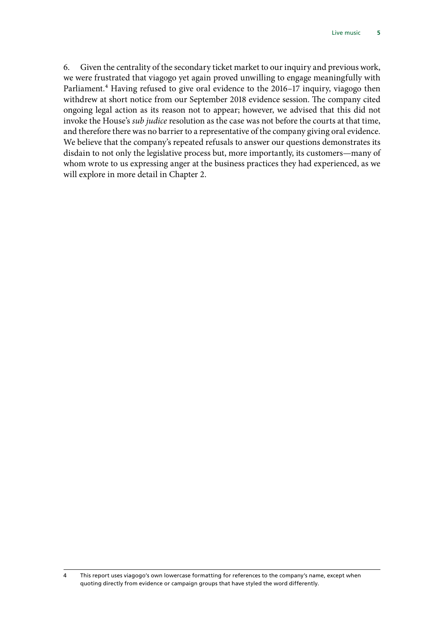6. Given the centrality of the secondary ticket market to our inquiry and previous work, we were frustrated that viagogo yet again proved unwilling to engage meaningfully with Parliament.<sup>4</sup> Having refused to give oral evidence to the 2016–17 inquiry, viagogo then withdrew at short notice from our September 2018 evidence session. The company cited ongoing legal action as its reason not to appear; however, we advised that this did not invoke the House's *sub judice* resolution as the case was not before the courts at that time, and therefore there was no barrier to a representative of the company giving oral evidence. We believe that the company's repeated refusals to answer our questions demonstrates its disdain to not only the legislative process but, more importantly, its customers—many of whom wrote to us expressing anger at the business practices they had experienced, as we will explore in more detail in Chapter 2.

<sup>4</sup> This report uses viagogo's own lowercase formatting for references to the company's name, except when quoting directly from evidence or campaign groups that have styled the word differently.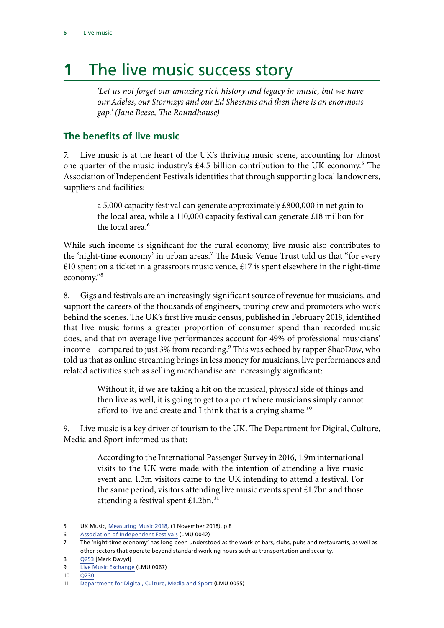## <span id="page-7-0"></span>**1** The live music success story

*'Let us not forget our amazing rich history and legacy in music, but we have our Adeles, our Stormzys and our Ed Sheerans and then there is an enormous gap.' (Jane Beese, The Roundhouse)*

#### **The benefits of live music**

7. Live music is at the heart of the UK's thriving music scene, accounting for almost one quarter of the music industry's  $\text{\pounds}4.5$  billion contribution to the UK economy.<sup>5</sup> The Association of Independent Festivals identifies that through supporting local landowners, suppliers and facilities:

> a 5,000 capacity festival can generate approximately £800,000 in net gain to the local area, while a 110,000 capacity festival can generate £18 million for the local area.<sup>6</sup>

While such income is significant for the rural economy, live music also contributes to the 'night-time economy' in urban areas.<sup>7</sup> The Music Venue Trust told us that "for every  $£10$  spent on a ticket in a grassroots music venue,  $£17$  is spent elsewhere in the night-time economy."8

8. Gigs and festivals are an increasingly significant source of revenue for musicians, and support the careers of the thousands of engineers, touring crew and promoters who work behind the scenes. The UK's first live music census, published in February 2018, identified that live music forms a greater proportion of consumer spend than recorded music does, and that on average live performances account for 49% of professional musicians' income—compared to just 3% from recording.<sup>9</sup> This was echoed by rapper ShaoDow, who told us that as online streaming brings in less money for musicians, live performances and related activities such as selling merchandise are increasingly significant:

> Without it, if we are taking a hit on the musical, physical side of things and then live as well, it is going to get to a point where musicians simply cannot afford to live and create and I think that is a crying shame.<sup>10</sup>

9. Live music is a key driver of tourism to the UK. The Department for Digital, Culture, Media and Sport informed us that:

> According to the International Passenger Survey in 2016, 1.9m international visits to the UK were made with the intention of attending a live music event and 1.3m visitors came to the UK intending to attend a festival. For the same period, visitors attending live music events spent £1.7bn and those attending a festival spent £1.2bn.<sup>11</sup>

<sup>5</sup> UK Music, [Measuring Music 2018,](https://www.ukmusic.org/assets/general/UK_Music_Measuring_Music_2018.pdf) (1 November 2018), p 8

<sup>6</sup> [Association of Independent Festivals](http://data.parliament.uk/writtenevidence/committeeevidence.svc/evidencedocument/digital-culture-media-and-sport-committee/live-music/written/79303.pdf) (LMU 0042)

<sup>7</sup> The 'night-time economy' has long been understood as the work of bars, clubs, pubs and restaurants, as well as other sectors that operate beyond standard working hours such as transportation and security.

<sup>8</sup> [Q253](http://data.parliament.uk/writtenevidence/committeeevidence.svc/evidencedocument/digital-culture-media-and-sport-committee/live-music/oral/91709.pdf) [Mark Davyd]

<sup>9</sup> [Live Music Exchange](http://data.parliament.uk/writtenevidence/committeeevidence.svc/evidencedocument/digital-culture-media-and-sport-committee/live-music/written/80926.pdf) (LMU 0067)

<sup>10</sup> [Q230](http://data.parliament.uk/writtenevidence/committeeevidence.svc/evidencedocument/digital-culture-media-and-sport-committee/live-music/oral/91709.pdf)

<sup>11</sup> [Department for Digital, Culture, Media and Sport](http://data.parliament.uk/writtenevidence/committeeevidence.svc/evidencedocument/digital-culture-media-and-sport-committee/live-music/written/79962.pdf) (LMU 0055)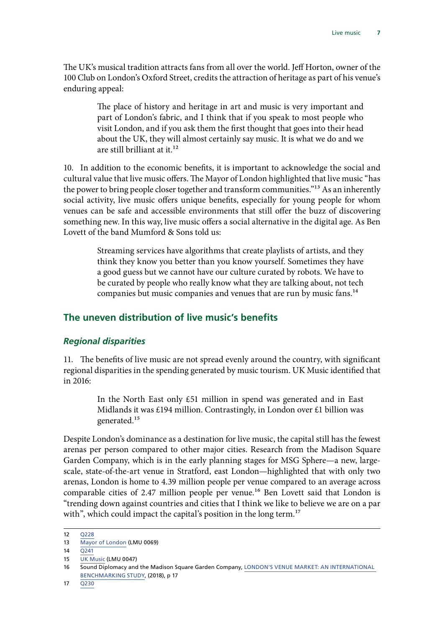<span id="page-8-0"></span>The UK's musical tradition attracts fans from all over the world. Jeff Horton, owner of the 100 Club on London's Oxford Street, credits the attraction of heritage as part of his venue's enduring appeal:

> The place of history and heritage in art and music is very important and part of London's fabric, and I think that if you speak to most people who visit London, and if you ask them the first thought that goes into their head about the UK, they will almost certainly say music. It is what we do and we are still brilliant at it.<sup>12</sup>

10. In addition to the economic benefits, it is important to acknowledge the social and cultural value that live music offers. The Mayor of London highlighted that live music "has the power to bring people closer together and transform communities.<sup>"13</sup> As an inherently social activity, live music offers unique benefits, especially for young people for whom venues can be safe and accessible environments that still offer the buzz of discovering something new. In this way, live music offers a social alternative in the digital age. As Ben Lovett of the band Mumford & Sons told us:

> Streaming services have algorithms that create playlists of artists, and they think they know you better than you know yourself. Sometimes they have a good guess but we cannot have our culture curated by robots. We have to be curated by people who really know what they are talking about, not tech companies but music companies and venues that are run by music fans.14

#### **The uneven distribution of live music's benefits**

#### *Regional disparities*

11. The benefits of live music are not spread evenly around the country, with significant regional disparities in the spending generated by music tourism. UK Music identified that in 2016:

> In the North East only £51 million in spend was generated and in East Midlands it was £194 million. Contrastingly, in London over £1 billion was generated.15

Despite London's dominance as a destination for live music, the capital still has the fewest arenas per person compared to other major cities. Research from the Madison Square Garden Company, which is in the early planning stages for MSG Sphere—a new, largescale, state-of-the-art venue in Stratford, east London—highlighted that with only two arenas, London is home to 4.39 million people per venue compared to an average across comparable cities of 2.47 million people per venue.<sup>16</sup> Ben Lovett said that London is "trending down against countries and cities that I think we like to believe we are on a par with", which could impact the capital's position in the long term.<sup>17</sup>

<sup>12</sup> [Q228](http://data.parliament.uk/writtenevidence/committeeevidence.svc/evidencedocument/digital-culture-media-and-sport-committee/live-music/oral/91709.pdf)

<sup>13</sup> [Mayor of London](http://data.parliament.uk/writtenevidence/committeeevidence.svc/evidencedocument/digital-culture-media-and-sport-committee/live-music/written/80944.pdf) (LMU 0069)

<sup>14</sup> [Q241](http://data.parliament.uk/writtenevidence/committeeevidence.svc/evidencedocument/digital-culture-media-and-sport-committee/live-music/oral/91709.pdf)

<sup>15</sup> [UK Music](http://data.parliament.uk/writtenevidence/committeeevidence.svc/evidencedocument/digital-culture-media-and-sport-committee/live-music/written/79332.pdf) (LMU 0047)

<sup>16</sup> Sound Diplomacy and the Madison Square Garden Company, [LONDON'S VENUE MARKET: AN INTERNATIONAL](https://london.msg.com/wp-content/uploads/2018/02/London-Venue-Market-Study.pdf)  [BENCHMARKING STUDY](https://london.msg.com/wp-content/uploads/2018/02/London-Venue-Market-Study.pdf), (2018), p 17

<sup>17</sup> [Q230](http://data.parliament.uk/writtenevidence/committeeevidence.svc/evidencedocument/digital-culture-media-and-sport-committee/live-music/oral/91709.pdf)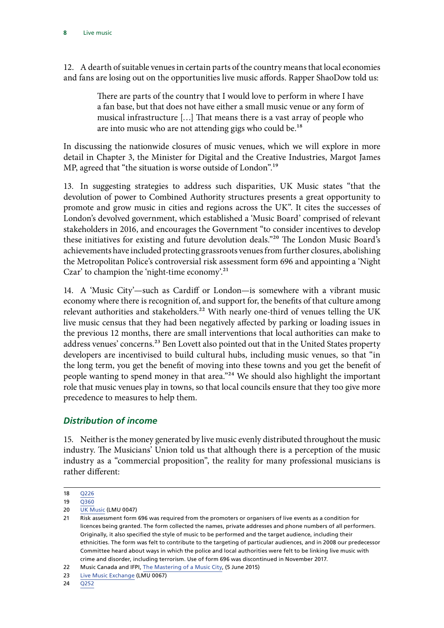<span id="page-9-0"></span>12. A dearth of suitable venues in certain parts of the country means that local economies and fans are losing out on the opportunities live music affords. Rapper ShaoDow told us:

> There are parts of the country that I would love to perform in where I have a fan base, but that does not have either a small music venue or any form of musical infrastructure […] That means there is a vast array of people who are into music who are not attending gigs who could be.<sup>18</sup>

In discussing the nationwide closures of music venues, which we will explore in more detail in Chapter 3, the Minister for Digital and the Creative Industries, Margot James MP, agreed that "the situation is worse outside of London".<sup>19</sup>

13. In suggesting strategies to address such disparities, UK Music states "that the devolution of power to Combined Authority structures presents a great opportunity to promote and grow music in cities and regions across the UK". It cites the successes of London's devolved government, which established a 'Music Board' comprised of relevant stakeholders in 2016, and encourages the Government "to consider incentives to develop these initiatives for existing and future devolution deals."20 The London Music Board's achievements have included protecting grassroots venues from further closures, abolishing the Metropolitan Police's controversial risk assessment form 696 and appointing a 'Night Czar' to champion the 'night-time economy'.<sup>21</sup>

14. A 'Music City'—such as Cardiff or London—is somewhere with a vibrant music economy where there is recognition of, and support for, the benefits of that culture among relevant authorities and stakeholders.<sup>22</sup> With nearly one-third of venues telling the UK live music census that they had been negatively affected by parking or loading issues in the previous 12 months, there are small interventions that local authorities can make to address venues' concerns.<sup>23</sup> Ben Lovett also pointed out that in the United States property developers are incentivised to build cultural hubs, including music venues, so that "in the long term, you get the benefit of moving into these towns and you get the benefit of people wanting to spend money in that area."24 We should also highlight the important role that music venues play in towns, so that local councils ensure that they too give more precedence to measures to help them.

#### *Distribution of income*

15. Neither is the money generated by live music evenly distributed throughout the music industry. The Musicians' Union told us that although there is a perception of the music industry as a "commercial proposition", the reality for many professional musicians is rather different:

24 [Q252](http://data.parliament.uk/writtenevidence/committeeevidence.svc/evidencedocument/digital-culture-media-and-sport-committee/live-music/oral/91709.pdf)

<sup>18</sup> [Q226](http://data.parliament.uk/writtenevidence/committeeevidence.svc/evidencedocument/digital-culture-media-and-sport-committee/live-music/oral/91709.pdf)

<sup>19</sup> [Q360](http://data.parliament.uk/writtenevidence/committeeevidence.svc/evidencedocument/digital-culture-media-and-sport-committee/live-music/oral/93357.pdf)

<sup>20</sup> [UK Music](http://data.parliament.uk/writtenevidence/committeeevidence.svc/evidencedocument/digital-culture-media-and-sport-committee/live-music/written/79332.pdf) (LMU 0047)

<sup>21</sup> Risk assessment form 696 was required from the promoters or organisers of live events as a condition for licences being granted. The form collected the names, private addresses and phone numbers of all performers. Originally, it also specified the style of music to be performed and the target audience, including their ethnicities. The form was felt to contribute to the targeting of particular audiences, and in 2008 our predecessor Committee heard about ways in which the police and local authorities were felt to be linking live music with crime and disorder, including terrorism. Use of form 696 was discontinued in November 2017.

<sup>22</sup> Music Canada and IFPI, [The Mastering of a Music City,](https://www.ifpi.org/downloads/The-Mastering-of-a-Music-City.pdf) (5 June 2015)

<sup>23</sup> [Live Music Exchange](http://data.parliament.uk/writtenevidence/committeeevidence.svc/evidencedocument/digital-culture-media-and-sport-committee/live-music/written/80926.pdf) (LMU 0067)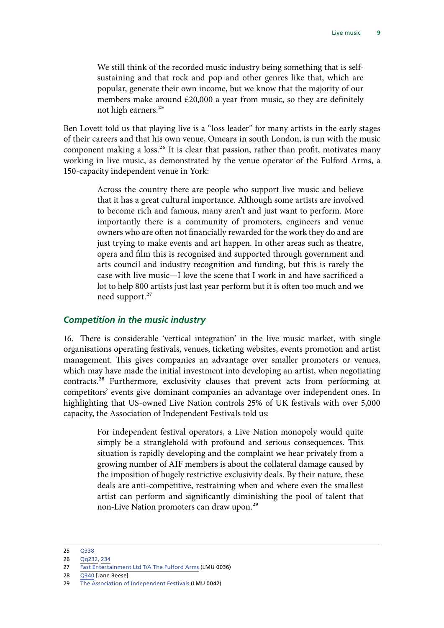<span id="page-10-0"></span>We still think of the recorded music industry being something that is selfsustaining and that rock and pop and other genres like that, which are popular, generate their own income, but we know that the majority of our members make around £20,000 a year from music, so they are definitely not high earners.<sup>25</sup>

Ben Lovett told us that playing live is a "loss leader" for many artists in the early stages of their careers and that his own venue, Omeara in south London, is run with the music component making a loss.<sup>26</sup> It is clear that passion, rather than profit, motivates many working in live music, as demonstrated by the venue operator of the Fulford Arms, a 150-capacity independent venue in York:

> Across the country there are people who support live music and believe that it has a great cultural importance. Although some artists are involved to become rich and famous, many aren't and just want to perform. More importantly there is a community of promoters, engineers and venue owners who are often not financially rewarded for the work they do and are just trying to make events and art happen. In other areas such as theatre, opera and film this is recognised and supported through government and arts council and industry recognition and funding, but this is rarely the case with live music—I love the scene that I work in and have sacrificed a lot to help 800 artists just last year perform but it is often too much and we need support.<sup>27</sup>

#### *Competition in the music industry*

16. There is considerable 'vertical integration' in the live music market, with single organisations operating festivals, venues, ticketing websites, events promotion and artist management. This gives companies an advantage over smaller promoters or venues, which may have made the initial investment into developing an artist, when negotiating contracts.28 Furthermore, exclusivity clauses that prevent acts from performing at competitors' events give dominant companies an advantage over independent ones. In highlighting that US-owned Live Nation controls 25% of UK festivals with over 5,000 capacity, the Association of Independent Festivals told us:

> For independent festival operators, a Live Nation monopoly would quite simply be a stranglehold with profound and serious consequences. This situation is rapidly developing and the complaint we hear privately from a growing number of AIF members is about the collateral damage caused by the imposition of hugely restrictive exclusivity deals. By their nature, these deals are anti-competitive, restraining when and where even the smallest artist can perform and significantly diminishing the pool of talent that non-Live Nation promoters can draw upon.<sup>29</sup>

<sup>25</sup> [Q338](http://data.parliament.uk/writtenevidence/committeeevidence.svc/evidencedocument/digital-culture-media-and-sport-committee/live-music/oral/92172.pdf)

<sup>26</sup> [Qq232](http://data.parliament.uk/writtenevidence/committeeevidence.svc/evidencedocument/digital-culture-media-and-sport-committee/live-music/oral/91709.pdf), [234](http://data.parliament.uk/writtenevidence/committeeevidence.svc/evidencedocument/digital-culture-media-and-sport-committee/live-music/oral/91709.pdf)

<sup>27</sup> [Fast Entertainment Ltd T/A The Fulford Arms](http://data.parliament.uk/writtenevidence/committeeevidence.svc/evidencedocument/digital-culture-media-and-sport-committee/live-music/written/79252.pdf) (LMU 0036)

<sup>28</sup> O340 [Jane Beese]

<sup>29</sup> [The Association of Independent Festivals](http://data.parliament.uk/writtenevidence/committeeevidence.svc/evidencedocument/digital-culture-media-and-sport-committee/live-music/written/79303.pdf) (LMU 0042)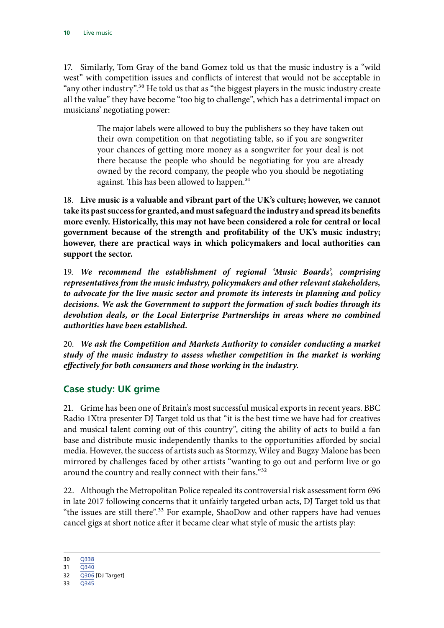<span id="page-11-0"></span>17. Similarly, Tom Gray of the band Gomez told us that the music industry is a "wild west" with competition issues and conflicts of interest that would not be acceptable in "any other industry".<sup>30</sup> He told us that as "the biggest players in the music industry create all the value" they have become "too big to challenge", which has a detrimental impact on musicians' negotiating power:

> The major labels were allowed to buy the publishers so they have taken out their own competition on that negotiating table, so if you are songwriter your chances of getting more money as a songwriter for your deal is not there because the people who should be negotiating for you are already owned by the record company, the people who you should be negotiating against. This has been allowed to happen.<sup>31</sup>

18. **Live music is a valuable and vibrant part of the UK's culture; however, we cannot take its past success for granted, and must safeguard the industry and spread its benefits more evenly. Historically, this may not have been considered a role for central or local government because of the strength and profitability of the UK's music industry; however, there are practical ways in which policymakers and local authorities can support the sector.**

19. *We recommend the establishment of regional 'Music Boards', comprising representatives from the music industry, policymakers and other relevant stakeholders, to advocate for the live music sector and promote its interests in planning and policy decisions. We ask the Government to support the formation of such bodies through its devolution deals, or the Local Enterprise Partnerships in areas where no combined authorities have been established.*

20. *We ask the Competition and Markets Authority to consider conducting a market study of the music industry to assess whether competition in the market is working effectively for both consumers and those working in the industry.*

#### **Case study: UK grime**

21. Grime has been one of Britain's most successful musical exports in recent years. BBC Radio 1Xtra presenter DJ Target told us that "it is the best time we have had for creatives and musical talent coming out of this country", citing the ability of acts to build a fan base and distribute music independently thanks to the opportunities afforded by social media. However, the success of artists such as Stormzy, Wiley and Bugzy Malone has been mirrored by challenges faced by other artists "wanting to go out and perform live or go around the country and really connect with their fans."<sup>32</sup>

22. Although the Metropolitan Police repealed its controversial risk assessment form 696 in late 2017 following concerns that it unfairly targeted urban acts, DJ Target told us that "the issues are still there".<sup>33</sup> For example, ShaoDow and other rappers have had venues cancel gigs at short notice after it became clear what style of music the artists play:

30 [Q338](http://data.parliament.uk/writtenevidence/committeeevidence.svc/evidencedocument/digital-culture-media-and-sport-committee/live-music/oral/92172.pdf)

33 [Q345](http://data.parliament.uk/writtenevidence/committeeevidence.svc/evidencedocument/digital-culture-media-and-sport-committee/live-music/oral/92172.pdf)

<sup>31</sup> [Q340](http://data.parliament.uk/writtenevidence/committeeevidence.svc/evidencedocument/digital-culture-media-and-sport-committee/live-music/oral/92172.pdf)

<sup>32</sup> [Q306](http://data.parliament.uk/writtenevidence/committeeevidence.svc/evidencedocument/digital-culture-media-and-sport-committee/live-music/oral/92172.pdf) [DJ Target]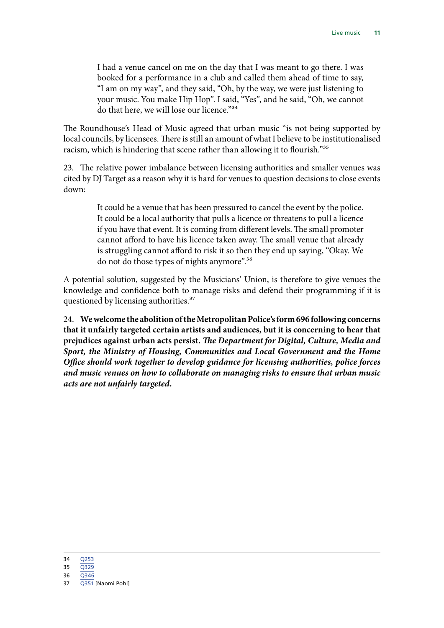I had a venue cancel on me on the day that I was meant to go there. I was booked for a performance in a club and called them ahead of time to say, "I am on my way", and they said, "Oh, by the way, we were just listening to your music. You make Hip Hop". I said, "Yes", and he said, "Oh, we cannot do that here, we will lose our licence."<sup>34</sup>

The Roundhouse's Head of Music agreed that urban music "is not being supported by local councils, by licensees. There is still an amount of what I believe to be institutionalised racism, which is hindering that scene rather than allowing it to flourish."<sup>35</sup>

23. The relative power imbalance between licensing authorities and smaller venues was cited by DJ Target as a reason why it is hard for venues to question decisions to close events down:

> It could be a venue that has been pressured to cancel the event by the police. It could be a local authority that pulls a licence or threatens to pull a licence if you have that event. It is coming from different levels. The small promoter cannot afford to have his licence taken away. The small venue that already is struggling cannot afford to risk it so then they end up saying, "Okay. We do not do those types of nights anymore".<sup>36</sup>

A potential solution, suggested by the Musicians' Union, is therefore to give venues the knowledge and confidence both to manage risks and defend their programming if it is questioned by licensing authorities.<sup>37</sup>

24. **We welcome the abolition of the Metropolitan Police's form 696 following concerns that it unfairly targeted certain artists and audiences, but it is concerning to hear that prejudices against urban acts persist.** *The Department for Digital, Culture, Media and Sport, the Ministry of Housing, Communities and Local Government and the Home Office should work together to develop guidance for licensing authorities, police forces and music venues on how to collaborate on managing risks to ensure that urban music acts are not unfairly targeted.*

34 [Q253](http://data.parliament.uk/writtenevidence/committeeevidence.svc/evidencedocument/digital-culture-media-and-sport-committee/live-music/oral/91709.pdf)

35 [Q329](http://data.parliament.uk/writtenevidence/committeeevidence.svc/evidencedocument/digital-culture-media-and-sport-committee/live-music/oral/92172.pdf)

36 [Q346](http://data.parliament.uk/writtenevidence/committeeevidence.svc/evidencedocument/digital-culture-media-and-sport-committee/live-music/oral/92172.pdf)

37 [Q351](http://data.parliament.uk/writtenevidence/committeeevidence.svc/evidencedocument/digital-culture-media-and-sport-committee/live-music/oral/92172.pdf) [Naomi Pohl]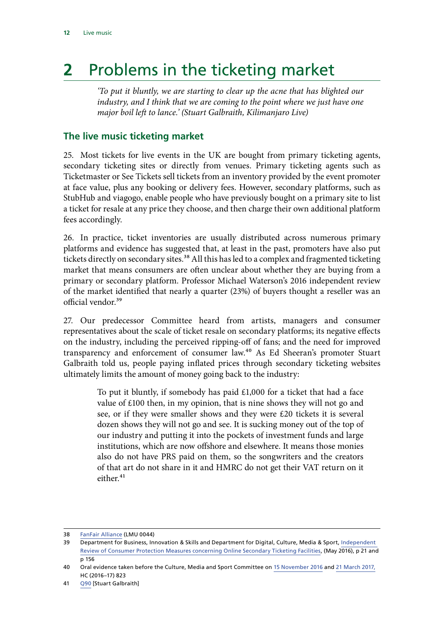## <span id="page-13-0"></span>**2** Problems in the ticketing market

*'To put it bluntly, we are starting to clear up the acne that has blighted our industry, and I think that we are coming to the point where we just have one major boil left to lance.' (Stuart Galbraith, Kilimanjaro Live)*

#### **The live music ticketing market**

25. Most tickets for live events in the UK are bought from primary ticketing agents, secondary ticketing sites or directly from venues. Primary ticketing agents such as Ticketmaster or See Tickets sell tickets from an inventory provided by the event promoter at face value, plus any booking or delivery fees. However, secondary platforms, such as StubHub and viagogo, enable people who have previously bought on a primary site to list a ticket for resale at any price they choose, and then charge their own additional platform fees accordingly.

26. In practice, ticket inventories are usually distributed across numerous primary platforms and evidence has suggested that, at least in the past, promoters have also put tickets directly on secondary sites.<sup>38</sup> All this has led to a complex and fragmented ticketing market that means consumers are often unclear about whether they are buying from a primary or secondary platform. Professor Michael Waterson's 2016 independent review of the market identified that nearly a quarter (23%) of buyers thought a reseller was an official vendor.39

27. Our predecessor Committee heard from artists, managers and consumer representatives about the scale of ticket resale on secondary platforms; its negative effects on the industry, including the perceived ripping-off of fans; and the need for improved transparency and enforcement of consumer law.<sup>40</sup> As Ed Sheeran's promoter Stuart Galbraith told us, people paying inflated prices through secondary ticketing websites ultimately limits the amount of money going back to the industry:

> To put it bluntly, if somebody has paid £1,000 for a ticket that had a face value of £100 then, in my opinion, that is nine shows they will not go and see, or if they were smaller shows and they were £20 tickets it is several dozen shows they will not go and see. It is sucking money out of the top of our industry and putting it into the pockets of investment funds and large institutions, which are now offshore and elsewhere. It means those monies also do not have PRS paid on them, so the songwriters and the creators of that art do not share in it and HMRC do not get their VAT return on it  $e$ ither. $41$

<sup>38</sup> [FanFair Alliance](http://data.parliament.uk/writtenevidence/committeeevidence.svc/evidencedocument/digital-culture-media-and-sport-committee/live-music/written/79310.pdf) (LMU 0044)

<sup>39</sup> Department for Business, Innovation & Skills and Department for Digital, Culture, Media & Sport, [Independent](https://assets.publishing.service.gov.uk/government/uploads/system/uploads/attachment_data/file/525885/ind-16-7-independent-review-online-secondary-ticketing-facilities.pdf)  [Review of Consumer Protection Measures concerning Online Secondary Ticketing Facilities](https://assets.publishing.service.gov.uk/government/uploads/system/uploads/attachment_data/file/525885/ind-16-7-independent-review-online-secondary-ticketing-facilities.pdf), (May 2016), p 21 and p 156

<sup>40</sup> Oral evidence taken before the Culture, Media and Sport Committee on [15 November 2016](http://data.parliament.uk/writtenevidence/committeeevidence.svc/evidencedocument/culture-media-and-sport-committee/ticket-abuse/oral/43414.pdf) and [21 March 2017](http://data.parliament.uk/writtenevidence/committeeevidence.svc/evidencedocument/culture-media-and-sport-committee/ticket-abuse/oral/49243.pdf), HC (2016–17) 823

<sup>41</sup> [Q90](http://data.parliament.uk/writtenevidence/committeeevidence.svc/evidencedocument/digital-culture-media-and-sport-committee/live-music/oral/89230.pdf) [Stuart Galbraith]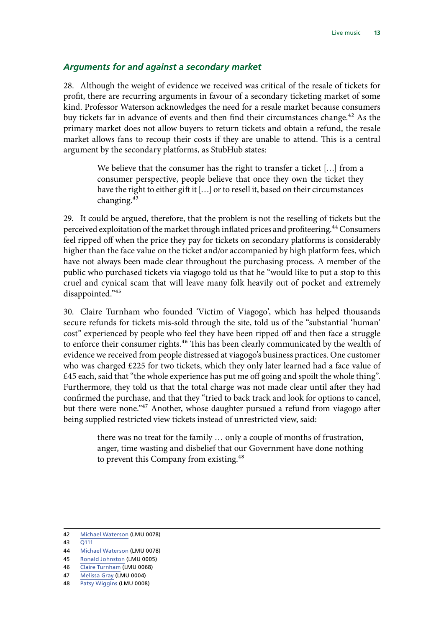#### <span id="page-14-0"></span>*Arguments for and against a secondary market*

28. Although the weight of evidence we received was critical of the resale of tickets for profit, there are recurring arguments in favour of a secondary ticketing market of some kind. Professor Waterson acknowledges the need for a resale market because consumers buy tickets far in advance of events and then find their circumstances change.<sup>42</sup> As the primary market does not allow buyers to return tickets and obtain a refund, the resale market allows fans to recoup their costs if they are unable to attend. This is a central argument by the secondary platforms, as StubHub states:

> We believe that the consumer has the right to transfer a ticket […] from a consumer perspective, people believe that once they own the ticket they have the right to either gift it […] or to resell it, based on their circumstances changing.43

29. It could be argued, therefore, that the problem is not the reselling of tickets but the perceived exploitation of the market through inflated prices and profiteering.44 Consumers feel ripped off when the price they pay for tickets on secondary platforms is considerably higher than the face value on the ticket and/or accompanied by high platform fees, which have not always been made clear throughout the purchasing process. A member of the public who purchased tickets via viagogo told us that he "would like to put a stop to this cruel and cynical scam that will leave many folk heavily out of pocket and extremely disappointed."45

30. Claire Turnham who founded 'Victim of Viagogo', which has helped thousands secure refunds for tickets mis-sold through the site, told us of the "substantial 'human' cost" experienced by people who feel they have been ripped off and then face a struggle to enforce their consumer rights.<sup>46</sup> This has been clearly communicated by the wealth of evidence we received from people distressed at viagogo's business practices. One customer who was charged £225 for two tickets, which they only later learned had a face value of £45 each, said that "the whole experience has put me off going and spoilt the whole thing". Furthermore, they told us that the total charge was not made clear until after they had confirmed the purchase, and that they "tried to back track and look for options to cancel, but there were none."<sup>47</sup> Another, whose daughter pursued a refund from viagogo after being supplied restricted view tickets instead of unrestricted view, said:

> there was no treat for the family … only a couple of months of frustration, anger, time wasting and disbelief that our Government have done nothing to prevent this Company from existing.<sup>48</sup>

<sup>42</sup> [Michael Waterson](http://data.parliament.uk/writtenevidence/committeeevidence.svc/evidencedocument/digital-culture-media-and-sport-committee/live-music/written/82408.pdf) (LMU 0078)

<sup>43</sup> [Q111](http://data.parliament.uk/writtenevidence/committeeevidence.svc/evidencedocument/digital-culture-media-and-sport-committee/live-music/oral/89230.pdf)

<sup>44</sup> [Michael Waterson](http://data.parliament.uk/writtenevidence/committeeevidence.svc/evidencedocument/digital-culture-media-and-sport-committee/live-music/written/82408.pdf) (LMU 0078)

<sup>45</sup> [Ronald Johnston](http://data.parliament.uk/writtenevidence/committeeevidence.svc/evidencedocument/digital-culture-media-and-sport-committee/live-music/written/77837.pdf) (LMU 0005)

<sup>46</sup> [Claire Turnham](http://data.parliament.uk/writtenevidence/committeeevidence.svc/evidencedocument/digital-culture-media-and-sport-committee/live-music/written/80934.pdf) (LMU 0068)

<sup>47</sup> [Melissa Gray](http://data.parliament.uk/writtenevidence/committeeevidence.svc/evidencedocument/digital-culture-media-and-sport-committee/live-music/written/77834.pdf) (LMU 0004)

<sup>48</sup> [Patsy Wiggins](http://data.parliament.uk/writtenevidence/committeeevidence.svc/evidencedocument/digital-culture-media-and-sport-committee/live-music/written/77968.pdf) (LMU 0008)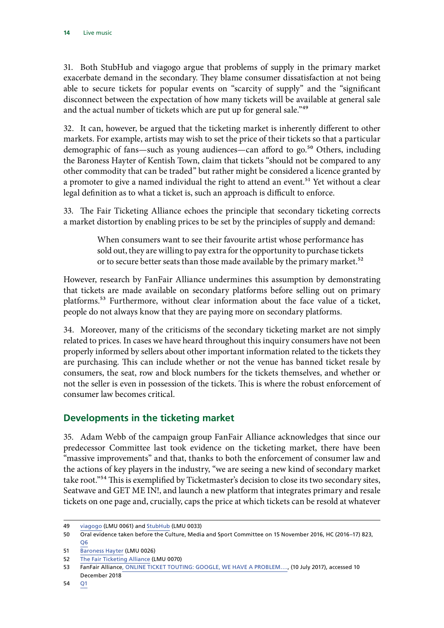<span id="page-15-0"></span>31. Both StubHub and viagogo argue that problems of supply in the primary market exacerbate demand in the secondary. They blame consumer dissatisfaction at not being able to secure tickets for popular events on "scarcity of supply" and the "significant disconnect between the expectation of how many tickets will be available at general sale and the actual number of tickets which are put up for general sale."<sup>49</sup>

32. It can, however, be argued that the ticketing market is inherently different to other markets. For example, artists may wish to set the price of their tickets so that a particular demographic of fans—such as young audiences—can afford to go.<sup>50</sup> Others, including the Baroness Hayter of Kentish Town, claim that tickets "should not be compared to any other commodity that can be traded" but rather might be considered a licence granted by a promoter to give a named individual the right to attend an event.<sup>51</sup> Yet without a clear legal definition as to what a ticket is, such an approach is difficult to enforce.

33. The Fair Ticketing Alliance echoes the principle that secondary ticketing corrects a market distortion by enabling prices to be set by the principles of supply and demand:

> When consumers want to see their favourite artist whose performance has sold out, they are willing to pay extra for the opportunity to purchase tickets or to secure better seats than those made available by the primary market.<sup>52</sup>

However, research by FanFair Alliance undermines this assumption by demonstrating that tickets are made available on secondary platforms before selling out on primary platforms.<sup>53</sup> Furthermore, without clear information about the face value of a ticket, people do not always know that they are paying more on secondary platforms.

34. Moreover, many of the criticisms of the secondary ticketing market are not simply related to prices. In cases we have heard throughout this inquiry consumers have not been properly informed by sellers about other important information related to the tickets they are purchasing. This can include whether or not the venue has banned ticket resale by consumers, the seat, row and block numbers for the tickets themselves, and whether or not the seller is even in possession of the tickets. This is where the robust enforcement of consumer law becomes critical.

#### **Developments in the ticketing market**

35. Adam Webb of the campaign group FanFair Alliance acknowledges that since our predecessor Committee last took evidence on the ticketing market, there have been "massive improvements" and that, thanks to both the enforcement of consumer law and the actions of key players in the industry, "we are seeing a new kind of secondary market take root."54 This is exemplified by Ticketmaster's decision to close its two secondary sites, Seatwave and GET ME IN!, and launch a new platform that integrates primary and resale tickets on one page and, crucially, caps the price at which tickets can be resold at whatever

<sup>49</sup> [viagogo](http://data.parliament.uk/writtenevidence/committeeevidence.svc/evidencedocument/digital-culture-media-and-sport-committee/live-music/written/80445.pdf) (LMU 0061) and [StubHub](http://data.parliament.uk/writtenevidence/committeeevidence.svc/evidencedocument/digital-culture-media-and-sport-committee/live-music/written/79210.pdf) (LMU 0033)

<sup>50</sup> Oral evidence taken before the Culture, Media and Sport Committee on 15 November 2016, HC (2016–17) 823, [Q6](http://data.parliament.uk/writtenevidence/committeeevidence.svc/evidencedocument/culture-media-and-sport-committee/ticket-abuse/oral/43414.pdf)

<sup>51</sup> [Baroness Hayter](http://data.parliament.uk/writtenevidence/committeeevidence.svc/evidencedocument/digital-culture-media-and-sport-committee/live-music/written/79145.pdf) (LMU 0026)

<sup>52</sup> [The Fair Ticketing Alliance](http://data.parliament.uk/writtenevidence/committeeevidence.svc/evidencedocument/digital-culture-media-and-sport-committee/live-music/written/80977.pdf) (LMU 0070)

<sup>53</sup> FanFair Alliance[, ONLINE TICKET TOUTING: GOOGLE, WE HAVE A PROBLEM….,](http://fanfairalliance.org/online-ticket-touting-google-problem/) (10 July 2017), accessed 10 December 2018

<sup>54</sup> [Q1](http://data.parliament.uk/writtenevidence/committeeevidence.svc/evidencedocument/digital-culture-media-and-sport-committee/live-music/oral/89230.pdf)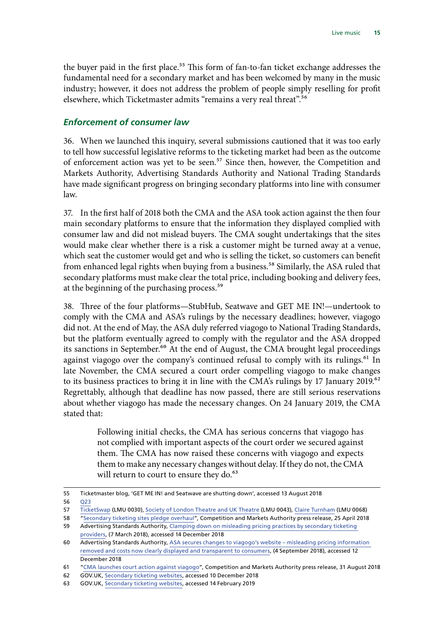<span id="page-16-0"></span>the buyer paid in the first place.<sup>55</sup> This form of fan-to-fan ticket exchange addresses the fundamental need for a secondary market and has been welcomed by many in the music industry; however, it does not address the problem of people simply reselling for profit elsewhere, which Ticketmaster admits "remains a very real threat".56

#### *Enforcement of consumer law*

36. When we launched this inquiry, several submissions cautioned that it was too early to tell how successful legislative reforms to the ticketing market had been as the outcome of enforcement action was yet to be seen.<sup>57</sup> Since then, however, the Competition and Markets Authority, Advertising Standards Authority and National Trading Standards have made significant progress on bringing secondary platforms into line with consumer law.

37. In the first half of 2018 both the CMA and the ASA took action against the then four main secondary platforms to ensure that the information they displayed complied with consumer law and did not mislead buyers. The CMA sought undertakings that the sites would make clear whether there is a risk a customer might be turned away at a venue, which seat the customer would get and who is selling the ticket, so customers can benefit from enhanced legal rights when buying from a business.<sup>58</sup> Similarly, the ASA ruled that secondary platforms must make clear the total price, including booking and delivery fees, at the beginning of the purchasing process.<sup>59</sup>

38. Three of the four platforms—StubHub, Seatwave and GET ME IN!—undertook to comply with the CMA and ASA's rulings by the necessary deadlines; however, viagogo did not. At the end of May, the ASA duly referred viagogo to National Trading Standards, but the platform eventually agreed to comply with the regulator and the ASA dropped its sanctions in September.<sup>60</sup> At the end of August, the CMA brought legal proceedings against viagogo over the company's continued refusal to comply with its rulings.<sup>61</sup> In late November, the CMA secured a court order compelling viagogo to make changes to its business practices to bring it in line with the CMA's rulings by 17 January 2019.<sup>62</sup> Regrettably, although that deadline has now passed, there are still serious reservations about whether viagogo has made the necessary changes. On 24 January 2019, the CMA stated that:

> Following initial checks, the CMA has serious concerns that viagogo has not complied with important aspects of the court order we secured against them. The CMA has now raised these concerns with viagogo and expects them to make any necessary changes without delay. If they do not, the CMA will return to court to ensure they do.<sup>63</sup>

55 Ticketmaster blog, 'GET ME IN! and Seatwave are shutting down', accessed 13 August 2018

56 [Q23](http://data.parliament.uk/writtenevidence/committeeevidence.svc/evidencedocument/digital-culture-media-and-sport-committee/live-music/oral/89230.pdf)

<sup>57</sup> [TicketSwap](http://data.parliament.uk/writtenevidence/committeeevidence.svc/evidencedocument/digital-culture-media-and-sport-committee/live-music/written/79163.pdf) (LMU 0030), [Society of London Theatre and UK Theatre](http://data.parliament.uk/writtenevidence/committeeevidence.svc/evidencedocument/digital-culture-media-and-sport-committee/live-music/written/79305.pdf) (LMU 0043), [Claire Turnham](http://data.parliament.uk/writtenevidence/committeeevidence.svc/evidencedocument/digital-culture-media-and-sport-committee/live-music/written/80934.pdf) (LMU 0068)

<sup>58</sup> "[Secondary ticketing sites pledge overhaul](https://www.gov.uk/government/news/secondary-ticketing-sites-pledge-overhaul)", Competition and Markets Authority press release, 25 April 2018 59 Advertising Standards Authority, [Clamping down on misleading pricing practices by secondary ticketing](https://www.asa.org.uk/news/clamping-down-on-secondary-ticketing-providers.html) 

[providers](https://www.asa.org.uk/news/clamping-down-on-secondary-ticketing-providers.html), (7 March 2018), accessed 14 December 2018

<sup>60</sup> Advertising Standards Authority, [ASA secures changes to viagogo's website – misleading pricing information](https://www.asa.org.uk/news/asa-secures-changes-to-viagogo-s-website-misleading-pricing-information-removed-and-costs-now-clearly-displayed-and-transparent-to-consumers.html)  [removed and costs now clearly displayed and transparent to consumers](https://www.asa.org.uk/news/asa-secures-changes-to-viagogo-s-website-misleading-pricing-information-removed-and-costs-now-clearly-displayed-and-transparent-to-consumers.html), (4 September 2018), accessed 12 December 2018

<sup>61</sup> "[CMA launches court action against viagogo](https://www.gov.uk/government/news/cma-launches-court-action-against-viagogo)", Competition and Markets Authority press release, 31 August 2018

<sup>62</sup> GOV.UK, [Secondary ticketing websites](https://www.gov.uk/cma-cases/secondary-ticketing-websites), accessed 10 December 2018

<sup>63</sup> GOV.UK, [Secondary ticketing websites](https://www.gov.uk/cma-cases/secondary-ticketing-websites), accessed 14 February 2019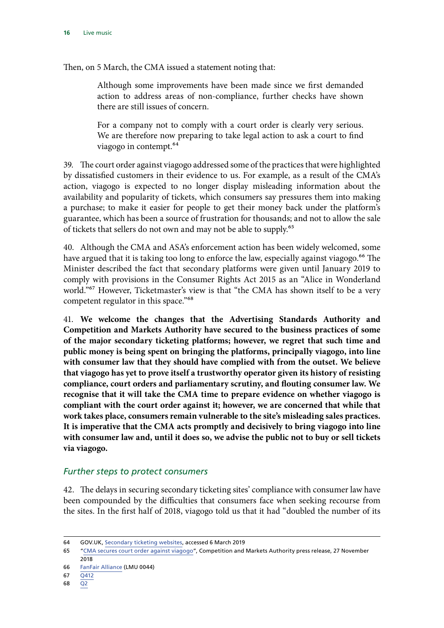Then, on 5 March, the CMA issued a statement noting that:

Although some improvements have been made since we first demanded action to address areas of non-compliance, further checks have shown there are still issues of concern.

For a company not to comply with a court order is clearly very serious. We are therefore now preparing to take legal action to ask a court to find viagogo in contempt.64

39. The court order against viagogo addressed some of the practices that were highlighted by dissatisfied customers in their evidence to us. For example, as a result of the CMA's action, viagogo is expected to no longer display misleading information about the availability and popularity of tickets, which consumers say pressures them into making a purchase; to make it easier for people to get their money back under the platform's guarantee, which has been a source of frustration for thousands; and not to allow the sale of tickets that sellers do not own and may not be able to supply.65

40. Although the CMA and ASA's enforcement action has been widely welcomed, some have argued that it is taking too long to enforce the law, especially against viagogo.<sup>66</sup> The Minister described the fact that secondary platforms were given until January 2019 to comply with provisions in the Consumer Rights Act 2015 as an "Alice in Wonderland world."<sup>67</sup> However, Ticketmaster's view is that "the CMA has shown itself to be a very competent regulator in this space."<sup>68</sup>

41. **We welcome the changes that the Advertising Standards Authority and Competition and Markets Authority have secured to the business practices of some of the major secondary ticketing platforms; however, we regret that such time and public money is being spent on bringing the platforms, principally viagogo, into line with consumer law that they should have complied with from the outset. We believe that viagogo has yet to prove itself a trustworthy operator given its history of resisting compliance, court orders and parliamentary scrutiny, and flouting consumer law. We recognise that it will take the CMA time to prepare evidence on whether viagogo is compliant with the court order against it; however, we are concerned that while that work takes place, consumers remain vulnerable to the site's misleading sales practices. It is imperative that the CMA acts promptly and decisively to bring viagogo into line with consumer law and, until it does so, we advise the public not to buy or sell tickets via viagogo.**

#### *Further steps to protect consumers*

42. The delays in securing secondary ticketing sites' compliance with consumer law have been compounded by the difficulties that consumers face when seeking recourse from the sites. In the first half of 2018, viagogo told us that it had "doubled the number of its

<sup>64</sup> GOV.UK, [Secondary ticketing websites](https://www.gov.uk/cma-cases/secondary-ticketing-websites), accessed 6 March 2019

<sup>65</sup> "[CMA secures court order against viagogo](https://www.gov.uk/government/news/cma-secures-court-order-against-viagogo)", Competition and Markets Authority press release, 27 November 2018

<sup>66</sup> [FanFair Alliance](http://data.parliament.uk/writtenevidence/committeeevidence.svc/evidencedocument/digital-culture-media-and-sport-committee/live-music/written/79310.pdf) (LMU 0044)

<sup>67</sup> [Q412](http://data.parliament.uk/writtenevidence/committeeevidence.svc/evidencedocument/digital-culture-media-and-sport-committee/live-music/oral/93357.pdf)

<sup>68</sup> [Q2](http://data.parliament.uk/writtenevidence/committeeevidence.svc/evidencedocument/digital-culture-media-and-sport-committee/live-music/oral/89230.pdf)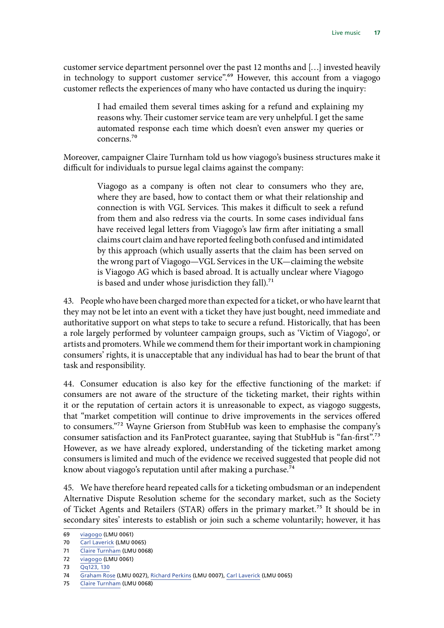customer service department personnel over the past 12 months and […] invested heavily in technology to support customer service".<sup>69</sup> However, this account from a viagogo customer reflects the experiences of many who have contacted us during the inquiry:

> I had emailed them several times asking for a refund and explaining my reasons why. Their customer service team are very unhelpful. I get the same automated response each time which doesn't even answer my queries or concerns.70

Moreover, campaigner Claire Turnham told us how viagogo's business structures make it difficult for individuals to pursue legal claims against the company:

> Viagogo as a company is often not clear to consumers who they are, where they are based, how to contact them or what their relationship and connection is with VGL Services. This makes it difficult to seek a refund from them and also redress via the courts. In some cases individual fans have received legal letters from Viagogo's law firm after initiating a small claims court claim and have reported feeling both confused and intimidated by this approach (which usually asserts that the claim has been served on the wrong part of Viagogo—VGL Services in the UK—claiming the website is Viagogo AG which is based abroad. It is actually unclear where Viagogo is based and under whose jurisdiction they fall).<sup>71</sup>

43. People who have been charged more than expected for a ticket, or who have learnt that they may not be let into an event with a ticket they have just bought, need immediate and authoritative support on what steps to take to secure a refund. Historically, that has been a role largely performed by volunteer campaign groups, such as 'Victim of Viagogo', or artists and promoters. While we commend them for their important work in championing consumers' rights, it is unacceptable that any individual has had to bear the brunt of that task and responsibility.

44. Consumer education is also key for the effective functioning of the market: if consumers are not aware of the structure of the ticketing market, their rights within it or the reputation of certain actors it is unreasonable to expect, as viagogo suggests, that "market competition will continue to drive improvements in the services offered to consumers."72 Wayne Grierson from StubHub was keen to emphasise the company's consumer satisfaction and its FanProtect guarantee, saying that StubHub is "fan-first".73 However, as we have already explored, understanding of the ticketing market among consumers is limited and much of the evidence we received suggested that people did not know about viagogo's reputation until after making a purchase.<sup>74</sup>

45. We have therefore heard repeated calls for a ticketing ombudsman or an independent Alternative Dispute Resolution scheme for the secondary market, such as the Society of Ticket Agents and Retailers (STAR) offers in the primary market.75 It should be in secondary sites' interests to establish or join such a scheme voluntarily; however, it has

<sup>69</sup> [viagogo](http://data.parliament.uk/writtenevidence/committeeevidence.svc/evidencedocument/digital-culture-media-and-sport-committee/live-music/written/80445.pdf) (LMU 0061)

<sup>70</sup> [Carl Laverick](http://data.parliament.uk/writtenevidence/committeeevidence.svc/evidencedocument/digital-culture-media-and-sport-committee/live-music/written/80891.pdf) (LMU 0065)

<sup>71</sup> [Claire Turnham](http://data.parliament.uk/writtenevidence/committeeevidence.svc/evidencedocument/digital-culture-media-and-sport-committee/live-music/written/80934.pdf) (LMU 0068)

<sup>72</sup> [viagogo](http://data.parliament.uk/writtenevidence/committeeevidence.svc/evidencedocument/digital-culture-media-and-sport-committee/live-music/written/80445.pdf) (LMU 0061)

<sup>73</sup> Oq123, 130

<sup>74</sup> [Graham Rose](http://data.parliament.uk/writtenevidence/committeeevidence.svc/evidencedocument/digital-culture-media-and-sport-committee/live-music/written/79151.pdf) (LMU 0027), [Richard Perkins](http://data.parliament.uk/writtenevidence/committeeevidence.svc/evidencedocument/digital-culture-media-and-sport-committee/live-music/written/77933.pdf) (LMU 0007), [Carl Laverick](http://data.parliament.uk/writtenevidence/committeeevidence.svc/evidencedocument/digital-culture-media-and-sport-committee/live-music/written/80891.pdf) (LMU 0065)

<sup>75</sup> [Claire Turnham](http://data.parliament.uk/writtenevidence/committeeevidence.svc/evidencedocument/digital-culture-media-and-sport-committee/live-music/written/80934.pdf) (LMU 0068)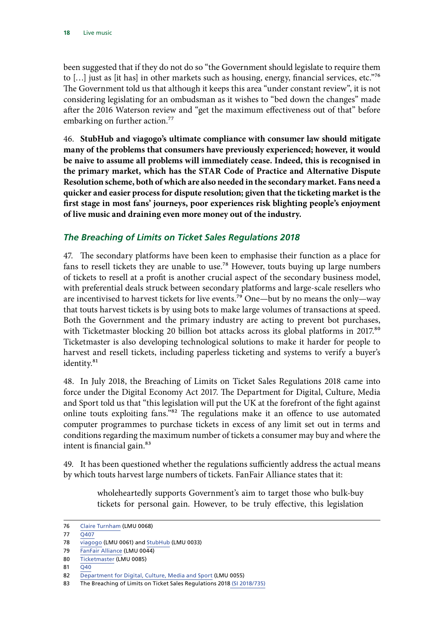<span id="page-19-0"></span>been suggested that if they do not do so "the Government should legislate to require them to […] just as [it has] in other markets such as housing, energy, financial services, etc."76 The Government told us that although it keeps this area "under constant review", it is not considering legislating for an ombudsman as it wishes to "bed down the changes" made after the 2016 Waterson review and "get the maximum effectiveness out of that" before embarking on further action.<sup>77</sup>

46. **StubHub and viagogo's ultimate compliance with consumer law should mitigate many of the problems that consumers have previously experienced; however, it would be naive to assume all problems will immediately cease. Indeed, this is recognised in the primary market, which has the STAR Code of Practice and Alternative Dispute Resolution scheme, both of which are also needed in the secondary market. Fans need a quicker and easier process for dispute resolution; given that the ticketing market is the first stage in most fans' journeys, poor experiences risk blighting people's enjoyment of live music and draining even more money out of the industry.**

#### *The Breaching of Limits on Ticket Sales Regulations 2018*

47. The secondary platforms have been keen to emphasise their function as a place for fans to resell tickets they are unable to use.78 However, touts buying up large numbers of tickets to resell at a profit is another crucial aspect of the secondary business model, with preferential deals struck between secondary platforms and large-scale resellers who are incentivised to harvest tickets for live events.<sup>79</sup> One—but by no means the only—way that touts harvest tickets is by using bots to make large volumes of transactions at speed. Both the Government and the primary industry are acting to prevent bot purchases, with Ticketmaster blocking 20 billion bot attacks across its global platforms in 2017.<sup>80</sup> Ticketmaster is also developing technological solutions to make it harder for people to harvest and resell tickets, including paperless ticketing and systems to verify a buyer's identity.<sup>81</sup>

48. In July 2018, the Breaching of Limits on Ticket Sales Regulations 2018 came into force under the Digital Economy Act 2017. The Department for Digital, Culture, Media and Sport told us that "this legislation will put the UK at the forefront of the fight against online touts exploiting fans."82 The regulations make it an offence to use automated computer programmes to purchase tickets in excess of any limit set out in terms and conditions regarding the maximum number of tickets a consumer may buy and where the intent is financial gain.<sup>83</sup>

49. It has been questioned whether the regulations sufficiently address the actual means by which touts harvest large numbers of tickets. FanFair Alliance states that it:

> wholeheartedly supports Government's aim to target those who bulk-buy tickets for personal gain. However, to be truly effective, this legislation

<sup>76</sup> [Claire Turnham](http://data.parliament.uk/writtenevidence/committeeevidence.svc/evidencedocument/digital-culture-media-and-sport-committee/live-music/written/80934.pdf) (LMU 0068)

<sup>77 0407</sup> 

<sup>78</sup> [viagogo](http://data.parliament.uk/writtenevidence/committeeevidence.svc/evidencedocument/digital-culture-media-and-sport-committee/live-music/written/80445.pdf) (LMU 0061) and [StubHub](http://data.parliament.uk/writtenevidence/committeeevidence.svc/evidencedocument/digital-culture-media-and-sport-committee/live-music/written/79210.pdf) (LMU 0033)

<sup>79</sup> [FanFair Alliance](http://data.parliament.uk/writtenevidence/committeeevidence.svc/evidencedocument/digital-culture-media-and-sport-committee/live-music/written/79310.pdf) (LMU 0044)

<sup>80</sup> [Ticketmaster](http://data.parliament.uk/writtenevidence/committeeevidence.svc/evidencedocument/digital-culture-media-and-sport-committee/live-music/written/92875.pdf) (LMU 0085)

<sup>81</sup> O<sub>40</sub>

<sup>82</sup> [Department for Digital, Culture, Media and Sport](http://data.parliament.uk/writtenevidence/committeeevidence.svc/evidencedocument/digital-culture-media-and-sport-committee/live-music/written/79962.pdf) (LMU 0055)

<sup>83</sup> The Breaching of Limits on Ticket Sales Regulations 2018 [\(SI 2018/735\)](https://www.legislation.gov.uk/uksi/2018/735/pdfs/uksi_20180735_en.pdf)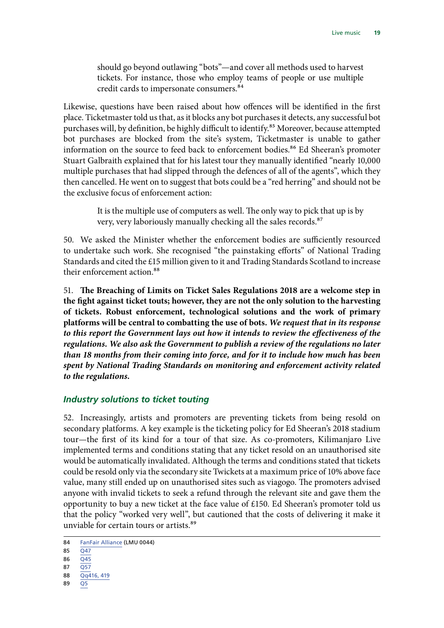<span id="page-20-0"></span>should go beyond outlawing "bots"—and cover all methods used to harvest tickets. For instance, those who employ teams of people or use multiple credit cards to impersonate consumers.84

Likewise, questions have been raised about how offences will be identified in the first place. Ticketmaster told us that, as it blocks any bot purchases it detects, any successful bot purchases will, by definition, be highly difficult to identify.<sup>85</sup> Moreover, because attempted bot purchases are blocked from the site's system, Ticketmaster is unable to gather information on the source to feed back to enforcement bodies.<sup>86</sup> Ed Sheeran's promoter Stuart Galbraith explained that for his latest tour they manually identified "nearly 10,000 multiple purchases that had slipped through the defences of all of the agents", which they then cancelled. He went on to suggest that bots could be a "red herring" and should not be the exclusive focus of enforcement action:

> It is the multiple use of computers as well. The only way to pick that up is by very, very laboriously manually checking all the sales records.87

50. We asked the Minister whether the enforcement bodies are sufficiently resourced to undertake such work. She recognised "the painstaking efforts" of National Trading Standards and cited the £15 million given to it and Trading Standards Scotland to increase their enforcement action.<sup>88</sup>

51. **The Breaching of Limits on Ticket Sales Regulations 2018 are a welcome step in the fight against ticket touts; however, they are not the only solution to the harvesting of tickets. Robust enforcement, technological solutions and the work of primary platforms will be central to combatting the use of bots.** *We request that in its response to this report the Government lays out how it intends to review the effectiveness of the regulations. We also ask the Government to publish a review of the regulations no later than 18 months from their coming into force, and for it to include how much has been spent by National Trading Standards on monitoring and enforcement activity related to the regulations.*

#### *Industry solutions to ticket touting*

52. Increasingly, artists and promoters are preventing tickets from being resold on secondary platforms. A key example is the ticketing policy for Ed Sheeran's 2018 stadium tour—the first of its kind for a tour of that size. As co-promoters, Kilimanjaro Live implemented terms and conditions stating that any ticket resold on an unauthorised site would be automatically invalidated. Although the terms and conditions stated that tickets could be resold only via the secondary site Twickets at a maximum price of 10% above face value, many still ended up on unauthorised sites such as viagogo. The promoters advised anyone with invalid tickets to seek a refund through the relevant site and gave them the opportunity to buy a new ticket at the face value of £150. Ed Sheeran's promoter told us that the policy "worked very well", but cautioned that the costs of delivering it make it unviable for certain tours or artists.<sup>89</sup>

- 87 [Q57](http://data.parliament.uk/writtenevidence/committeeevidence.svc/evidencedocument/digital-culture-media-and-sport-committee/live-music/oral/89230.pdf)
- 88 [Qq416, 419](http://data.parliament.uk/writtenevidence/committeeevidence.svc/evidencedocument/digital-culture-media-and-sport-committee/live-music/oral/93357.pdf)
- 89 [Q5](http://data.parliament.uk/writtenevidence/committeeevidence.svc/evidencedocument/digital-culture-media-and-sport-committee/live-music/oral/89230.pdf)

<sup>84</sup> [FanFair Alliance](http://data.parliament.uk/writtenevidence/committeeevidence.svc/evidencedocument/digital-culture-media-and-sport-committee/live-music/written/79310.pdf) (LMU 0044)

<sup>85</sup> [Q47](http://data.parliament.uk/writtenevidence/committeeevidence.svc/evidencedocument/digital-culture-media-and-sport-committee/live-music/oral/89230.pdf)

<sup>86</sup>  $\overline{O45}$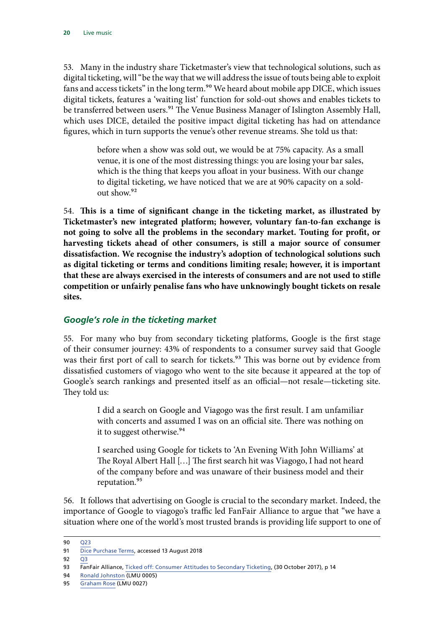<span id="page-21-0"></span>53. Many in the industry share Ticketmaster's view that technological solutions, such as digital ticketing, will "be the way that we will address the issue of touts being able to exploit fans and access tickets" in the long term.<sup>90</sup> We heard about mobile app DICE, which issues digital tickets, features a 'waiting list' function for sold-out shows and enables tickets to be transferred between users.<sup>91</sup> The Venue Business Manager of Islington Assembly Hall, which uses DICE, detailed the positive impact digital ticketing has had on attendance figures, which in turn supports the venue's other revenue streams. She told us that:

> before when a show was sold out, we would be at 75% capacity. As a small venue, it is one of the most distressing things: you are losing your bar sales, which is the thing that keeps you afloat in your business. With our change to digital ticketing, we have noticed that we are at 90% capacity on a soldout show.92

54. **This is a time of significant change in the ticketing market, as illustrated by Ticketmaster's new integrated platform; however, voluntary fan-to-fan exchange is not going to solve all the problems in the secondary market. Touting for profit, or harvesting tickets ahead of other consumers, is still a major source of consumer dissatisfaction. We recognise the industry's adoption of technological solutions such as digital ticketing or terms and conditions limiting resale; however, it is important that these are always exercised in the interests of consumers and are not used to stifle competition or unfairly penalise fans who have unknowingly bought tickets on resale sites.**

#### *Google's role in the ticketing market*

55. For many who buy from secondary ticketing platforms, Google is the first stage of their consumer journey: 43% of respondents to a consumer survey said that Google was their first port of call to search for tickets.<sup>93</sup> This was borne out by evidence from dissatisfied customers of viagogo who went to the site because it appeared at the top of Google's search rankings and presented itself as an official—not resale—ticketing site. They told us:

> I did a search on Google and Viagogo was the first result. I am unfamiliar with concerts and assumed I was on an official site. There was nothing on it to suggest otherwise.<sup>94</sup>

> I searched using Google for tickets to 'An Evening With John Williams' at The Royal Albert Hall […] The first search hit was Viagogo, I had not heard of the company before and was unaware of their business model and their reputation.<sup>95</sup>

56. It follows that advertising on Google is crucial to the secondary market. Indeed, the importance of Google to viagogo's traffic led FanFair Alliance to argue that "we have a situation where one of the world's most trusted brands is providing life support to one of

<sup>90</sup> [Q23](http://data.parliament.uk/writtenevidence/committeeevidence.svc/evidencedocument/digital-culture-media-and-sport-committee/live-music/oral/89230.pdf)

<sup>91</sup> [Dice Purchase Terms,](https://dice.fm/ticket_purchase_terms.html) accessed 13 August 2018

 $92 \overline{03}$ 

<sup>93</sup> FanFair Alliance, [Ticked off: Consumer Attitudes to Secondary Ticketing](http://fanfairalliance.org/wp-content/uploads/2017/10/FanfairReport_FINAL.pdf), (30 October 2017), p 14

<sup>94</sup> [Ronald Johnston](http://data.parliament.uk/writtenevidence/committeeevidence.svc/evidencedocument/digital-culture-media-and-sport-committee/live-music/written/77837.pdf) (LMU 0005)

<sup>95</sup> [Graham Rose](http://data.parliament.uk/writtenevidence/committeeevidence.svc/evidencedocument/digital-culture-media-and-sport-committee/live-music/written/79151.pdf) (LMU 0027)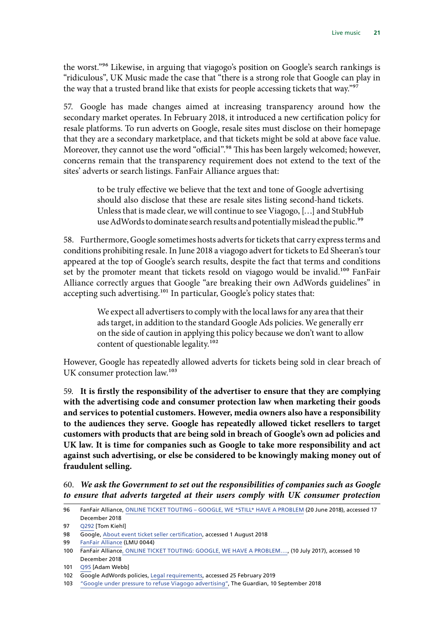the worst."96 Likewise, in arguing that viagogo's position on Google's search rankings is "ridiculous", UK Music made the case that "there is a strong role that Google can play in the way that a trusted brand like that exists for people accessing tickets that way."97

57. Google has made changes aimed at increasing transparency around how the secondary market operates. In February 2018, it introduced a new certification policy for resale platforms. To run adverts on Google, resale sites must disclose on their homepage that they are a secondary marketplace, and that tickets might be sold at above face value. Moreover, they cannot use the word "official".<sup>98</sup> This has been largely welcomed; however, concerns remain that the transparency requirement does not extend to the text of the sites' adverts or search listings. FanFair Alliance argues that:

> to be truly effective we believe that the text and tone of Google advertising should also disclose that these are resale sites listing second-hand tickets. Unless that is made clear, we will continue to see Viagogo, […] and StubHub use AdWords to dominate search results and potentially mislead the public.<sup>99</sup>

58. Furthermore, Google sometimes hosts adverts for tickets that carry express terms and conditions prohibiting resale. In June 2018 a viagogo advert for tickets to Ed Sheeran's tour appeared at the top of Google's search results, despite the fact that terms and conditions set by the promoter meant that tickets resold on viagogo would be invalid.<sup>100</sup> FanFair Alliance correctly argues that Google "are breaking their own AdWords guidelines" in accepting such advertising.<sup>101</sup> In particular, Google's policy states that:

> We expect all advertisers to comply with the local laws for any area that their ads target, in addition to the standard Google Ads policies. We generally err on the side of caution in applying this policy because we don't want to allow content of questionable legality.<sup>102</sup>

However, Google has repeatedly allowed adverts for tickets being sold in clear breach of UK consumer protection law.<sup>103</sup>

59. **It is firstly the responsibility of the advertiser to ensure that they are complying with the advertising code and consumer protection law when marketing their goods and services to potential customers. However, media owners also have a responsibility to the audiences they serve. Google has repeatedly allowed ticket resellers to target customers with products that are being sold in breach of Google's own ad policies and UK law. It is time for companies such as Google to take more responsibility and act against such advertising, or else be considered to be knowingly making money out of fraudulent selling.**

60. *We ask the Government to set out the responsibilities of companies such as Google to ensure that adverts targeted at their users comply with UK consumer protection* 

<sup>96</sup> FanFair Alliance, [ONLINE TICKET TOUTING – GOOGLE, WE \\*STILL\\* HAVE A PROBLEM](http://fanfairalliance.org/online-ticket-touting-google-we-still-have-a-problem/) (20 June 2018), accessed 17 December 2018

<sup>97</sup> [Q292](http://data.parliament.uk/writtenevidence/committeeevidence.svc/evidencedocument/digital-culture-media-and-sport-committee/live-music/oral/91709.pdf) [Tom Kiehl]

<sup>98</sup> Google, [About event ticket seller certification](https://support.google.com/adspolicy/answer/7577050?hl=en-GB), accessed 1 August 2018

<sup>99</sup> [FanFair Alliance](http://data.parliament.uk/writtenevidence/committeeevidence.svc/evidencedocument/digital-culture-media-and-sport-committee/live-music/written/79310.pdf) (LMU 0044)

<sup>100</sup> FanFair Alliance[, ONLINE TICKET TOUTING: GOOGLE, WE HAVE A PROBLEM….,](http://fanfairalliance.org/online-ticket-touting-google-problem/) (10 July 2017), accessed 10 December 2018

<sup>101</sup> [Q95](http://data.parliament.uk/writtenevidence/committeeevidence.svc/evidencedocument/digital-culture-media-and-sport-committee/live-music/oral/89230.pdf) [Adam Webb]

<sup>102</sup> Google AdWords policies, [Legal requirements,](https://support.google.com/adspolicy/answer/6023676) accessed 25 February 2019

<sup>103</sup> ["Google under pressure to refuse Viagogo advertising",](https://www.theguardian.com/money/2018/sep/10/google-under-pressure-to-refuse-viagogo-advertising) The Guardian, 10 September 2018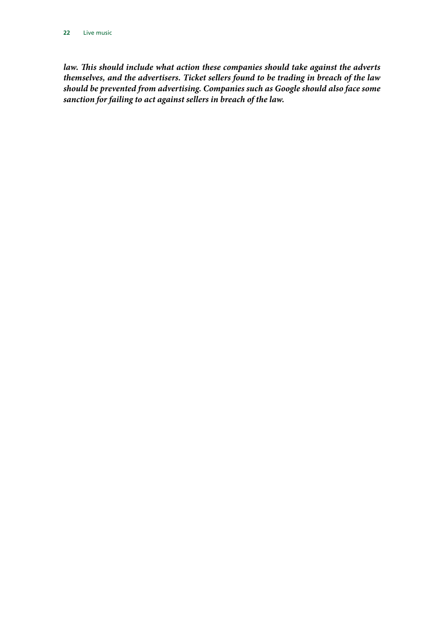law. This should include what action these companies should take against the adverts *themselves, and the advertisers. Ticket sellers found to be trading in breach of the law should be prevented from advertising. Companies such as Google should also face some sanction for failing to act against sellers in breach of the law.*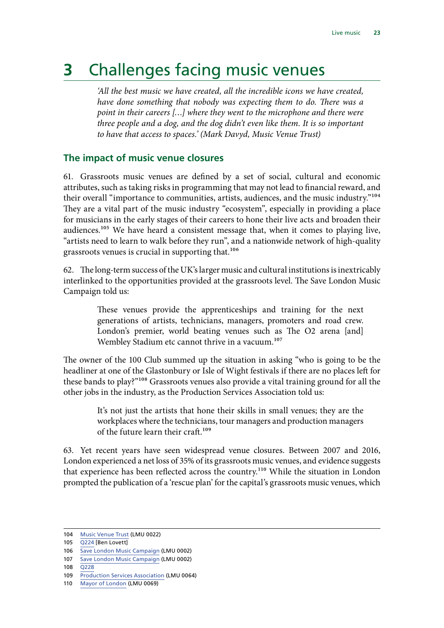## <span id="page-24-0"></span>**3** Challenges facing music venues

*'All the best music we have created, all the incredible icons we have created, have done something that nobody was expecting them to do. There was a point in their careers […] where they went to the microphone and there were three people and a dog, and the dog didn't even like them. It is so important to have that access to spaces.' (Mark Davyd, Music Venue Trust)*

#### **The impact of music venue closures**

61. Grassroots music venues are defined by a set of social, cultural and economic attributes, such as taking risks in programming that may not lead to financial reward, and their overall "importance to communities, artists, audiences, and the music industry."104 They are a vital part of the music industry "ecosystem", especially in providing a place for musicians in the early stages of their careers to hone their live acts and broaden their audiences.<sup>105</sup> We have heard a consistent message that, when it comes to playing live, "artists need to learn to walk before they run", and a nationwide network of high-quality grassroots venues is crucial in supporting that.<sup>106</sup>

62. The long-term success of the UK's larger music and cultural institutions is inextricably interlinked to the opportunities provided at the grassroots level. The Save London Music Campaign told us:

> These venues provide the apprenticeships and training for the next generations of artists, technicians, managers, promoters and road crew. London's premier, world beating venues such as The O2 arena [and] Wembley Stadium etc cannot thrive in a vacuum.<sup>107</sup>

The owner of the 100 Club summed up the situation in asking "who is going to be the headliner at one of the Glastonbury or Isle of Wight festivals if there are no places left for these bands to play?"108 Grassroots venues also provide a vital training ground for all the other jobs in the industry, as the Production Services Association told us:

> It's not just the artists that hone their skills in small venues; they are the workplaces where the technicians, tour managers and production managers of the future learn their craft.<sup>109</sup>

63. Yet recent years have seen widespread venue closures. Between 2007 and 2016, London experienced a net loss of 35% of its grassroots music venues, and evidence suggests that experience has been reflected across the country.<sup>110</sup> While the situation in London prompted the publication of a 'rescue plan' for the capital's grassroots music venues, which

106 [Save London Music Campaign](http://data.parliament.uk/writtenevidence/committeeevidence.svc/evidencedocument/digital-culture-media-and-sport-committee/live-music/written/77329.pdf) (LMU 0002)

- 108 [Q228](http://data.parliament.uk/writtenevidence/committeeevidence.svc/evidencedocument/digital-culture-media-and-sport-committee/live-music/oral/91709.pdf)
- 109 [Production Services Association](http://data.parliament.uk/writtenevidence/committeeevidence.svc/evidencedocument/digital-culture-media-and-sport-committee/live-music/written/80853.pdf) (LMU 0064)
- 110 [Mayor of London](http://data.parliament.uk/writtenevidence/committeeevidence.svc/evidencedocument/digital-culture-media-and-sport-committee/live-music/written/80944.pdf) (LMU 0069)

<sup>104</sup> [Music Venue Trust](http://data.parliament.uk/writtenevidence/committeeevidence.svc/evidencedocument/digital-culture-media-and-sport-committee/live-music/written/78999.pdf) (LMU 0022)

<sup>105</sup> [Q224](http://data.parliament.uk/writtenevidence/committeeevidence.svc/evidencedocument/digital-culture-media-and-sport-committee/live-music/oral/91709.pdf) [Ben Lovett]

<sup>107</sup> [Save London Music Campaign](http://data.parliament.uk/writtenevidence/committeeevidence.svc/evidencedocument/digital-culture-media-and-sport-committee/live-music/written/77329.pdf) (LMU 0002)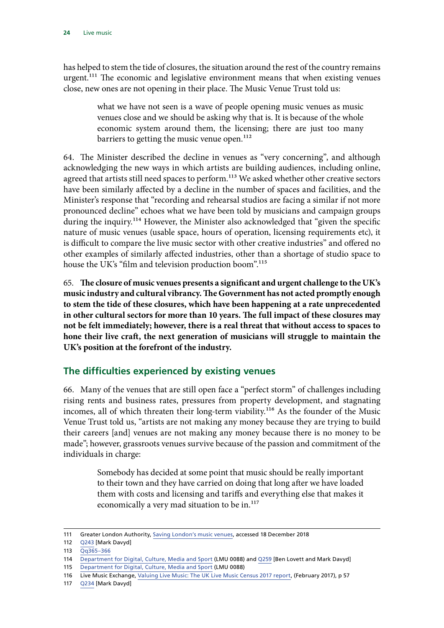<span id="page-25-0"></span>has helped to stem the tide of closures, the situation around the rest of the country remains urgent.<sup>111</sup> The economic and legislative environment means that when existing venues close, new ones are not opening in their place. The Music Venue Trust told us:

> what we have not seen is a wave of people opening music venues as music venues close and we should be asking why that is. It is because of the whole economic system around them, the licensing; there are just too many barriers to getting the music venue open.<sup>112</sup>

64. The Minister described the decline in venues as "very concerning", and although acknowledging the new ways in which artists are building audiences, including online, agreed that artists still need spaces to perform.<sup>113</sup> We asked whether other creative sectors have been similarly affected by a decline in the number of spaces and facilities, and the Minister's response that "recording and rehearsal studios are facing a similar if not more pronounced decline" echoes what we have been told by musicians and campaign groups during the inquiry.<sup>114</sup> However, the Minister also acknowledged that "given the specific nature of music venues (usable space, hours of operation, licensing requirements etc), it is difficult to compare the live music sector with other creative industries" and offered no other examples of similarly affected industries, other than a shortage of studio space to house the UK's "film and television production boom".<sup>115</sup>

65. **The closure of music venues presents a significant and urgent challenge to the UK's music industry and cultural vibrancy. The Government has not acted promptly enough to stem the tide of these closures, which have been happening at a rate unprecedented in other cultural sectors for more than 10 years. The full impact of these closures may not be felt immediately; however, there is a real threat that without access to spaces to hone their live craft, the next generation of musicians will struggle to maintain the UK's position at the forefront of the industry.**

#### **The difficulties experienced by existing venues**

66. Many of the venues that are still open face a "perfect storm" of challenges including rising rents and business rates, pressures from property development, and stagnating incomes, all of which threaten their long-term viability.<sup>116</sup> As the founder of the Music Venue Trust told us, "artists are not making any money because they are trying to build their careers [and] venues are not making any money because there is no money to be made"; however, grassroots venues survive because of the passion and commitment of the individuals in charge:

> Somebody has decided at some point that music should be really important to their town and they have carried on doing that long after we have loaded them with costs and licensing and tariffs and everything else that makes it economically a very mad situation to be in.<sup>117</sup>

117 [Q234](http://data.parliament.uk/writtenevidence/committeeevidence.svc/evidencedocument/digital-culture-media-and-sport-committee/live-music/oral/91709.pdf) [Mark Davyd]

<sup>111</sup> Greater London Authority, [Saving London's music venues](https://www.london.gov.uk/what-we-do/arts-and-culture/music/saving-londons-music-venues), accessed 18 December 2018

<sup>112</sup> [Q243](http://data.parliament.uk/writtenevidence/committeeevidence.svc/evidencedocument/digital-culture-media-and-sport-committee/live-music/oral/91709.pdf) [Mark Davyd]

<sup>113</sup> [Qq365–366](http://data.parliament.uk/writtenevidence/committeeevidence.svc/evidencedocument/digital-culture-media-and-sport-committee/live-music/oral/93357.pdf)

<sup>114</sup> [Department for Digital, Culture, Media and Sport](http://data.parliament.uk/writtenevidence/committeeevidence.svc/evidencedocument/digital-culture-media-and-sport-committee/live-music/written/94984.pdf) (LMU 0088) and [Q259](http://data.parliament.uk/writtenevidence/committeeevidence.svc/evidencedocument/digital-culture-media-and-sport-committee/live-music/oral/91709.pdf) [Ben Lovett and Mark Davyd]

<sup>115</sup> [Department for Digital, Culture, Media and Sport](http://data.parliament.uk/writtenevidence/committeeevidence.svc/evidencedocument/digital-culture-media-and-sport-committee/live-music/written/94984.pdf) (LMU 0088)

<sup>116</sup> Live Music Exchange, [Valuing Live Music: The UK Live Music Census 2017 report,](http://uklivemusiccensus.org/wp-content/uploads/2018/03/UK-Live-Music-Census-2017-full-report.pdf) (February 2017), p 57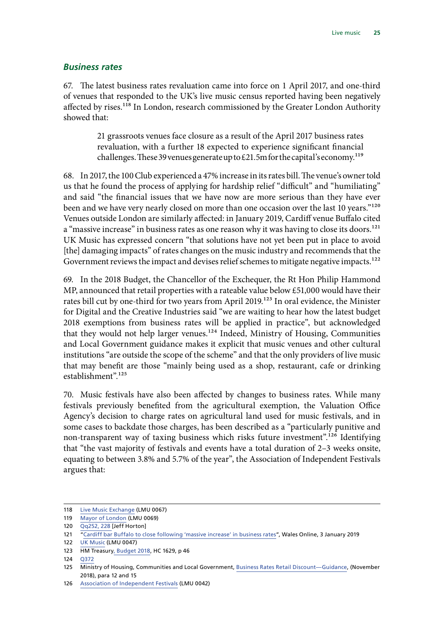#### <span id="page-26-0"></span>*Business rates*

67. The latest business rates revaluation came into force on 1 April 2017, and one-third of venues that responded to the UK's live music census reported having been negatively affected by rises.<sup>118</sup> In London, research commissioned by the Greater London Authority showed that:

> 21 grassroots venues face closure as a result of the April 2017 business rates revaluation, with a further 18 expected to experience significant financial challenges. These 39 venues generate up to £21.5m for the capital's economy.<sup>119</sup>

68. In 2017, the 100 Club experienced a 47% increase in its rates bill. The venue's owner told us that he found the process of applying for hardship relief "difficult" and "humiliating" and said "the financial issues that we have now are more serious than they have ever been and we have very nearly closed on more than one occasion over the last 10 years."<sup>120</sup> Venues outside London are similarly affected: in January 2019, Cardiff venue Buffalo cited a "massive increase" in business rates as one reason why it was having to close its doors.<sup>121</sup> UK Music has expressed concern "that solutions have not yet been put in place to avoid [the] damaging impacts" of rates changes on the music industry and recommends that the Government reviews the impact and devises relief schemes to mitigate negative impacts.<sup>122</sup>

69. In the 2018 Budget, the Chancellor of the Exchequer, the Rt Hon Philip Hammond MP, announced that retail properties with a rateable value below £51,000 would have their rates bill cut by one-third for two years from April 2019.<sup>123</sup> In oral evidence, the Minister for Digital and the Creative Industries said "we are waiting to hear how the latest budget 2018 exemptions from business rates will be applied in practice", but acknowledged that they would not help larger venues.124 Indeed, Ministry of Housing, Communities and Local Government guidance makes it explicit that music venues and other cultural institutions "are outside the scope of the scheme" and that the only providers of live music that may benefit are those "mainly being used as a shop, restaurant, cafe or drinking establishment".<sup>125</sup>

70. Music festivals have also been affected by changes to business rates. While many festivals previously benefited from the agricultural exemption, the Valuation Office Agency's decision to charge rates on agricultural land used for music festivals, and in some cases to backdate those charges, has been described as a "particularly punitive and non-transparent way of taxing business which risks future investment".126 Identifying that "the vast majority of festivals and events have a total duration of 2–3 weeks onsite, equating to between 3.8% and 5.7% of the year", the Association of Independent Festivals argues that:

<sup>118</sup> [Live Music Exchange](http://data.parliament.uk/writtenevidence/committeeevidence.svc/evidencedocument/digital-culture-media-and-sport-committee/live-music/written/80926.pdf) (LMU 0067)

<sup>119</sup> [Mayor of London](http://data.parliament.uk/writtenevidence/committeeevidence.svc/evidencedocument/digital-culture-media-and-sport-committee/live-music/written/80944.pdf) (LMU 0069)

<sup>120</sup> [Qq252](http://data.parliament.uk/writtenevidence/committeeevidence.svc/evidencedocument/digital-culture-media-and-sport-committee/live-music/oral/91709.pdf), [228](http://data.parliament.uk/writtenevidence/committeeevidence.svc/evidencedocument/digital-culture-media-and-sport-committee/live-music/oral/91709.pdf) [Jeff Horton]

<sup>121 &</sup>quot;[Cardiff bar Buffalo to close following 'massive increase' in business rates](https://www.walesonline.co.uk/whats-on/music-nightlife-news/cardiff-bar-buffalo-close-business-15626307)", Wales Online, 3 January 2019

<sup>122</sup> [UK Music](http://data.parliament.uk/writtenevidence/committeeevidence.svc/evidencedocument/digital-culture-media-and-sport-committee/live-music/written/79332.pdf) (LMU 0047)

<sup>123</sup> HM Treasur[y, Budget 2018,](https://assets.publishing.service.gov.uk/government/uploads/system/uploads/attachment_data/file/752202/Budget_2018_red_web.pdf) HC 1629, p 46

<sup>124</sup> [Q372](http://data.parliament.uk/writtenevidence/committeeevidence.svc/evidencedocument/digital-culture-media-and-sport-committee/live-music/oral/93357.pdf)

<sup>125</sup> Ministry of Housing, Communities and Local Government, [Business Rates Retail Discount—Guidance,](https://assets.publishing.service.gov.uk/government/uploads/system/uploads/attachment_data/file/768205/Retail_Discount_Guidance.pdf) (November 2018), para 12 and 15

<sup>126</sup> [Association of Independent Festivals](http://data.parliament.uk/writtenevidence/committeeevidence.svc/evidencedocument/digital-culture-media-and-sport-committee/live-music/written/79303.pdf) (LMU 0042)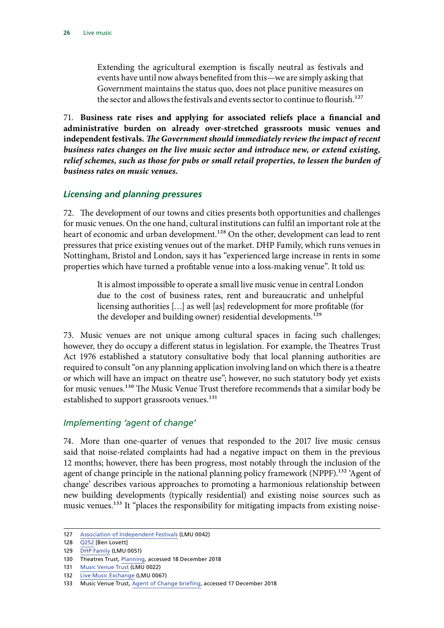<span id="page-27-0"></span>Extending the agricultural exemption is fiscally neutral as festivals and events have until now always benefited from this—we are simply asking that Government maintains the status quo, does not place punitive measures on the sector and allows the festivals and events sector to continue to flourish.<sup>127</sup>

71. **Business rate rises and applying for associated reliefs place a financial and administrative burden on already over-stretched grassroots music venues and independent festivals.** *The Government should immediately review the impact of recent business rates changes on the live music sector and introduce new, or extend existing, relief schemes, such as those for pubs or small retail properties, to lessen the burden of business rates on music venues.*

#### *Licensing and planning pressures*

72. The development of our towns and cities presents both opportunities and challenges for music venues. On the one hand, cultural institutions can fulfil an important role at the heart of economic and urban development.<sup>128</sup> On the other, development can lead to rent pressures that price existing venues out of the market. DHP Family, which runs venues in Nottingham, Bristol and London, says it has "experienced large increase in rents in some properties which have turned a profitable venue into a loss-making venue". It told us:

> It is almost impossible to operate a small live music venue in central London due to the cost of business rates, rent and bureaucratic and unhelpful licensing authorities […] as well [as] redevelopment for more profitable (for the developer and building owner) residential developments.<sup>129</sup>

73. Music venues are not unique among cultural spaces in facing such challenges; however, they do occupy a different status in legislation. For example, the Theatres Trust Act 1976 established a statutory consultative body that local planning authorities are required to consult "on any planning application involving land on which there is a theatre or which will have an impact on theatre use"; however, no such statutory body yet exists for music venues.<sup>130</sup> The Music Venue Trust therefore recommends that a similar body be established to support grassroots venues.<sup>131</sup>

#### *Implementing 'agent of change'*

74. More than one-quarter of venues that responded to the 2017 live music census said that noise-related complaints had had a negative impact on them in the previous 12 months; however, there has been progress, most notably through the inclusion of the agent of change principle in the national planning policy framework (NPPF).<sup>132</sup> 'Agent of change' describes various approaches to promoting a harmonious relationship between new building developments (typically residential) and existing noise sources such as music venues.<sup>133</sup> It "places the responsibility for mitigating impacts from existing noise-

<sup>127</sup> [Association of Independent Festivals](http://data.parliament.uk/writtenevidence/committeeevidence.svc/evidencedocument/digital-culture-media-and-sport-committee/live-music/written/79303.pdf) (LMU 0042)

<sup>128</sup> [Q252](http://data.parliament.uk/writtenevidence/committeeevidence.svc/evidencedocument/digital-culture-media-and-sport-committee/live-music/oral/91709.pdf) [Ben Lovett]

<sup>129</sup> [DHP Family](http://data.parliament.uk/writtenevidence/committeeevidence.svc/evidencedocument/digital-culture-media-and-sport-committee/live-music/written/79632.pdf) (LMU 0051)

<sup>130</sup> Theatres Trust, [Planning](http://www.theatrestrust.org.uk/how-we-help/planning), accessed 18 December 2018

<sup>131</sup> [Music Venue Trust](http://data.parliament.uk/writtenevidence/committeeevidence.svc/evidencedocument/digital-culture-media-and-sport-committee/live-music/written/78999.pdf) (LMU 0022)

<sup>132</sup> [Live Music Exchange](http://data.parliament.uk/writtenevidence/committeeevidence.svc/evidencedocument/digital-culture-media-and-sport-committee/live-music/written/80926.pdf) (LMU 0067)

<sup>133</sup> Music Venue Trust, [Agent of Change briefing](http://musicvenuetrust.com/wp-content/uploads/2018/01/Agent-of-Change-Briefing.pdf), accessed 17 December 2018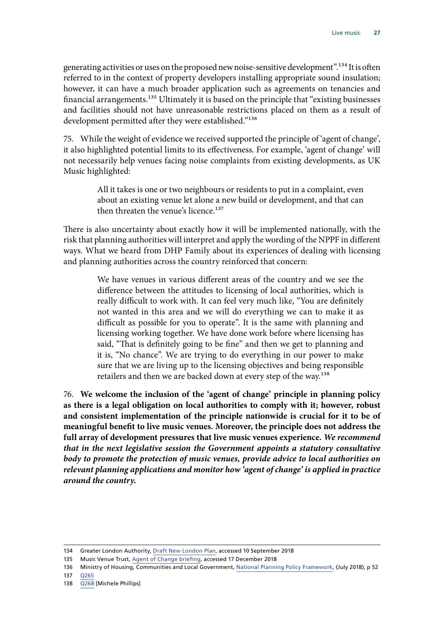generating activities or uses on the proposed new noise-sensitive development".134 It is often referred to in the context of property developers installing appropriate sound insulation; however, it can have a much broader application such as agreements on tenancies and financial arrangements.<sup>135</sup> Ultimately it is based on the principle that "existing businesses and facilities should not have unreasonable restrictions placed on them as a result of development permitted after they were established."<sup>136</sup>

75. While the weight of evidence we received supported the principle of 'agent of change', it also highlighted potential limits to its effectiveness. For example, 'agent of change' will not necessarily help venues facing noise complaints from existing developments, as UK Music highlighted:

> All it takes is one or two neighbours or residents to put in a complaint, even about an existing venue let alone a new build or development, and that can then threaten the venue's licence.<sup>137</sup>

There is also uncertainty about exactly how it will be implemented nationally, with the risk that planning authorities will interpret and apply the wording of the NPPF in different ways. What we heard from DHP Family about its experiences of dealing with licensing and planning authorities across the country reinforced that concern:

> We have venues in various different areas of the country and we see the difference between the attitudes to licensing of local authorities, which is really difficult to work with. It can feel very much like, "You are definitely not wanted in this area and we will do everything we can to make it as difficult as possible for you to operate". It is the same with planning and licensing working together. We have done work before where licensing has said, "That is definitely going to be fine" and then we get to planning and it is, "No chance". We are trying to do everything in our power to make sure that we are living up to the licensing objectives and being responsible retailers and then we are backed down at every step of the way.138

76. **We welcome the inclusion of the 'agent of change' principle in planning policy as there is a legal obligation on local authorities to comply with it; however, robust and consistent implementation of the principle nationwide is crucial for it to be of meaningful benefit to live music venues. Moreover, the principle does not address the full array of development pressures that live music venues experience.** *We recommend that in the next legislative session the Government appoints a statutory consultative body to promote the protection of music venues, provide advice to local authorities on relevant planning applications and monitor how 'agent of change' is applied in practice around the country.*

<sup>134</sup> Greater London Authority, [Draft New London Plan](https://www.london.gov.uk/what-we-do/planning/london-plan/new-london-plan/draft-new-london-plan/chapter-3-design/policy-d12-agent-change), accessed 10 September 2018

<sup>135</sup> Music Venue Trust, [Agent of Change briefing](http://musicvenuetrust.com/wp-content/uploads/2018/01/Agent-of-Change-Briefing.pdf), accessed 17 December 2018

<sup>136</sup> Ministry of Housing, Communities and Local Government, [National Planning Policy Framework](https://assets.publishing.service.gov.uk/government/uploads/system/uploads/attachment_data/file/740441/National_Planning_Policy_Framework_web_accessible_version.pdf), (July 2018), p 52

<sup>137</sup> [Q265](http://data.parliament.uk/writtenevidence/committeeevidence.svc/evidencedocument/digital-culture-media-and-sport-committee/live-music/oral/91709.pdf)

<sup>138</sup> [Q268](http://data.parliament.uk/writtenevidence/committeeevidence.svc/evidencedocument/digital-culture-media-and-sport-committee/live-music/oral/91709.pdf) [Michele Phillips]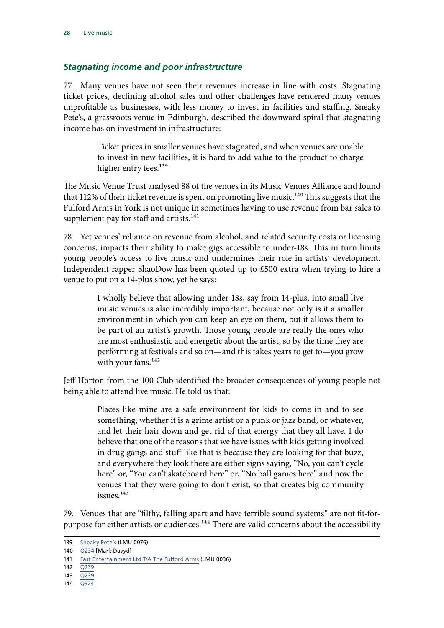#### <span id="page-29-0"></span>*Stagnating income and poor infrastructure*

77. Many venues have not seen their revenues increase in line with costs. Stagnating ticket prices, declining alcohol sales and other challenges have rendered many venues unprofitable as businesses, with less money to invest in facilities and staffing. Sneaky Pete's, a grassroots venue in Edinburgh, described the downward spiral that stagnating income has on investment in infrastructure:

> Ticket prices in smaller venues have stagnated, and when venues are unable to invest in new facilities, it is hard to add value to the product to charge higher entry fees.<sup>139</sup>

The Music Venue Trust analysed 88 of the venues in its Music Venues Alliance and found that 112% of their ticket revenue is spent on promoting live music.<sup>140</sup> This suggests that the Fulford Arms in York is not unique in sometimes having to use revenue from bar sales to supplement pay for staff and artists.<sup>141</sup>

78. Yet venues' reliance on revenue from alcohol, and related security costs or licensing concerns, impacts their ability to make gigs accessible to under-18s. This in turn limits young people's access to live music and undermines their role in artists' development. Independent rapper ShaoDow has been quoted up to £500 extra when trying to hire a venue to put on a 14-plus show, yet he says:

> I wholly believe that allowing under 18s, say from 14-plus, into small live music venues is also incredibly important, because not only is it a smaller environment in which you can keep an eye on them, but it allows them to be part of an artist's growth. Those young people are really the ones who are most enthusiastic and energetic about the artist, so by the time they are performing at festivals and so on—and this takes years to get to—you grow with your fans.<sup>142</sup>

Jeff Horton from the 100 Club identified the broader consequences of young people not being able to attend live music. He told us that:

> Places like mine are a safe environment for kids to come in and to see something, whether it is a grime artist or a punk or jazz band, or whatever, and let their hair down and get rid of that energy that they all have. I do believe that one of the reasons that we have issues with kids getting involved in drug gangs and stuff like that is because they are looking for that buzz, and everywhere they look there are either signs saying, "No, you can't cycle here" or, "You can't skateboard here" or, "No ball games here" and now the venues that they were going to don't exist, so that creates big community issues.143

79. Venues that are "filthy, falling apart and have terrible sound systems" are not fit-forpurpose for either artists or audiences.<sup>144</sup> There are valid concerns about the accessibility

140 [Q234](http://data.parliament.uk/writtenevidence/committeeevidence.svc/evidencedocument/digital-culture-media-and-sport-committee/live-music/oral/91709.pdf) [Mark Davyd]

- 142 [Q239](http://data.parliament.uk/writtenevidence/committeeevidence.svc/evidencedocument/digital-culture-media-and-sport-committee/live-music/oral/91709.pdf)
- 143 [Q239](http://data.parliament.uk/writtenevidence/committeeevidence.svc/evidencedocument/digital-culture-media-and-sport-committee/live-music/oral/91709.pdf)
- 144 [Q324](http://data.parliament.uk/writtenevidence/committeeevidence.svc/evidencedocument/digital-culture-media-and-sport-committee/live-music/oral/92172.pdf)

<sup>139</sup> [Sneaky Pete's](http://data.parliament.uk/writtenevidence/committeeevidence.svc/evidencedocument/digital-culture-media-and-sport-committee/live-music/written/81480.pdf) (LMU 0076)

<sup>141</sup> [Fast Entertainment Ltd T/A The Fulford Arms](http://data.parliament.uk/writtenevidence/committeeevidence.svc/evidencedocument/digital-culture-media-and-sport-committee/live-music/written/79252.pdf) (LMU 0036)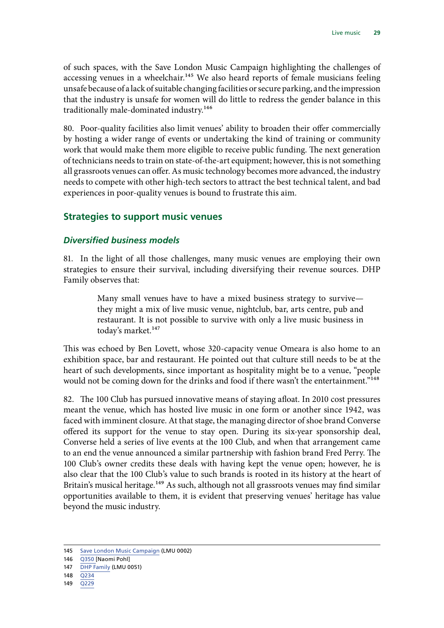<span id="page-30-0"></span>of such spaces, with the Save London Music Campaign highlighting the challenges of accessing venues in a wheelchair.<sup>145</sup> We also heard reports of female musicians feeling unsafe because of a lack of suitable changing facilities or secure parking, and the impression that the industry is unsafe for women will do little to redress the gender balance in this traditionally male-dominated industry.<sup>146</sup>

80. Poor-quality facilities also limit venues' ability to broaden their offer commercially by hosting a wider range of events or undertaking the kind of training or community work that would make them more eligible to receive public funding. The next generation of technicians needs to train on state-of-the-art equipment; however, this is not something all grassroots venues can offer. As music technology becomes more advanced, the industry needs to compete with other high-tech sectors to attract the best technical talent, and bad experiences in poor-quality venues is bound to frustrate this aim.

#### **Strategies to support music venues**

#### *Diversified business models*

81. In the light of all those challenges, many music venues are employing their own strategies to ensure their survival, including diversifying their revenue sources. DHP Family observes that:

> Many small venues have to have a mixed business strategy to survive they might a mix of live music venue, nightclub, bar, arts centre, pub and restaurant. It is not possible to survive with only a live music business in today's market.<sup>147</sup>

This was echoed by Ben Lovett, whose 320-capacity venue Omeara is also home to an exhibition space, bar and restaurant. He pointed out that culture still needs to be at the heart of such developments, since important as hospitality might be to a venue, "people would not be coming down for the drinks and food if there wasn't the entertainment."<sup>148</sup>

82. The 100 Club has pursued innovative means of staying afloat. In 2010 cost pressures meant the venue, which has hosted live music in one form or another since 1942, was faced with imminent closure. At that stage, the managing director of shoe brand Converse offered its support for the venue to stay open. During its six-year sponsorship deal, Converse held a series of live events at the 100 Club, and when that arrangement came to an end the venue announced a similar partnership with fashion brand Fred Perry. The 100 Club's owner credits these deals with having kept the venue open; however, he is also clear that the 100 Club's value to such brands is rooted in its history at the heart of Britain's musical heritage.<sup>149</sup> As such, although not all grassroots venues may find similar opportunities available to them, it is evident that preserving venues' heritage has value beyond the music industry.

149 [Q229](http://data.parliament.uk/writtenevidence/committeeevidence.svc/evidencedocument/digital-culture-media-and-sport-committee/live-music/oral/91709.pdf)

<sup>145</sup> [Save London Music Campaign](http://data.parliament.uk/writtenevidence/committeeevidence.svc/evidencedocument/digital-culture-media-and-sport-committee/live-music/written/77329.pdf) (LMU 0002)

<sup>146</sup> [Q350](http://data.parliament.uk/writtenevidence/committeeevidence.svc/evidencedocument/digital-culture-media-and-sport-committee/live-music/oral/92172.pdf) [Naomi Pohl]

<sup>147</sup> [DHP Family](http://data.parliament.uk/writtenevidence/committeeevidence.svc/evidencedocument/digital-culture-media-and-sport-committee/live-music/written/79632.pdf) (LMU 0051)

<sup>148</sup> [Q234](http://data.parliament.uk/writtenevidence/committeeevidence.svc/evidencedocument/digital-culture-media-and-sport-committee/live-music/oral/91709.pdf)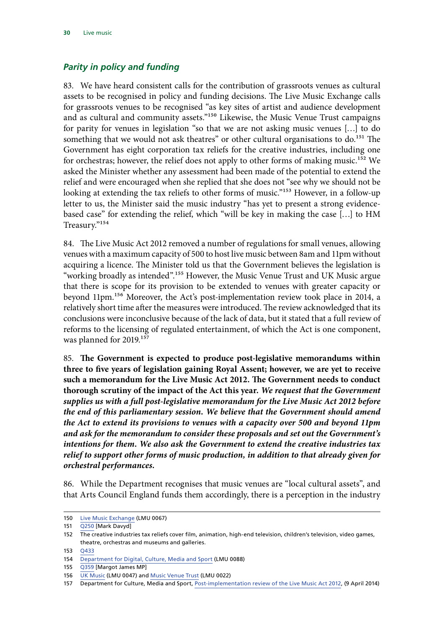#### <span id="page-31-0"></span>*Parity in policy and funding*

83. We have heard consistent calls for the contribution of grassroots venues as cultural assets to be recognised in policy and funding decisions. The Live Music Exchange calls for grassroots venues to be recognised "as key sites of artist and audience development and as cultural and community assets."150 Likewise, the Music Venue Trust campaigns for parity for venues in legislation "so that we are not asking music venues […] to do something that we would not ask theatres" or other cultural organisations to do.<sup>151</sup> The Government has eight corporation tax reliefs for the creative industries, including one for orchestras; however, the relief does not apply to other forms of making music.<sup>152</sup> We asked the Minister whether any assessment had been made of the potential to extend the relief and were encouraged when she replied that she does not "see why we should not be looking at extending the tax reliefs to other forms of music."<sup>153</sup> However, in a follow-up letter to us, the Minister said the music industry "has yet to present a strong evidencebased case" for extending the relief, which "will be key in making the case […] to HM Treasury."154

84. The Live Music Act 2012 removed a number of regulations for small venues, allowing venues with a maximum capacity of 500 to host live music between 8am and 11pm without acquiring a licence. The Minister told us that the Government believes the legislation is "working broadly as intended".155 However, the Music Venue Trust and UK Music argue that there is scope for its provision to be extended to venues with greater capacity or beyond 11pm.156 Moreover, the Act's post-implementation review took place in 2014, a relatively short time after the measures were introduced. The review acknowledged that its conclusions were inconclusive because of the lack of data, but it stated that a full review of reforms to the licensing of regulated entertainment, of which the Act is one component, was planned for 2019.<sup>157</sup>

85. **The Government is expected to produce post-legislative memorandums within three to five years of legislation gaining Royal Assent; however, we are yet to receive such a memorandum for the Live Music Act 2012. The Government needs to conduct thorough scrutiny of the impact of the Act this year.** *We request that the Government supplies us with a full post-legislative memorandum for the Live Music Act 2012 before the end of this parliamentary session. We believe that the Government should amend the Act to extend its provisions to venues with a capacity over 500 and beyond 11pm and ask for the memorandum to consider these proposals and set out the Government's intentions for them. We also ask the Government to extend the creative industries tax relief to support other forms of music production, in addition to that already given for orchestral performances.*

86. While the Department recognises that music venues are "local cultural assets", and that Arts Council England funds them accordingly, there is a perception in the industry

<sup>150</sup> [Live Music Exchange](http://data.parliament.uk/writtenevidence/committeeevidence.svc/evidencedocument/digital-culture-media-and-sport-committee/live-music/written/80926.pdf) (LMU 0067)

<sup>151</sup> [Q250](http://data.parliament.uk/writtenevidence/committeeevidence.svc/evidencedocument/digital-culture-media-and-sport-committee/live-music/oral/91709.pdf) [Mark Davyd]

<sup>152</sup> The creative industries tax reliefs cover film, animation, high-end television, children's television, video games, theatre, orchestras and museums and galleries.

<sup>153</sup> [Q433](http://data.parliament.uk/writtenevidence/committeeevidence.svc/evidencedocument/digital-culture-media-and-sport-committee/live-music/oral/93357.pdf)

<sup>154</sup> [Department for Digital, Culture, Media and Sport](http://data.parliament.uk/writtenevidence/committeeevidence.svc/evidencedocument/digital-culture-media-and-sport-committee/live-music/written/94984.pdf) (LMU 0088)

<sup>155</sup> [Q359](http://data.parliament.uk/writtenevidence/committeeevidence.svc/evidencedocument/digital-culture-media-and-sport-committee/live-music/oral/93357.pdf) [Margot James MP]

<sup>156</sup> [UK Music](http://data.parliament.uk/writtenevidence/committeeevidence.svc/evidencedocument/digital-culture-media-and-sport-committee/live-music/written/79332.pdf) (LMU 0047) and [Music Venue Trust](http://data.parliament.uk/writtenevidence/committeeevidence.svc/evidencedocument/digital-culture-media-and-sport-committee/live-music/written/78999.pdf) (LMU 0022)

<sup>157</sup> Department for Culture, Media and Sport, [Post-implementation review of the Live Music Act 2012,](https://assets.publishing.service.gov.uk/government/uploads/system/uploads/attachment_data/file/328503/Post-implementation_review_Impact_Assessment_of_the_Live_Music_Act_2012.pdf) (9 April 2014)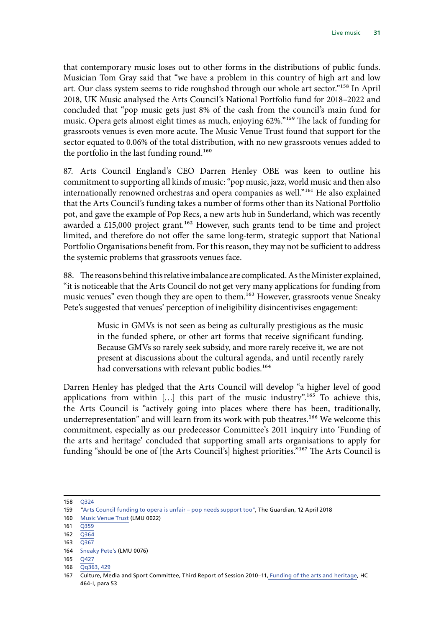that contemporary music loses out to other forms in the distributions of public funds. Musician Tom Gray said that "we have a problem in this country of high art and low art. Our class system seems to ride roughshod through our whole art sector."158 In April 2018, UK Music analysed the Arts Council's National Portfolio fund for 2018–2022 and concluded that "pop music gets just 8% of the cash from the council's main fund for music. Opera gets almost eight times as much, enjoying 62%."159 The lack of funding for grassroots venues is even more acute. The Music Venue Trust found that support for the sector equated to 0.06% of the total distribution, with no new grassroots venues added to the portfolio in the last funding round.<sup>160</sup>

87. Arts Council England's CEO Darren Henley OBE was keen to outline his commitment to supporting all kinds of music: "pop music, jazz, world music and then also internationally renowned orchestras and opera companies as well."161 He also explained that the Arts Council's funding takes a number of forms other than its National Portfolio pot, and gave the example of Pop Recs, a new arts hub in Sunderland, which was recently awarded a £15,000 project grant.<sup>162</sup> However, such grants tend to be time and project limited, and therefore do not offer the same long-term, strategic support that National Portfolio Organisations benefit from. For this reason, they may not be sufficient to address the systemic problems that grassroots venues face.

88. The reasons behind this relative imbalance are complicated. As the Minister explained, "it is noticeable that the Arts Council do not get very many applications for funding from music venues" even though they are open to them.<sup>163</sup> However, grassroots venue Sneaky Pete's suggested that venues' perception of ineligibility disincentivises engagement:

> Music in GMVs is not seen as being as culturally prestigious as the music in the funded sphere, or other art forms that receive significant funding. Because GMVs so rarely seek subsidy, and more rarely receive it, we are not present at discussions about the cultural agenda, and until recently rarely had conversations with relevant public bodies.<sup>164</sup>

Darren Henley has pledged that the Arts Council will develop "a higher level of good applications from within  $\left[\ldots\right]$  this part of the music industry".<sup>165</sup> To achieve this, the Arts Council is "actively going into places where there has been, traditionally, underrepresentation" and will learn from its work with pub theatres.<sup>166</sup> We welcome this commitment, especially as our predecessor Committee's 2011 inquiry into 'Funding of the arts and heritage' concluded that supporting small arts organisations to apply for funding "should be one of [the Arts Council's] highest priorities."<sup>167</sup> The Arts Council is

<sup>158</sup> [Q324](http://data.parliament.uk/writtenevidence/committeeevidence.svc/evidencedocument/digital-culture-media-and-sport-committee/live-music/oral/92172.pdf)

<sup>159</sup> ["Arts Council funding to opera is unfair – pop needs support too](https://www.theguardian.com/music/2018/apr/12/arts-council-music-funding-unfair-opera-pop)", The Guardian, 12 April 2018

<sup>160</sup> [Music Venue Trust](http://data.parliament.uk/writtenevidence/committeeevidence.svc/evidencedocument/digital-culture-media-and-sport-committee/live-music/written/78999.pdf) (LMU 0022)

<sup>161</sup> [Q359](http://data.parliament.uk/writtenevidence/committeeevidence.svc/evidencedocument/digital-culture-media-and-sport-committee/live-music/oral/93357.pdf)

 $162 \quad \overline{O364}$ 

<sup>163</sup> Q<sub>367</sub>

<sup>164</sup> [Sneaky Pete's](http://data.parliament.uk/writtenevidence/committeeevidence.svc/evidencedocument/digital-culture-media-and-sport-committee/live-music/written/81480.pdf) (LMU 0076)

<sup>165</sup> [Q427](http://data.parliament.uk/writtenevidence/committeeevidence.svc/evidencedocument/digital-culture-media-and-sport-committee/live-music/oral/93357.pdf)

<sup>166</sup> [Qq363, 429](http://data.parliament.uk/writtenevidence/committeeevidence.svc/evidencedocument/digital-culture-media-and-sport-committee/live-music/oral/93357.pdf)

<sup>167</sup> Culture, Media and Sport Committee, Third Report of Session 2010–11, [Funding of the arts and heritage,](https://publications.parliament.uk/pa/cm201011/cmselect/cmcumeds/464/464i.pdf) HC 464-I, para 53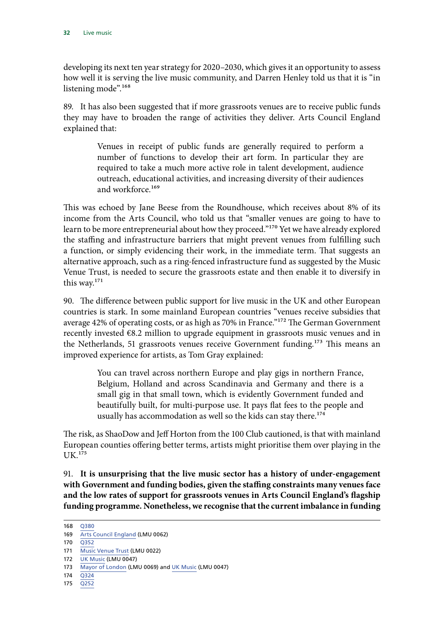developing its next ten year strategy for 2020–2030, which gives it an opportunity to assess how well it is serving the live music community, and Darren Henley told us that it is "in listening mode".<sup>168</sup>

89. It has also been suggested that if more grassroots venues are to receive public funds they may have to broaden the range of activities they deliver. Arts Council England explained that:

> Venues in receipt of public funds are generally required to perform a number of functions to develop their art form. In particular they are required to take a much more active role in talent development, audience outreach, educational activities, and increasing diversity of their audiences and workforce.169

This was echoed by Jane Beese from the Roundhouse, which receives about 8% of its income from the Arts Council, who told us that "smaller venues are going to have to learn to be more entrepreneurial about how they proceed."<sup>170</sup> Yet we have already explored the staffing and infrastructure barriers that might prevent venues from fulfilling such a function, or simply evidencing their work, in the immediate term. That suggests an alternative approach, such as a ring-fenced infrastructure fund as suggested by the Music Venue Trust, is needed to secure the grassroots estate and then enable it to diversify in this way.171

90. The difference between public support for live music in the UK and other European countries is stark. In some mainland European countries "venues receive subsidies that average 42% of operating costs, or as high as 70% in France."<sup>172</sup> The German Government recently invested €8.2 million to upgrade equipment in grassroots music venues and in the Netherlands, 51 grassroots venues receive Government funding.<sup>173</sup> This means an improved experience for artists, as Tom Gray explained:

> You can travel across northern Europe and play gigs in northern France, Belgium, Holland and across Scandinavia and Germany and there is a small gig in that small town, which is evidently Government funded and beautifully built, for multi-purpose use. It pays flat fees to the people and usually has accommodation as well so the kids can stay there.<sup>174</sup>

The risk, as ShaoDow and Jeff Horton from the 100 Club cautioned, is that with mainland European counties offering better terms, artists might prioritise them over playing in the UK.175

91. **It is unsurprising that the live music sector has a history of under-engagement with Government and funding bodies, given the staffing constraints many venues face and the low rates of support for grassroots venues in Arts Council England's flagship funding programme. Nonetheless, we recognise that the current imbalance in funding** 

<sup>168</sup> [Q380](http://data.parliament.uk/writtenevidence/committeeevidence.svc/evidencedocument/digital-culture-media-and-sport-committee/live-music/oral/93357.pdf) 169 [Arts Council England](http://data.parliament.uk/writtenevidence/committeeevidence.svc/evidencedocument/digital-culture-media-and-sport-committee/live-music/written/80822.pdf) (LMU 0062)

<sup>170</sup> [Q352](http://data.parliament.uk/writtenevidence/committeeevidence.svc/evidencedocument/digital-culture-media-and-sport-committee/live-music/oral/92172.pdf)

<sup>171</sup> [Music Venue Trust](http://data.parliament.uk/writtenevidence/committeeevidence.svc/evidencedocument/digital-culture-media-and-sport-committee/live-music/written/78999.pdf) (LMU 0022)

<sup>172</sup> [UK Music](http://data.parliament.uk/writtenevidence/committeeevidence.svc/evidencedocument/digital-culture-media-and-sport-committee/live-music/written/79332.pdf) (LMU 0047)

<sup>173</sup> [Mayor of London](http://data.parliament.uk/writtenevidence/committeeevidence.svc/evidencedocument/digital-culture-media-and-sport-committee/live-music/written/80944.pdf) (LMU 0069) and [UK Music](http://data.parliament.uk/writtenevidence/committeeevidence.svc/evidencedocument/digital-culture-media-and-sport-committee/live-music/written/79332.pdf) (LMU 0047)

<sup>174</sup> [Q324](http://data.parliament.uk/writtenevidence/committeeevidence.svc/evidencedocument/digital-culture-media-and-sport-committee/live-music/oral/92172.pdf)

<sup>175</sup> [Q252](http://data.parliament.uk/writtenevidence/committeeevidence.svc/evidencedocument/digital-culture-media-and-sport-committee/live-music/oral/91709.pdf)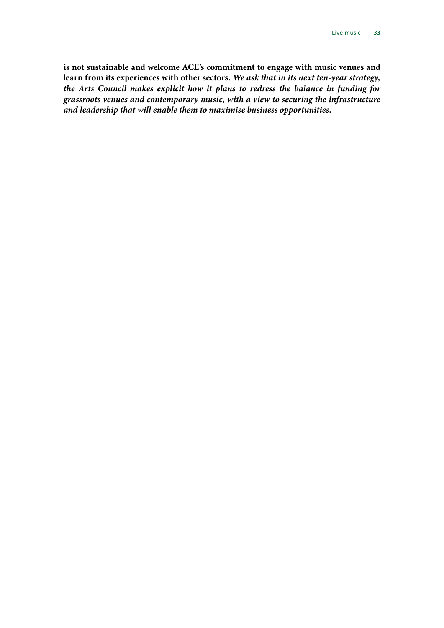**is not sustainable and welcome ACE's commitment to engage with music venues and learn from its experiences with other sectors.** *We ask that in its next ten-year strategy, the Arts Council makes explicit how it plans to redress the balance in funding for grassroots venues and contemporary music, with a view to securing the infrastructure and leadership that will enable them to maximise business opportunities.*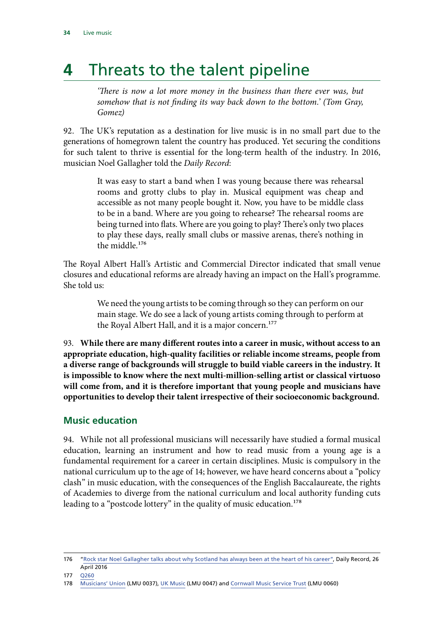## <span id="page-35-0"></span>**4** Threats to the talent pipeline

*'There is now a lot more money in the business than there ever was, but somehow that is not finding its way back down to the bottom.' (Tom Gray, Gomez)*

92. The UK's reputation as a destination for live music is in no small part due to the generations of homegrown talent the country has produced. Yet securing the conditions for such talent to thrive is essential for the long-term health of the industry. In 2016, musician Noel Gallagher told the *Daily Record*:

> It was easy to start a band when I was young because there was rehearsal rooms and grotty clubs to play in. Musical equipment was cheap and accessible as not many people bought it. Now, you have to be middle class to be in a band. Where are you going to rehearse? The rehearsal rooms are being turned into flats. Where are you going to play? There's only two places to play these days, really small clubs or massive arenas, there's nothing in the middle 176

The Royal Albert Hall's Artistic and Commercial Director indicated that small venue closures and educational reforms are already having an impact on the Hall's programme. She told us:

> We need the young artists to be coming through so they can perform on our main stage. We do see a lack of young artists coming through to perform at the Royal Albert Hall, and it is a major concern.<sup>177</sup>

93. **While there are many different routes into a career in music, without access to an appropriate education, high-quality facilities or reliable income streams, people from a diverse range of backgrounds will struggle to build viable careers in the industry. It is impossible to know where the next multi-million-selling artist or classical virtuoso will come from, and it is therefore important that young people and musicians have opportunities to develop their talent irrespective of their socioeconomic background.**

#### **Music education**

94. While not all professional musicians will necessarily have studied a formal musical education, learning an instrument and how to read music from a young age is a fundamental requirement for a career in certain disciplines. Music is compulsory in the national curriculum up to the age of 14; however, we have heard concerns about a "policy clash" in music education, with the consequences of the English Baccalaureate, the rights of Academies to diverge from the national curriculum and local authority funding cuts leading to a "postcode lottery" in the quality of music education.<sup>178</sup>

<sup>176</sup> "Rock star Noel Gallagher talks about why Scotland has always been at the heart of his career", Daily Record, 26 April 2016

<sup>177</sup> [Q260](http://data.parliament.uk/writtenevidence/committeeevidence.svc/evidencedocument/digital-culture-media-and-sport-committee/live-music/oral/91709.pdf)

<sup>178</sup> [Musicians' Union](http://data.parliament.uk/writtenevidence/committeeevidence.svc/evidencedocument/digital-culture-media-and-sport-committee/live-music/written/79255.pdf) (LMU 0037), [UK Music](http://data.parliament.uk/writtenevidence/committeeevidence.svc/evidencedocument/digital-culture-media-and-sport-committee/live-music/written/79332.pdf) (LMU 0047) and [Cornwall Music Service Trust](http://data.parliament.uk/writtenevidence/committeeevidence.svc/evidencedocument/digital-culture-media-and-sport-committee/live-music/written/80199.pdf) (LMU 0060)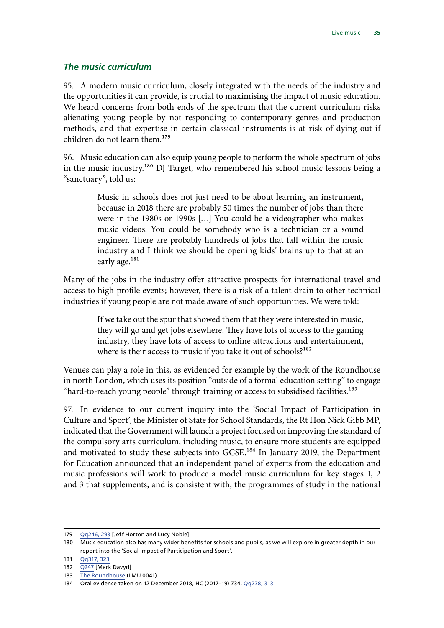#### <span id="page-36-0"></span>*The music curriculum*

95. A modern music curriculum, closely integrated with the needs of the industry and the opportunities it can provide, is crucial to maximising the impact of music education. We heard concerns from both ends of the spectrum that the current curriculum risks alienating young people by not responding to contemporary genres and production methods, and that expertise in certain classical instruments is at risk of dying out if children do not learn them.<sup>179</sup>

96. Music education can also equip young people to perform the whole spectrum of jobs in the music industry.180 DJ Target, who remembered his school music lessons being a "sanctuary", told us:

> Music in schools does not just need to be about learning an instrument, because in 2018 there are probably 50 times the number of jobs than there were in the 1980s or 1990s […] You could be a videographer who makes music videos. You could be somebody who is a technician or a sound engineer. There are probably hundreds of jobs that fall within the music industry and I think we should be opening kids' brains up to that at an early age.<sup>181</sup>

Many of the jobs in the industry offer attractive prospects for international travel and access to high-profile events; however, there is a risk of a talent drain to other technical industries if young people are not made aware of such opportunities. We were told:

> If we take out the spur that showed them that they were interested in music, they will go and get jobs elsewhere. They have lots of access to the gaming industry, they have lots of access to online attractions and entertainment, where is their access to music if you take it out of schools?<sup>182</sup>

Venues can play a role in this, as evidenced for example by the work of the Roundhouse in north London, which uses its position "outside of a formal education setting" to engage "hard-to-reach young people" through training or access to subsidised facilities.<sup>183</sup>

97. In evidence to our current inquiry into the 'Social Impact of Participation in Culture and Sport', the Minister of State for School Standards, the Rt Hon Nick Gibb MP, indicated that the Government will launch a project focused on improving the standard of the compulsory arts curriculum, including music, to ensure more students are equipped and motivated to study these subjects into GCSE.<sup>184</sup> In January 2019, the Department for Education announced that an independent panel of experts from the education and music professions will work to produce a model music curriculum for key stages 1, 2 and 3 that supplements, and is consistent with, the programmes of study in the national

<sup>179</sup> Og246, 293 Lleff Horton and Lucy Noblel

<sup>180</sup> Music education also has many wider benefits for schools and pupils, as we will explore in greater depth in our report into the 'Social Impact of Participation and Sport'.

<sup>181</sup> [Qq317, 323](http://data.parliament.uk/writtenevidence/committeeevidence.svc/evidencedocument/digital-culture-media-and-sport-committee/live-music/oral/92172.pdf)

<sup>182</sup> [Q247](http://data.parliament.uk/writtenevidence/committeeevidence.svc/evidencedocument/digital-culture-media-and-sport-committee/live-music/oral/91709.pdf) [Mark Davyd]

<sup>183</sup> [The Roundhouse](http://data.parliament.uk/writtenevidence/committeeevidence.svc/evidencedocument/digital-culture-media-and-sport-committee/live-music/written/79290.pdf) (LMU 0041)

<sup>184</sup> Oral evidence taken on 12 December 2018, HC (2017–19) 734, [Qq278, 313](http://data.parliament.uk/writtenevidence/committeeevidence.svc/evidencedocument/digital-culture-media-and-sport-committee/the-social-impact-of-participation-in-culture-and-sport/oral/93899.pdf)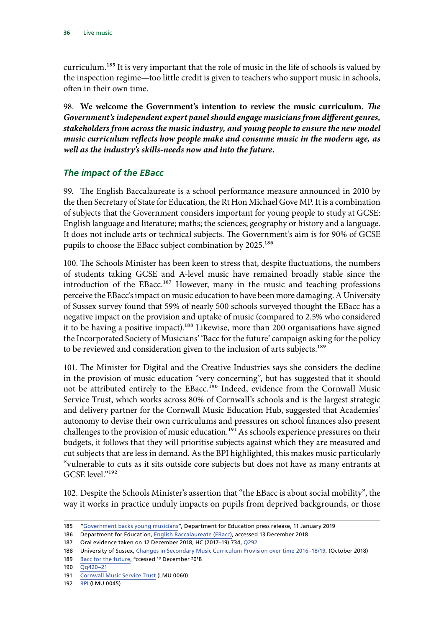<span id="page-37-0"></span>curriculum.185 It is very important that the role of music in the life of schools is valued by the inspection regime—too little credit is given to teachers who support music in schools, often in their own time.

98. **We welcome the Government's intention to review the music curriculum.** *The Government's independent expert panel should engage musicians from different genres, stakeholders from across the music industry, and young people to ensure the new model music curriculum reflects how people make and consume music in the modern age, as well as the industry's skills-needs now and into the future.*

#### *The impact of the EBacc*

99. The English Baccalaureate is a school performance measure announced in 2010 by the then Secretary of State for Education, the Rt Hon Michael Gove MP. It is a combination of subjects that the Government considers important for young people to study at GCSE: English language and literature; maths; the sciences; geography or history and a language. It does not include arts or technical subjects. The Government's aim is for 90% of GCSE pupils to choose the EBacc subject combination by 2025.<sup>186</sup>

100. The Schools Minister has been keen to stress that, despite fluctuations, the numbers of students taking GCSE and A-level music have remained broadly stable since the introduction of the EBacc.<sup>187</sup> However, many in the music and teaching professions perceive the EBacc's impact on music education to have been more damaging. A University of Sussex survey found that 59% of nearly 500 schools surveyed thought the EBacc has a negative impact on the provision and uptake of music (compared to 2.5% who considered it to be having a positive impact).<sup>188</sup> Likewise, more than 200 organisations have signed the Incorporated Society of Musicians' 'Bacc for the future' campaign asking for the policy to be reviewed and consideration given to the inclusion of arts subjects.<sup>189</sup>

101. The Minister for Digital and the Creative Industries says she considers the decline in the provision of music education "very concerning", but has suggested that it should not be attributed entirely to the EBacc.<sup>190</sup> Indeed, evidence from the Cornwall Music Service Trust, which works across 80% of Cornwall's schools and is the largest strategic and delivery partner for the Cornwall Music Education Hub, suggested that Academies' autonomy to devise their own curriculums and pressures on school finances also present challenges to the provision of music education.<sup>191</sup> As schools experience pressures on their budgets, it follows that they will prioritise subjects against which they are measured and cut subjects that are less in demand. As the BPI highlighted, this makes music particularly "vulnerable to cuts as it sits outside core subjects but does not have as many entrants at GCSE level."192

102. Despite the Schools Minister's assertion that "the EBacc is about social mobility", the way it works in practice unduly impacts on pupils from deprived backgrounds, or those

189 [Bacc for the future,](https://www.baccforthefuture.com/) <sup>a</sup>ccessed <sup>13</sup> December <sup>2</sup>018

192 [BPI](http://data.parliament.uk/writtenevidence/committeeevidence.svc/evidencedocument/digital-culture-media-and-sport-committee/live-music/written/79317.pdf) (LMU 0045)

<sup>185</sup> "[Government backs young musicians](https://www.gov.uk/government/news/government-backs-young-musicians)", Department for Education press release, 11 January 2019

<sup>186</sup> Department for Education, [English Baccalaureate \(EBacc\)](https://www.gov.uk/government/publications/english-baccalaureate-ebacc/english-baccalaureate-ebacc), accessed 13 December 2018

<sup>187</sup> Oral evidence taken on 12 December 2018, HC (2017–19) 734, [Q292](http://data.parliament.uk/writtenevidence/committeeevidence.svc/evidencedocument/digital-culture-media-and-sport-committee/the-social-impact-of-participation-in-culture-and-sport/oral/93899.pdf)

<sup>188</sup> University of Sussex, [Changes in Secondary Music Curriculum Provision over time 2016–18/19,](https://www.ism.org/images/images/SUMMARY-Changes-in-Secondary-Music-Curriculum-Provision-2016-18.pdf) (October 2018)

<sup>190</sup> [Qq420–21](http://data.parliament.uk/writtenevidence/committeeevidence.svc/evidencedocument/digital-culture-media-and-sport-committee/live-music/oral/93357.pdf)

<sup>191</sup> [Cornwall Music Service Trust](http://data.parliament.uk/writtenevidence/committeeevidence.svc/evidencedocument/digital-culture-media-and-sport-committee/live-music/written/80199.pdf) (LMU 0060)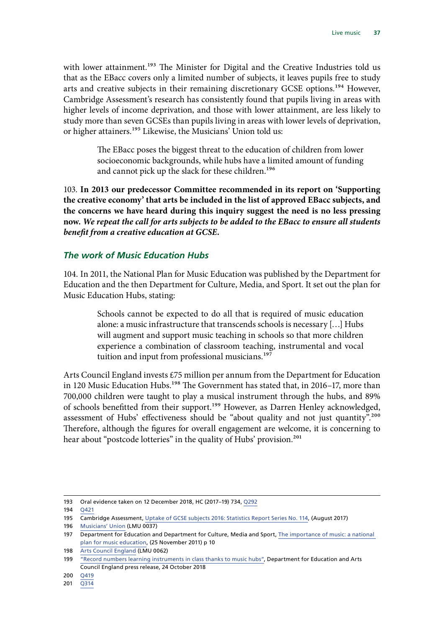<span id="page-38-0"></span>with lower attainment.<sup>193</sup> The Minister for Digital and the Creative Industries told us that as the EBacc covers only a limited number of subjects, it leaves pupils free to study arts and creative subjects in their remaining discretionary GCSE options.<sup>194</sup> However, Cambridge Assessment's research has consistently found that pupils living in areas with higher levels of income deprivation, and those with lower attainment, are less likely to study more than seven GCSEs than pupils living in areas with lower levels of deprivation, or higher attainers.<sup>195</sup> Likewise, the Musicians' Union told us:

> The EBacc poses the biggest threat to the education of children from lower socioeconomic backgrounds, while hubs have a limited amount of funding and cannot pick up the slack for these children.<sup>196</sup>

103. **In 2013 our predecessor Committee recommended in its report on 'Supporting the creative economy' that arts be included in the list of approved EBacc subjects, and the concerns we have heard during this inquiry suggest the need is no less pressing now.** *We repeat the call for arts subjects to be added to the EBacc to ensure all students benefit from a creative education at GCSE.*

#### *The work of Music Education Hubs*

104. In 2011, the National Plan for Music Education was published by the Department for Education and the then Department for Culture, Media, and Sport. It set out the plan for Music Education Hubs, stating:

> Schools cannot be expected to do all that is required of music education alone: a music infrastructure that transcends schools is necessary […] Hubs will augment and support music teaching in schools so that more children experience a combination of classroom teaching, instrumental and vocal tuition and input from professional musicians.<sup>197</sup>

Arts Council England invests £75 million per annum from the Department for Education in 120 Music Education Hubs.<sup>198</sup> The Government has stated that, in 2016–17, more than 700,000 children were taught to play a musical instrument through the hubs, and 89% of schools benefitted from their support.<sup>199</sup> However, as Darren Henley acknowledged, assessment of Hubs' effectiveness should be "about quality and not just quantity".<sup>200</sup> Therefore, although the figures for overall engagement are welcome, it is concerning to hear about "postcode lotteries" in the quality of Hubs' provision.<sup>201</sup>

<sup>193</sup> Oral evidence taken on 12 December 2018, HC (2017–19) 734, [Q292](http://data.parliament.uk/writtenevidence/committeeevidence.svc/evidencedocument/digital-culture-media-and-sport-committee/the-social-impact-of-participation-in-culture-and-sport/oral/93899.pdf)

<sup>194</sup> [Q421](http://data.parliament.uk/writtenevidence/committeeevidence.svc/evidencedocument/digital-culture-media-and-sport-committee/live-music/oral/93357.pdf)

<sup>195</sup> Cambridge Assessment, [Uptake of GCSE subjects 2016: Statistics Report Series No. 114](http://www.cambridgeassessment.org.uk/Images/420406-uptake-of-gcse-subjects-2016.pdf), (August 2017)

<sup>196</sup> [Musicians' Union](http://data.parliament.uk/writtenevidence/committeeevidence.svc/evidencedocument/digital-culture-media-and-sport-committee/live-music/written/79255.pdf) (LMU 0037)

<sup>197</sup> Department for Education and Department for Culture, Media and Sport, The importance of music: a national [plan for music education](https://www.gov.uk/government/uploads/system/uploads/attachment_data/file/180973/DFE-00086-2011.pdf), (25 November 2011) p 10

<sup>198</sup> [Arts Council England](http://data.parliament.uk/writtenevidence/committeeevidence.svc/evidencedocument/digital-culture-media-and-sport-committee/live-music/written/80822.pdf) (LMU 0062)

<sup>199</sup> ["Record numbers learning instruments in class thanks to music hubs](https://www.gov.uk/government/news/record-numbers-learning-instruments-in-class-thanks-to-music-hubs?utm_source=1c9844be-4f70-4716-adda-f4acb8a8fcec&utm_medium=email&utm_campaign=govuk-notifications&utm_content=daily)", Department for Education and Arts Council England press release, 24 October 2018

<sup>200</sup> [Q419](http://data.parliament.uk/writtenevidence/committeeevidence.svc/evidencedocument/digital-culture-media-and-sport-committee/live-music/oral/93357.pdf)

<sup>201</sup> [Q314](http://data.parliament.uk/writtenevidence/committeeevidence.svc/evidencedocument/digital-culture-media-and-sport-committee/live-music/oral/92172.pdf)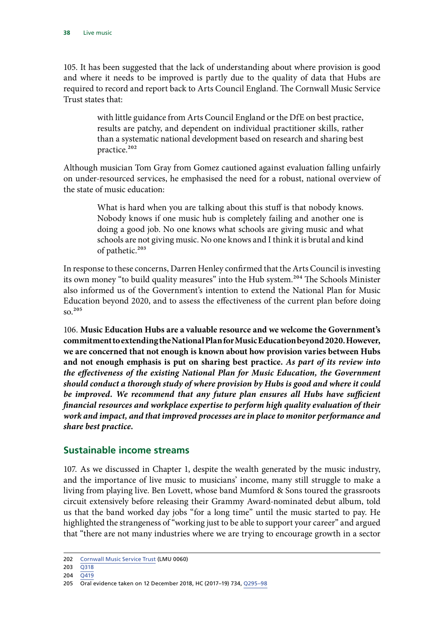<span id="page-39-0"></span>105. It has been suggested that the lack of understanding about where provision is good and where it needs to be improved is partly due to the quality of data that Hubs are required to record and report back to Arts Council England. The Cornwall Music Service Trust states that:

> with little guidance from Arts Council England or the DfE on best practice, results are patchy, and dependent on individual practitioner skills, rather than a systematic national development based on research and sharing best practice.<sup>202</sup>

Although musician Tom Gray from Gomez cautioned against evaluation falling unfairly on under-resourced services, he emphasised the need for a robust, national overview of the state of music education:

> What is hard when you are talking about this stuff is that nobody knows. Nobody knows if one music hub is completely failing and another one is doing a good job. No one knows what schools are giving music and what schools are not giving music. No one knows and I think it is brutal and kind of pathetic.<sup>203</sup>

In response to these concerns, Darren Henley confirmed that the Arts Council is investing its own money "to build quality measures" into the Hub system.<sup>204</sup> The Schools Minister also informed us of the Government's intention to extend the National Plan for Music Education beyond 2020, and to assess the effectiveness of the current plan before doing so.205

106. **Music Education Hubs are a valuable resource and we welcome the Government's commitment to extending the National Plan for Music Education beyond 2020. However, we are concerned that not enough is known about how provision varies between Hubs and not enough emphasis is put on sharing best practice.** *As part of its review into the effectiveness of the existing National Plan for Music Education, the Government should conduct a thorough study of where provision by Hubs is good and where it could*  be improved. We recommend that any future plan ensures all Hubs have sufficient *financial resources and workplace expertise to perform high quality evaluation of their work and impact, and that improved processes are in place to monitor performance and share best practice.*

#### **Sustainable income streams**

107. As we discussed in Chapter 1, despite the wealth generated by the music industry, and the importance of live music to musicians' income, many still struggle to make a living from playing live. Ben Lovett, whose band Mumford & Sons toured the grassroots circuit extensively before releasing their Grammy Award-nominated debut album, told us that the band worked day jobs "for a long time" until the music started to pay. He highlighted the strangeness of "working just to be able to support your career" and argued that "there are not many industries where we are trying to encourage growth in a sector

<sup>202</sup> [Cornwall Music Service Trust](http://data.parliament.uk/writtenevidence/committeeevidence.svc/evidencedocument/digital-culture-media-and-sport-committee/live-music/written/80199.pdf) (LMU 0060)

<sup>203</sup> [Q318](http://data.parliament.uk/writtenevidence/committeeevidence.svc/evidencedocument/digital-culture-media-and-sport-committee/live-music/oral/92172.pdf)

<sup>204</sup> [Q419](http://data.parliament.uk/writtenevidence/committeeevidence.svc/evidencedocument/digital-culture-media-and-sport-committee/live-music/oral/93357.pdf)

<sup>205</sup> Oral evidence taken on 12 December 2018, HC (2017–19) 734, [Q295–98](http://data.parliament.uk/writtenevidence/committeeevidence.svc/evidencedocument/digital-culture-media-and-sport-committee/the-social-impact-of-participation-in-culture-and-sport/oral/93899.pdf)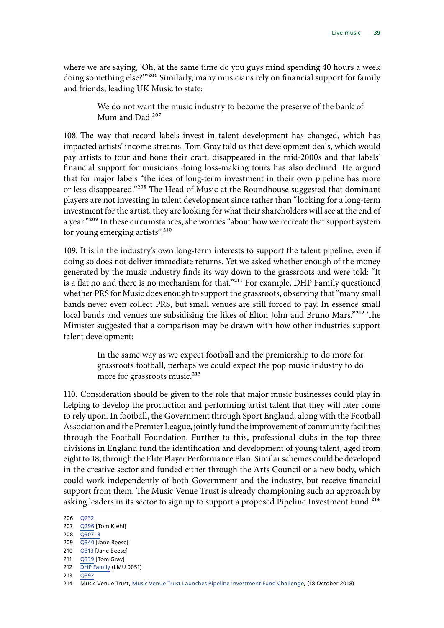where we are saying, 'Oh, at the same time do you guys mind spending 40 hours a week doing something else?"<sup>206</sup> Similarly, many musicians rely on financial support for family and friends, leading UK Music to state:

> We do not want the music industry to become the preserve of the bank of Mum and Dad.<sup>207</sup>

108. The way that record labels invest in talent development has changed, which has impacted artists' income streams. Tom Gray told us that development deals, which would pay artists to tour and hone their craft, disappeared in the mid-2000s and that labels' financial support for musicians doing loss-making tours has also declined. He argued that for major labels "the idea of long-term investment in their own pipeline has more or less disappeared."208 The Head of Music at the Roundhouse suggested that dominant players are not investing in talent development since rather than "looking for a long-term investment for the artist, they are looking for what their shareholders will see at the end of a year."<sup>209</sup> In these circumstances, she worries "about how we recreate that support system for young emerging artists".<sup>210</sup>

109. It is in the industry's own long-term interests to support the talent pipeline, even if doing so does not deliver immediate returns. Yet we asked whether enough of the money generated by the music industry finds its way down to the grassroots and were told: "It is a flat no and there is no mechanism for that."<sup>211</sup> For example, DHP Family questioned whether PRS for Music does enough to support the grassroots, observing that "many small bands never even collect PRS, but small venues are still forced to pay. In essence small local bands and venues are subsidising the likes of Elton John and Bruno Mars."<sup>212</sup> The Minister suggested that a comparison may be drawn with how other industries support talent development:

> In the same way as we expect football and the premiership to do more for grassroots football, perhaps we could expect the pop music industry to do more for grassroots music.<sup>213</sup>

110. Consideration should be given to the role that major music businesses could play in helping to develop the production and performing artist talent that they will later come to rely upon. In football, the Government through Sport England, along with the Football Association and the Premier League, jointly fund the improvement of community facilities through the Football Foundation. Further to this, professional clubs in the top three divisions in England fund the identification and development of young talent, aged from eight to 18, through the Elite Player Performance Plan. Similar schemes could be developed in the creative sector and funded either through the Arts Council or a new body, which could work independently of both Government and the industry, but receive financial support from them. The Music Venue Trust is already championing such an approach by asking leaders in its sector to sign up to support a proposed Pipeline Investment Fund.<sup>214</sup>

<sup>206</sup> [Q232](http://data.parliament.uk/writtenevidence/committeeevidence.svc/evidencedocument/digital-culture-media-and-sport-committee/live-music/oral/91709.pdf)

<sup>207</sup> [Q296](http://data.parliament.uk/writtenevidence/committeeevidence.svc/evidencedocument/digital-culture-media-and-sport-committee/live-music/oral/91709.pdf) [Tom Kiehl]

 $208$   $\overline{0307} - 8$ 

<sup>209</sup> [Q340](http://data.parliament.uk/writtenevidence/committeeevidence.svc/evidencedocument/digital-culture-media-and-sport-committee/live-music/oral/92172.pdf) [Jane Beese] 210 [Q313](http://data.parliament.uk/writtenevidence/committeeevidence.svc/evidencedocument/digital-culture-media-and-sport-committee/live-music/oral/92172.pdf) [Jane Beese]

<sup>211</sup> [Q339](http://data.parliament.uk/writtenevidence/committeeevidence.svc/evidencedocument/digital-culture-media-and-sport-committee/live-music/oral/92172.pdf) [Tom Gray]

<sup>212</sup> [DHP Family](http://data.parliament.uk/writtenevidence/committeeevidence.svc/evidencedocument/digital-culture-media-and-sport-committee/live-music/written/79632.pdf) (LMU 0051)

<sup>213</sup> [Q392](http://data.parliament.uk/writtenevidence/committeeevidence.svc/evidencedocument/digital-culture-media-and-sport-committee/live-music/oral/93357.pdf)

<sup>214</sup> Music Venue Trust, [Music Venue Trust Launches Pipeline Investment Fund Challenge,](http://musicvenuetrust.com/2018/10/music-venue-trust-launches-pipeline-investment-fund-challenge/) (18 October 2018)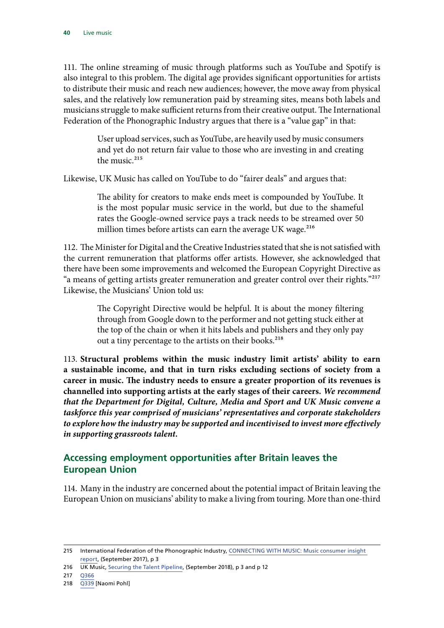<span id="page-41-0"></span>111. The online streaming of music through platforms such as YouTube and Spotify is also integral to this problem. The digital age provides significant opportunities for artists to distribute their music and reach new audiences; however, the move away from physical sales, and the relatively low remuneration paid by streaming sites, means both labels and musicians struggle to make sufficient returns from their creative output. The International Federation of the Phonographic Industry argues that there is a "value gap" in that:

> User upload services, such as YouTube, are heavily used by music consumers and yet do not return fair value to those who are investing in and creating the music. $215$

Likewise, UK Music has called on YouTube to do "fairer deals" and argues that:

The ability for creators to make ends meet is compounded by YouTube. It is the most popular music service in the world, but due to the shameful rates the Google-owned service pays a track needs to be streamed over 50 million times before artists can earn the average UK wage.<sup>216</sup>

112. The Minister for Digital and the Creative Industries stated that she is not satisfied with the current remuneration that platforms offer artists. However, she acknowledged that there have been some improvements and welcomed the European Copyright Directive as "a means of getting artists greater remuneration and greater control over their rights."217 Likewise, the Musicians' Union told us:

> The Copyright Directive would be helpful. It is about the money filtering through from Google down to the performer and not getting stuck either at the top of the chain or when it hits labels and publishers and they only pay out a tiny percentage to the artists on their books.<sup>218</sup>

113. **Structural problems within the music industry limit artists' ability to earn a sustainable income, and that in turn risks excluding sections of society from a career in music. The industry needs to ensure a greater proportion of its revenues is channelled into supporting artists at the early stages of their careers.** *We recommend that the Department for Digital, Culture, Media and Sport and UK Music convene a taskforce this year comprised of musicians' representatives and corporate stakeholders to explore how the industry may be supported and incentivised to invest more effectively in supporting grassroots talent.*

#### **Accessing employment opportunities after Britain leaves the European Union**

114. Many in the industry are concerned about the potential impact of Britain leaving the European Union on musicians' ability to make a living from touring. More than one-third

<sup>215</sup> International Federation of the Phonographic Industry, [CONNECTING WITH MUSIC: Music consumer insight](https://www.ifpi.org/downloads/Music-Consumer-Insight-Report-2017.pdf)  [report,](https://www.ifpi.org/downloads/Music-Consumer-Insight-Report-2017.pdf) (September 2017), p 3

<sup>216</sup> UK Music, [Securing the Talent Pipeline,](https://www.ukmusic.org/assets/general/Talent_Pipeline_2018.pdf) (September 2018), p 3 and p 12

<sup>217</sup> [Q366](http://data.parliament.uk/writtenevidence/committeeevidence.svc/evidencedocument/digital-culture-media-and-sport-committee/live-music/oral/93357.pdf)

<sup>218</sup> [Q339](http://data.parliament.uk/writtenevidence/committeeevidence.svc/evidencedocument/digital-culture-media-and-sport-committee/live-music/oral/92172.pdf) [Naomi Pohl]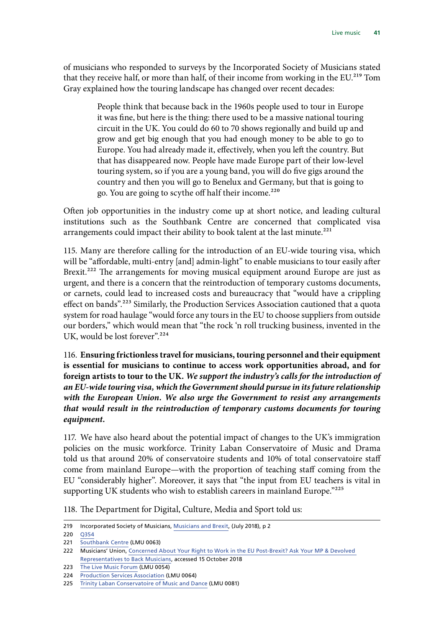of musicians who responded to surveys by the Incorporated Society of Musicians stated that they receive half, or more than half, of their income from working in the EU.<sup>219</sup> Tom Gray explained how the touring landscape has changed over recent decades:

> People think that because back in the 1960s people used to tour in Europe it was fine, but here is the thing: there used to be a massive national touring circuit in the UK. You could do 60 to 70 shows regionally and build up and grow and get big enough that you had enough money to be able to go to Europe. You had already made it, effectively, when you left the country. But that has disappeared now. People have made Europe part of their low-level touring system, so if you are a young band, you will do five gigs around the country and then you will go to Benelux and Germany, but that is going to go. You are going to scythe off half their income.<sup>220</sup>

Often job opportunities in the industry come up at short notice, and leading cultural institutions such as the Southbank Centre are concerned that complicated visa arrangements could impact their ability to book talent at the last minute.<sup>221</sup>

115. Many are therefore calling for the introduction of an EU-wide touring visa, which will be "affordable, multi-entry [and] admin-light" to enable musicians to tour easily after Brexit.<sup>222</sup> The arrangements for moving musical equipment around Europe are just as urgent, and there is a concern that the reintroduction of temporary customs documents, or carnets, could lead to increased costs and bureaucracy that "would have a crippling effect on bands".223 Similarly, the Production Services Association cautioned that a quota system for road haulage "would force any tours in the EU to choose suppliers from outside our borders," which would mean that "the rock 'n roll trucking business, invented in the UK, would be lost forever".<sup>224</sup>

116. **Ensuring frictionless travel for musicians, touring personnel and their equipment is essential for musicians to continue to access work opportunities abroad, and for foreign artists to tour to the UK.** *We support the industry's calls for the introduction of an EU-wide touring visa, which the Government should pursue in its future relationship with the European Union. We also urge the Government to resist any arrangements that would result in the reintroduction of temporary customs documents for touring equipment.*

117. We have also heard about the potential impact of changes to the UK's immigration policies on the music workforce. Trinity Laban Conservatoire of Music and Drama told us that around 20% of conservatoire students and 10% of total conservatoire staff come from mainland Europe—with the proportion of teaching staff coming from the EU "considerably higher". Moreover, it says that "the input from EU teachers is vital in supporting UK students who wish to establish careers in mainland Europe."225

118. The Department for Digital, Culture, Media and Sport told us:

221 [Southbank Centre](http://data.parliament.uk/writtenevidence/committeeevidence.svc/evidencedocument/digital-culture-media-and-sport-committee/live-music/written/80833.pdf) (LMU 0063)

<sup>219</sup> Incorporated Society of Musicians, [Musicians and Brexit](https://www.ism.org/images/images/ISM_Brexit-Report_A4_July-2018_online.pdf), (July 2018), p 2

<sup>220</sup> [Q354](http://data.parliament.uk/writtenevidence/committeeevidence.svc/evidencedocument/digital-culture-media-and-sport-committee/live-music/oral/92172.pdf)

<sup>222</sup> Musicians' Union, [Concerned About Your Right to Work in the EU Post-Brexit? Ask Your MP & Devolved](https://www.musiciansunion.org.uk/Home/News/2018/Sep/Concerned-About-Your-Right-to-Work-in-the-EU-Post)  [Representatives to Back Musicians,](https://www.musiciansunion.org.uk/Home/News/2018/Sep/Concerned-About-Your-Right-to-Work-in-the-EU-Post) accessed 15 October 2018

<sup>223</sup> [The Live Music Forum](http://data.parliament.uk/writtenevidence/committeeevidence.svc/evidencedocument/digital-culture-media-and-sport-committee/live-music/written/79864.pdf) (LMU 0054)

<sup>224</sup> [Production Services Association](http://data.parliament.uk/writtenevidence/committeeevidence.svc/evidencedocument/digital-culture-media-and-sport-committee/live-music/written/80853.pdf) (LMU 0064)

<sup>225</sup> [Trinity Laban Conservatoire of Music and Dance](http://data.parliament.uk/writtenevidence/committeeevidence.svc/evidencedocument/digital-culture-media-and-sport-committee/live-music/written/88150.html) (LMU 0081)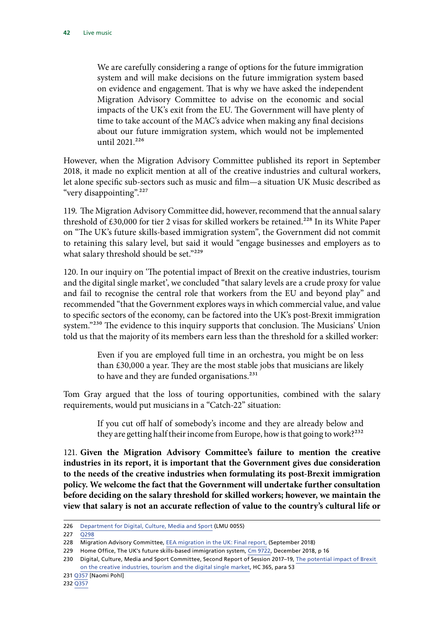We are carefully considering a range of options for the future immigration system and will make decisions on the future immigration system based on evidence and engagement. That is why we have asked the independent Migration Advisory Committee to advise on the economic and social impacts of the UK's exit from the EU. The Government will have plenty of time to take account of the MAC's advice when making any final decisions about our future immigration system, which would not be implemented until 2021.<sup>226</sup>

However, when the Migration Advisory Committee published its report in September 2018, it made no explicit mention at all of the creative industries and cultural workers, let alone specific sub-sectors such as music and film—a situation UK Music described as "very disappointing".<sup>227</sup>

119. The Migration Advisory Committee did, however, recommend that the annual salary threshold of £30,000 for tier 2 visas for skilled workers be retained.<sup>228</sup> In its White Paper on "The UK's future skills-based immigration system", the Government did not commit to retaining this salary level, but said it would "engage businesses and employers as to what salary threshold should be set."229

120. In our inquiry on 'The potential impact of Brexit on the creative industries, tourism and the digital single market', we concluded "that salary levels are a crude proxy for value and fail to recognise the central role that workers from the EU and beyond play" and recommended "that the Government explores ways in which commercial value, and value to specific sectors of the economy, can be factored into the UK's post-Brexit immigration system."<sup>230</sup> The evidence to this inquiry supports that conclusion. The Musicians' Union told us that the majority of its members earn less than the threshold for a skilled worker:

> Even if you are employed full time in an orchestra, you might be on less than £30,000 a year. They are the most stable jobs that musicians are likely to have and they are funded organisations.<sup>231</sup>

Tom Gray argued that the loss of touring opportunities, combined with the salary requirements, would put musicians in a "Catch-22" situation:

> If you cut off half of somebody's income and they are already below and they are getting half their income from Europe, how is that going to work?<sup>232</sup>

121. **Given the Migration Advisory Committee's failure to mention the creative industries in its report, it is important that the Government gives due consideration to the needs of the creative industries when formulating its post-Brexit immigration policy. We welcome the fact that the Government will undertake further consultation before deciding on the salary threshold for skilled workers; however, we maintain the view that salary is not an accurate reflection of value to the country's cultural life or** 

<sup>226</sup> [Department for Digital, Culture, Media and Sport](http://data.parliament.uk/writtenevidence/committeeevidence.svc/evidencedocument/digital-culture-media-and-sport-committee/live-music/written/79962.pdf) (LMU 0055)

 $227 \overline{O298}$ 

<sup>228</sup> Migration Advisory Committee, [EEA migration in the UK: Final report](https://assets.publishing.service.gov.uk/government/uploads/system/uploads/attachment_data/file/741926/Final_EEA_report.PDF), (September 2018)

<sup>229</sup> Home Office, The UK's future skills-based immigration system, [Cm 9722,](https://assets.publishing.service.gov.uk/government/uploads/system/uploads/attachment_data/file/766465/The-UKs-future-skills-based-immigration-system-print-ready.pdf) December 2018, p 16

<sup>230</sup> Digital, Culture, Media and Sport Committee, Second Report of Session 2017–19, [The potential impact of Brexit](https://publications.parliament.uk/pa/cm201719/cmselect/cmcumeds/365/365.pdf)  [on the creative industries, tourism and the digital single market](https://publications.parliament.uk/pa/cm201719/cmselect/cmcumeds/365/365.pdf), HC 365, para 53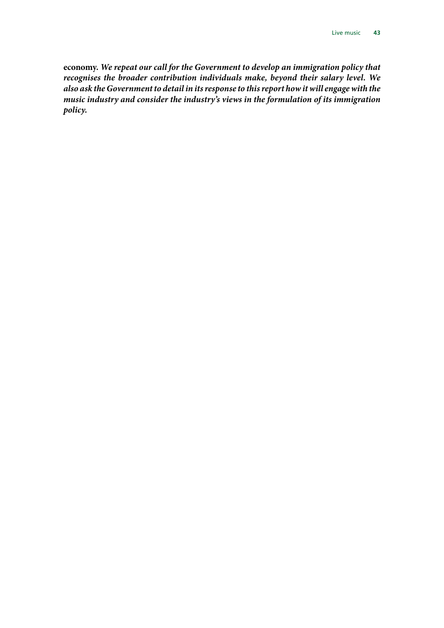**economy.** *We repeat our call for the Government to develop an immigration policy that recognises the broader contribution individuals make, beyond their salary level. We also ask the Government to detail in its response to this report how it will engage with the music industry and consider the industry's views in the formulation of its immigration policy.*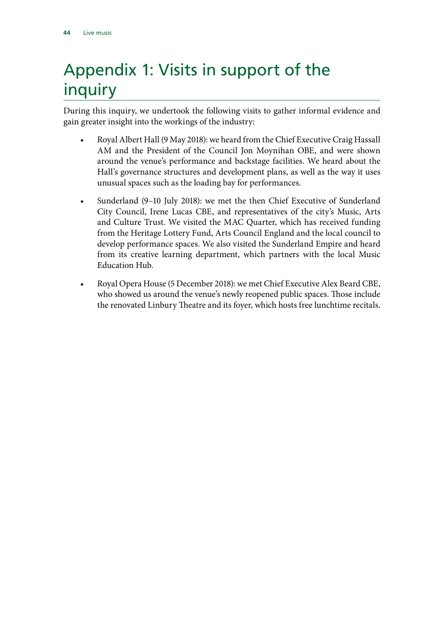## <span id="page-45-0"></span>Appendix 1: Visits in support of the inquiry

During this inquiry, we undertook the following visits to gather informal evidence and gain greater insight into the workings of the industry:

- Royal Albert Hall (9 May 2018): we heard from the Chief Executive Craig Hassall AM and the President of the Council Jon Moynihan OBE, and were shown around the venue's performance and backstage facilities. We heard about the Hall's governance structures and development plans, as well as the way it uses unusual spaces such as the loading bay for performances.
- Sunderland (9–10 July 2018): we met the then Chief Executive of Sunderland City Council, Irene Lucas CBE, and representatives of the city's Music, Arts and Culture Trust. We visited the MAC Quarter, which has received funding from the Heritage Lottery Fund, Arts Council England and the local council to develop performance spaces. We also visited the Sunderland Empire and heard from its creative learning department, which partners with the local Music Education Hub.
- Royal Opera House (5 December 2018): we met Chief Executive Alex Beard CBE, who showed us around the venue's newly reopened public spaces. Those include the renovated Linbury Theatre and its foyer, which hosts free lunchtime recitals.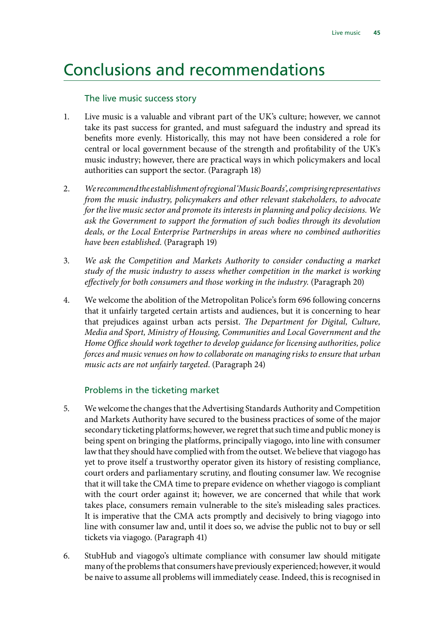### <span id="page-46-0"></span>Conclusions and recommendations

#### The live music success story

- 1. Live music is a valuable and vibrant part of the UK's culture; however, we cannot take its past success for granted, and must safeguard the industry and spread its benefits more evenly. Historically, this may not have been considered a role for central or local government because of the strength and profitability of the UK's music industry; however, there are practical ways in which policymakers and local authorities can support the sector. (Paragraph 18)
- 2. *We recommend the establishment of regional 'Music Boards', comprising representatives from the music industry, policymakers and other relevant stakeholders, to advocate for the live music sector and promote its interests in planning and policy decisions. We ask the Government to support the formation of such bodies through its devolution deals, or the Local Enterprise Partnerships in areas where no combined authorities have been established.* (Paragraph 19)
- 3. *We ask the Competition and Markets Authority to consider conducting a market study of the music industry to assess whether competition in the market is working effectively for both consumers and those working in the industry.* (Paragraph 20)
- 4. We welcome the abolition of the Metropolitan Police's form 696 following concerns that it unfairly targeted certain artists and audiences, but it is concerning to hear that prejudices against urban acts persist. *The Department for Digital, Culture, Media and Sport, Ministry of Housing, Communities and Local Government and the Home Office should work together to develop guidance for licensing authorities, police forces and music venues on how to collaborate on managing risks to ensure that urban music acts are not unfairly targeted*. (Paragraph 24)

#### Problems in the ticketing market

- 5. We welcome the changes that the Advertising Standards Authority and Competition and Markets Authority have secured to the business practices of some of the major secondary ticketing platforms; however, we regret that such time and public money is being spent on bringing the platforms, principally viagogo, into line with consumer law that they should have complied with from the outset. We believe that viagogo has yet to prove itself a trustworthy operator given its history of resisting compliance, court orders and parliamentary scrutiny, and flouting consumer law. We recognise that it will take the CMA time to prepare evidence on whether viagogo is compliant with the court order against it; however, we are concerned that while that work takes place, consumers remain vulnerable to the site's misleading sales practices. It is imperative that the CMA acts promptly and decisively to bring viagogo into line with consumer law and, until it does so, we advise the public not to buy or sell tickets via viagogo. (Paragraph 41)
- 6. StubHub and viagogo's ultimate compliance with consumer law should mitigate many of the problems that consumers have previously experienced; however, it would be naive to assume all problems will immediately cease. Indeed, this is recognised in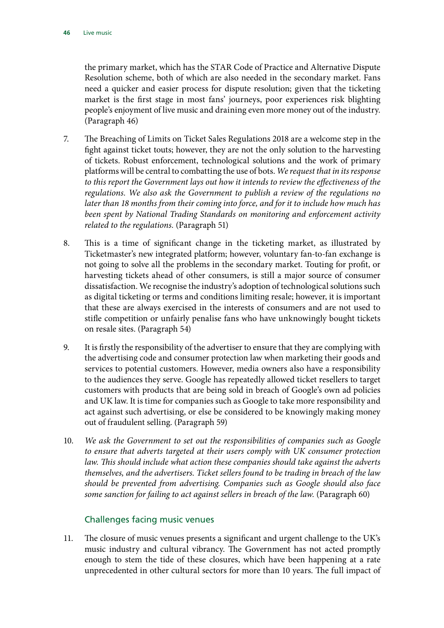the primary market, which has the STAR Code of Practice and Alternative Dispute Resolution scheme, both of which are also needed in the secondary market. Fans need a quicker and easier process for dispute resolution; given that the ticketing market is the first stage in most fans' journeys, poor experiences risk blighting people's enjoyment of live music and draining even more money out of the industry. (Paragraph 46)

- 7. The Breaching of Limits on Ticket Sales Regulations 2018 are a welcome step in the fight against ticket touts; however, they are not the only solution to the harvesting of tickets. Robust enforcement, technological solutions and the work of primary platforms will be central to combatting the use of bots. *We request that in its response to this report the Government lays out how it intends to review the effectiveness of the regulations. We also ask the Government to publish a review of the regulations no later than 18 months from their coming into force, and for it to include how much has been spent by National Trading Standards on monitoring and enforcement activity related to the regulations.* (Paragraph 51)
- 8. This is a time of significant change in the ticketing market, as illustrated by Ticketmaster's new integrated platform; however, voluntary fan-to-fan exchange is not going to solve all the problems in the secondary market. Touting for profit, or harvesting tickets ahead of other consumers, is still a major source of consumer dissatisfaction. We recognise the industry's adoption of technological solutions such as digital ticketing or terms and conditions limiting resale; however, it is important that these are always exercised in the interests of consumers and are not used to stifle competition or unfairly penalise fans who have unknowingly bought tickets on resale sites. (Paragraph 54)
- 9. It is firstly the responsibility of the advertiser to ensure that they are complying with the advertising code and consumer protection law when marketing their goods and services to potential customers. However, media owners also have a responsibility to the audiences they serve. Google has repeatedly allowed ticket resellers to target customers with products that are being sold in breach of Google's own ad policies and UK law. It is time for companies such as Google to take more responsibility and act against such advertising, or else be considered to be knowingly making money out of fraudulent selling. (Paragraph 59)
- 10. *We ask the Government to set out the responsibilities of companies such as Google to ensure that adverts targeted at their users comply with UK consumer protection*  law. This should include what action these companies should take against the adverts *themselves, and the advertisers. Ticket sellers found to be trading in breach of the law should be prevented from advertising. Companies such as Google should also face some sanction for failing to act against sellers in breach of the law.* (Paragraph 60)

#### Challenges facing music venues

11. The closure of music venues presents a significant and urgent challenge to the UK's music industry and cultural vibrancy. The Government has not acted promptly enough to stem the tide of these closures, which have been happening at a rate unprecedented in other cultural sectors for more than 10 years. The full impact of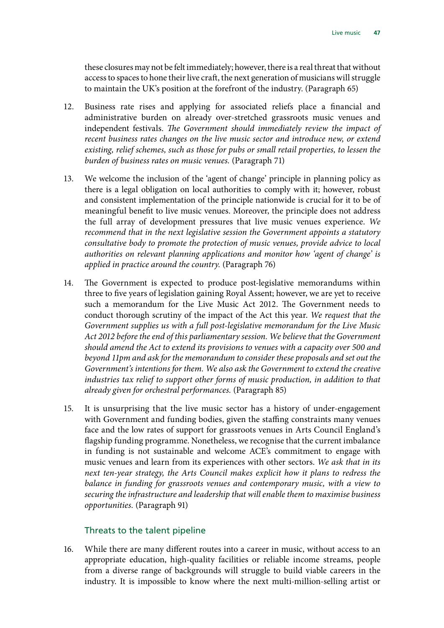these closures may not be felt immediately; however, there is a real threat that without access to spaces to hone their live craft, the next generation of musicians will struggle to maintain the UK's position at the forefront of the industry. (Paragraph 65)

- 12. Business rate rises and applying for associated reliefs place a financial and administrative burden on already over-stretched grassroots music venues and independent festivals. *The Government should immediately review the impact of recent business rates changes on the live music sector and introduce new, or extend existing, relief schemes, such as those for pubs or small retail properties, to lessen the burden of business rates on music venues.* (Paragraph 71)
- 13. We welcome the inclusion of the 'agent of change' principle in planning policy as there is a legal obligation on local authorities to comply with it; however, robust and consistent implementation of the principle nationwide is crucial for it to be of meaningful benefit to live music venues. Moreover, the principle does not address the full array of development pressures that live music venues experience. *We recommend that in the next legislative session the Government appoints a statutory consultative body to promote the protection of music venues, provide advice to local authorities on relevant planning applications and monitor how 'agent of change' is applied in practice around the country.* (Paragraph 76)
- 14. The Government is expected to produce post-legislative memorandums within three to five years of legislation gaining Royal Assent; however, we are yet to receive such a memorandum for the Live Music Act 2012. The Government needs to conduct thorough scrutiny of the impact of the Act this year. *We request that the Government supplies us with a full post-legislative memorandum for the Live Music Act 2012 before the end of this parliamentary session. We believe that the Government should amend the Act to extend its provisions to venues with a capacity over 500 and beyond 11pm and ask for the memorandum to consider these proposals and set out the Government's intentions for them. We also ask the Government to extend the creative industries tax relief to support other forms of music production, in addition to that already given for orchestral performances.* (Paragraph 85)
- 15. It is unsurprising that the live music sector has a history of under-engagement with Government and funding bodies, given the staffing constraints many venues face and the low rates of support for grassroots venues in Arts Council England's flagship funding programme. Nonetheless, we recognise that the current imbalance in funding is not sustainable and welcome ACE's commitment to engage with music venues and learn from its experiences with other sectors. *We ask that in its next ten-year strategy, the Arts Council makes explicit how it plans to redress the balance in funding for grassroots venues and contemporary music, with a view to securing the infrastructure and leadership that will enable them to maximise business opportunities.* (Paragraph 91)

#### Threats to the talent pipeline

16. While there are many different routes into a career in music, without access to an appropriate education, high-quality facilities or reliable income streams, people from a diverse range of backgrounds will struggle to build viable careers in the industry. It is impossible to know where the next multi-million-selling artist or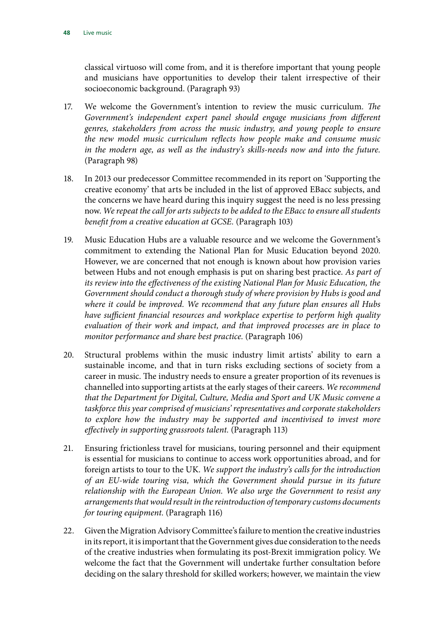classical virtuoso will come from, and it is therefore important that young people and musicians have opportunities to develop their talent irrespective of their socioeconomic background. (Paragraph 93)

- 17. We welcome the Government's intention to review the music curriculum. *The Government's independent expert panel should engage musicians from different genres, stakeholders from across the music industry, and young people to ensure the new model music curriculum reflects how people make and consume music*  in the modern age, as well as the industry's skills-needs now and into the future. (Paragraph 98)
- 18. In 2013 our predecessor Committee recommended in its report on 'Supporting the creative economy' that arts be included in the list of approved EBacc subjects, and the concerns we have heard during this inquiry suggest the need is no less pressing now. *We repeat the call for arts subjects to be added to the EBacc to ensure all students benefit from a creative education at GCSE.* (Paragraph 103)
- 19. Music Education Hubs are a valuable resource and we welcome the Government's commitment to extending the National Plan for Music Education beyond 2020. However, we are concerned that not enough is known about how provision varies between Hubs and not enough emphasis is put on sharing best practice. *As part of its review into the effectiveness of the existing National Plan for Music Education, the Government should conduct a thorough study of where provision by Hubs is good and where it could be improved. We recommend that any future plan ensures all Hubs have sufficient financial resources and workplace expertise to perform high quality evaluation of their work and impact, and that improved processes are in place to monitor performance and share best practice.* (Paragraph 106)
- 20. Structural problems within the music industry limit artists' ability to earn a sustainable income, and that in turn risks excluding sections of society from a career in music. The industry needs to ensure a greater proportion of its revenues is channelled into supporting artists at the early stages of their careers. *We recommend that the Department for Digital, Culture, Media and Sport and UK Music convene a taskforce this year comprised of musicians' representatives and corporate stakeholders to explore how the industry may be supported and incentivised to invest more effectively in supporting grassroots talent.* (Paragraph 113)
- 21. Ensuring frictionless travel for musicians, touring personnel and their equipment is essential for musicians to continue to access work opportunities abroad, and for foreign artists to tour to the UK. *We support the industry's calls for the introduction of an EU-wide touring visa, which the Government should pursue in its future relationship with the European Union. We also urge the Government to resist any arrangements that would result in the reintroduction of temporary customs documents for touring equipment.* (Paragraph 116)
- 22. Given the Migration Advisory Committee's failure to mention the creative industries in its report, it is important that the Government gives due consideration to the needs of the creative industries when formulating its post-Brexit immigration policy. We welcome the fact that the Government will undertake further consultation before deciding on the salary threshold for skilled workers; however, we maintain the view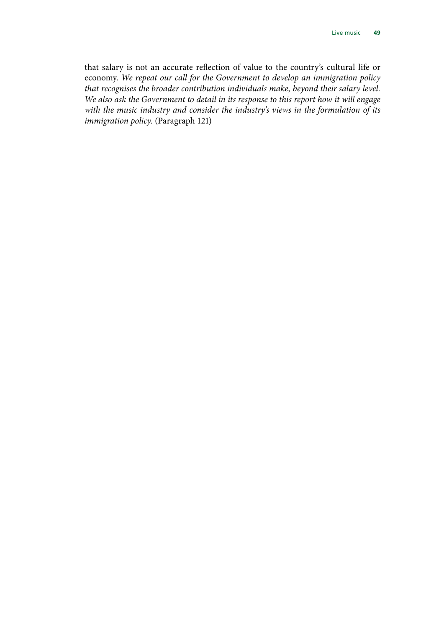that salary is not an accurate reflection of value to the country's cultural life or economy. *We repeat our call for the Government to develop an immigration policy that recognises the broader contribution individuals make, beyond their salary level. We also ask the Government to detail in its response to this report how it will engage with the music industry and consider the industry's views in the formulation of its immigration policy.* (Paragraph 121)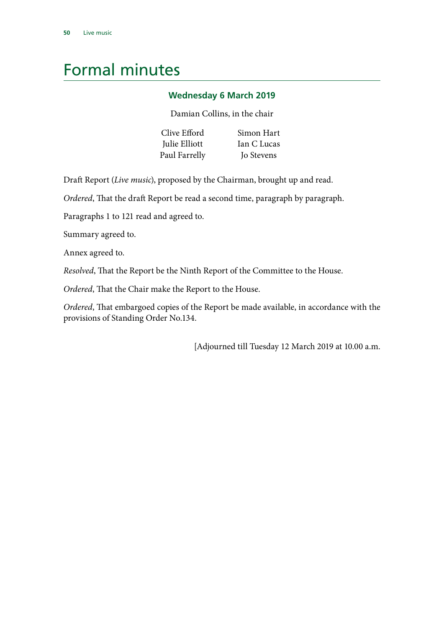## <span id="page-51-0"></span>Formal minutes

#### **Wednesday 6 March 2019**

Damian Collins, in the chair

| Clive Efford  | Simon Hart  |
|---------------|-------------|
| Julie Elliott | Ian C Lucas |
| Paul Farrelly | Jo Stevens  |

Draft Report (*Live music*), proposed by the Chairman, brought up and read.

*Ordered*, That the draft Report be read a second time, paragraph by paragraph.

Paragraphs 1 to 121 read and agreed to.

Summary agreed to.

Annex agreed to.

*Resolved*, That the Report be the Ninth Report of the Committee to the House.

*Ordered*, That the Chair make the Report to the House.

*Ordered*, That embargoed copies of the Report be made available, in accordance with the provisions of Standing Order No.134.

[Adjourned till Tuesday 12 March 2019 at 10.00 a.m.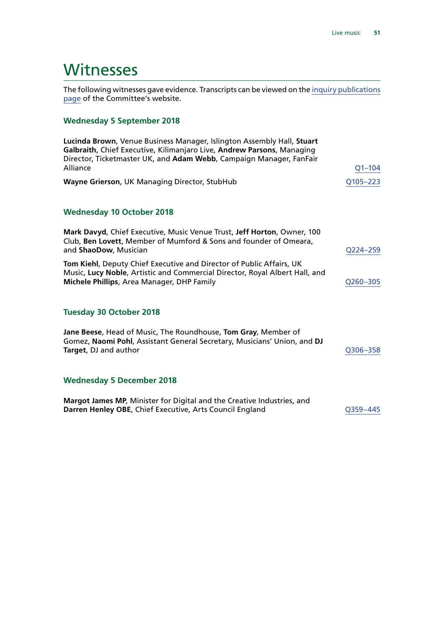### <span id="page-52-0"></span>**Witnesses**

The following witnesses gave evidence. Transcripts can be viewed on the [inquiry publications](https://www.parliament.uk/business/committees/committees-a-z/commons-select/digital-culture-media-and-sport-committee/inquiries/parliament-2017/livemusic/publications/) [page](https://www.parliament.uk/business/committees/committees-a-z/commons-select/digital-culture-media-and-sport-committee/inquiries/parliament-2017/livemusic/publications/) of the Committee's website.

#### **Wednesday 5 September 2018**

| Lucinda Brown, Venue Business Manager, Islington Assembly Hall, Stuart<br>Galbraith, Chief Executive, Kilimanjaro Live, Andrew Parsons, Managing<br>Director, Ticketmaster UK, and Adam Webb, Campaign Manager, FanFair |            |
|-------------------------------------------------------------------------------------------------------------------------------------------------------------------------------------------------------------------------|------------|
| Alliance                                                                                                                                                                                                                | $Q1 - 104$ |
| Wayne Grierson, UK Managing Director, StubHub                                                                                                                                                                           | Q105-223   |
| <b>Wednesday 10 October 2018</b>                                                                                                                                                                                        |            |
| Mark Davyd, Chief Executive, Music Venue Trust, Jeff Horton, Owner, 100<br>Club, Ben Lovett, Member of Mumford & Sons and founder of Omeara,<br>and ShaoDow, Musician                                                   | O224-259   |
| Tom Kiehl, Deputy Chief Executive and Director of Public Affairs, UK<br>Music, Lucy Noble, Artistic and Commercial Director, Royal Albert Hall, and<br>Michele Phillips, Area Manager, DHP Family                       | Q260-305   |
| <b>Tuesday 30 October 2018</b>                                                                                                                                                                                          |            |
| Jane Beese, Head of Music, The Roundhouse, Tom Gray, Member of<br>Gomez, Naomi Pohl, Assistant General Secretary, Musicians' Union, and DJ<br>Target, DJ and author                                                     | Q306-358   |
| <b>Wednesday 5 December 2018</b>                                                                                                                                                                                        |            |
| Margot James MP, Minister for Digital and the Creative Industries, and<br>Darren Henley OBE, Chief Executive, Arts Council England                                                                                      | O359-445   |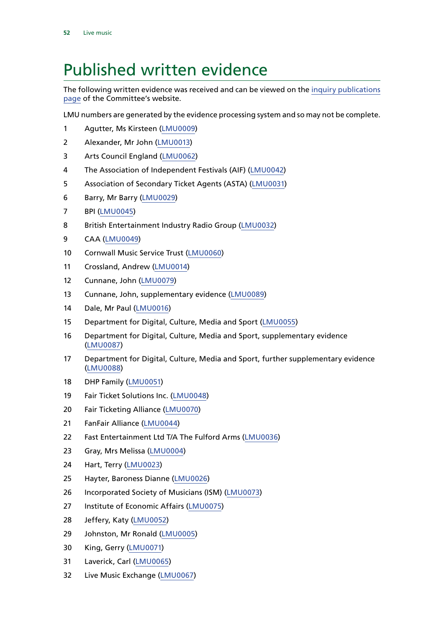## <span id="page-53-0"></span>Published written evidence

The following written evidence was received and can be viewed on the [inquiry publications](https://www.parliament.uk/business/committees/committees-a-z/commons-select/digital-culture-media-and-sport-committee/inquiries/parliament-2017/livemusic/publications/) [page](https://www.parliament.uk/business/committees/committees-a-z/commons-select/digital-culture-media-and-sport-committee/inquiries/parliament-2017/livemusic/publications/) of the Committee's website.

LMU numbers are generated by the evidence processing system and so may not be complete.

- Agutter, Ms Kirsteen ([LMU0009\)](http://data.parliament.uk/WrittenEvidence/CommitteeEvidence.svc/EvidenceDocument/Digital,%20Culture,%20Media%20and%20Sport/Live%20music/Written/78139.html)
- Alexander, Mr John [\(LMU0013\)](http://data.parliament.uk/WrittenEvidence/CommitteeEvidence.svc/EvidenceDocument/Digital,%20Culture,%20Media%20and%20Sport/Live%20music/Written/78318.html)
- Arts Council England [\(LMU0062](http://data.parliament.uk/WrittenEvidence/CommitteeEvidence.svc/EvidenceDocument/Digital,%20Culture,%20Media%20and%20Sport/Live%20music/Written/80822.html))
- The Association of Independent Festivals (AIF) ([LMU0042](http://data.parliament.uk/WrittenEvidence/CommitteeEvidence.svc/EvidenceDocument/Digital,%20Culture,%20Media%20and%20Sport/Live%20music/Written/79303.html))
- Association of Secondary Ticket Agents (ASTA) ([LMU0031](http://data.parliament.uk/WrittenEvidence/CommitteeEvidence.svc/EvidenceDocument/Digital,%20Culture,%20Media%20and%20Sport/Live%20music/Written/79173.html))
- Barry, Mr Barry ([LMU0029\)](http://data.parliament.uk/WrittenEvidence/CommitteeEvidence.svc/EvidenceDocument/Digital,%20Culture,%20Media%20and%20Sport/Live%20music/Written/79160.html)
- BPI [\(LMU0045\)](http://data.parliament.uk/WrittenEvidence/CommitteeEvidence.svc/EvidenceDocument/Digital,%20Culture,%20Media%20and%20Sport/Live%20music/Written/79317.html)
- British Entertainment Industry Radio Group [\(LMU0032\)](http://data.parliament.uk/WrittenEvidence/CommitteeEvidence.svc/EvidenceDocument/Digital,%20Culture,%20Media%20and%20Sport/Live%20music/Written/79195.html)
- CAA ([LMU0049\)](http://data.parliament.uk/WrittenEvidence/CommitteeEvidence.svc/EvidenceDocument/Digital,%20Culture,%20Media%20and%20Sport/Live%20music/Written/79359.html)
- Cornwall Music Service Trust [\(LMU0060\)](http://data.parliament.uk/WrittenEvidence/CommitteeEvidence.svc/EvidenceDocument/Digital,%20Culture,%20Media%20and%20Sport/Live%20music/Written/80199.html)
- Crossland, Andrew [\(LMU0014](http://data.parliament.uk/WrittenEvidence/CommitteeEvidence.svc/EvidenceDocument/Digital,%20Culture,%20Media%20and%20Sport/Live%20music/Written/78359.html))
- Cunnane, John [\(LMU0079](http://data.parliament.uk/WrittenEvidence/CommitteeEvidence.svc/EvidenceDocument/Digital,%20Culture,%20Media%20and%20Sport/Live%20music/Written/85812.html))
- Cunnane, John, supplementary evidence [\(LMU0089](http://data.parliament.uk/writtenevidence/committeeevidence.svc/evidencedocument/digital-culture-media-and-sport-committee/live-music/written/95429.html))
- Dale, Mr Paul [\(LMU0016](http://data.parliament.uk/WrittenEvidence/CommitteeEvidence.svc/EvidenceDocument/Digital,%20Culture,%20Media%20and%20Sport/Live%20music/Written/78377.html))
- Department for Digital, Culture, Media and Sport ([LMU0055](http://data.parliament.uk/WrittenEvidence/CommitteeEvidence.svc/EvidenceDocument/Digital,%20Culture,%20Media%20and%20Sport/Live%20music/Written/79962.html))
- Department for Digital, Culture, Media and Sport, supplementary evidence ([LMU0087\)](http://data.parliament.uk/writtenevidence/committeeevidence.svc/evidencedocument/digital-culture-media-and-sport-committee/live-music/written/94950.html)
- Department for Digital, Culture, Media and Sport, further supplementary evidence ([LMU0088\)](http://data.parliament.uk/writtenevidence/committeeevidence.svc/evidencedocument/digital-culture-media-and-sport-committee/live-music/written/94984.html)
- DHP Family [\(LMU0051\)](http://data.parliament.uk/WrittenEvidence/CommitteeEvidence.svc/EvidenceDocument/Digital,%20Culture,%20Media%20and%20Sport/Live%20music/Written/79632.html)
- Fair Ticket Solutions Inc. ([LMU0048\)](http://data.parliament.uk/WrittenEvidence/CommitteeEvidence.svc/EvidenceDocument/Digital,%20Culture,%20Media%20and%20Sport/Live%20music/Written/79340.html)
- Fair Ticketing Alliance ([LMU0070\)](http://data.parliament.uk/WrittenEvidence/CommitteeEvidence.svc/EvidenceDocument/Digital,%20Culture,%20Media%20and%20Sport/Live%20music/Written/80977.html)
- FanFair Alliance ([LMU0044\)](http://data.parliament.uk/writtenevidence/committeeevidence.svc/evidencedocument/digital-culture-media-and-sport-committee/live-music/written/79310.html)
- Fast Entertainment Ltd T/A The Fulford Arms [\(LMU0036\)](http://data.parliament.uk/WrittenEvidence/CommitteeEvidence.svc/EvidenceDocument/Digital,%20Culture,%20Media%20and%20Sport/Live%20music/Written/79252.html)
- Gray, Mrs Melissa ([LMU0004\)](http://data.parliament.uk/WrittenEvidence/CommitteeEvidence.svc/EvidenceDocument/Digital,%20Culture,%20Media%20and%20Sport/Live%20music/Written/77834.html)
- Hart, Terry ([LMU0023](http://data.parliament.uk/WrittenEvidence/CommitteeEvidence.svc/EvidenceDocument/Digital,%20Culture,%20Media%20and%20Sport/Live%20music/Written/79013.html))
- Hayter, Baroness Dianne ([LMU0026](http://data.parliament.uk/WrittenEvidence/CommitteeEvidence.svc/EvidenceDocument/Digital,%20Culture,%20Media%20and%20Sport/Live%20music/Written/79145.html))
- Incorporated Society of Musicians (ISM) [\(LMU0073](http://data.parliament.uk/WrittenEvidence/CommitteeEvidence.svc/EvidenceDocument/Digital,%20Culture,%20Media%20and%20Sport/Live%20music/Written/80999.html))
- Institute of Economic Affairs ([LMU0075](http://data.parliament.uk/WrittenEvidence/CommitteeEvidence.svc/EvidenceDocument/Digital,%20Culture,%20Media%20and%20Sport/Live%20music/Written/81124.html))
- Jeffery, Katy ([LMU0052](http://data.parliament.uk/WrittenEvidence/CommitteeEvidence.svc/EvidenceDocument/Digital,%20Culture,%20Media%20and%20Sport/Live%20music/Written/79636.html))
- Johnston, Mr Ronald ([LMU0005\)](http://data.parliament.uk/WrittenEvidence/CommitteeEvidence.svc/EvidenceDocument/Digital,%20Culture,%20Media%20and%20Sport/Live%20music/Written/77837.html)
- King, Gerry [\(LMU0071\)](http://data.parliament.uk/WrittenEvidence/CommitteeEvidence.svc/EvidenceDocument/Digital,%20Culture,%20Media%20and%20Sport/Live%20music/Written/80984.html)
- Laverick, Carl ([LMU0065](http://data.parliament.uk/WrittenEvidence/CommitteeEvidence.svc/EvidenceDocument/Digital,%20Culture,%20Media%20and%20Sport/Live%20music/Written/80891.html))
- Live Music Exchange [\(LMU0067\)](http://data.parliament.uk/WrittenEvidence/CommitteeEvidence.svc/EvidenceDocument/Digital,%20Culture,%20Media%20and%20Sport/Live%20music/Written/80926.html)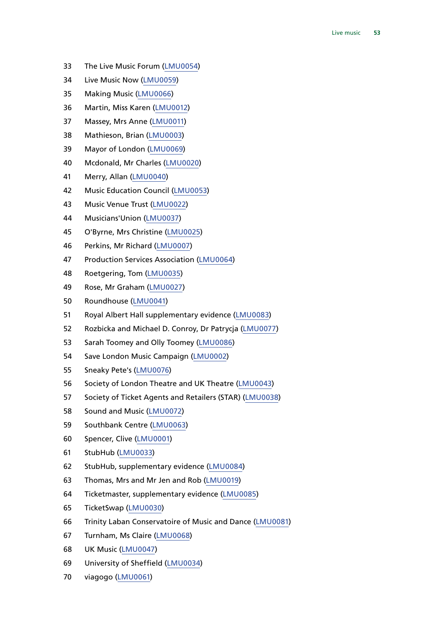- The Live Music Forum ([LMU0054](http://data.parliament.uk/WrittenEvidence/CommitteeEvidence.svc/EvidenceDocument/Digital,%20Culture,%20Media%20and%20Sport/Live%20music/Written/79864.html))
- Live Music Now [\(LMU0059](http://data.parliament.uk/WrittenEvidence/CommitteeEvidence.svc/EvidenceDocument/Digital,%20Culture,%20Media%20and%20Sport/Live%20music/Written/80045.html))
- Making Music ([LMU0066\)](http://data.parliament.uk/WrittenEvidence/CommitteeEvidence.svc/EvidenceDocument/Digital,%20Culture,%20Media%20and%20Sport/Live%20music/Written/80897.html)
- Martin, Miss Karen [\(LMU0012\)](http://data.parliament.uk/WrittenEvidence/CommitteeEvidence.svc/EvidenceDocument/Digital,%20Culture,%20Media%20and%20Sport/Live%20music/Written/78309.html)
- Massey, Mrs Anne ([LMU0011\)](http://data.parliament.uk/WrittenEvidence/CommitteeEvidence.svc/EvidenceDocument/Digital,%20Culture,%20Media%20and%20Sport/Live%20music/Written/78252.html)
- Mathieson, Brian [\(LMU0003\)](http://data.parliament.uk/WrittenEvidence/CommitteeEvidence.svc/EvidenceDocument/Digital,%20Culture,%20Media%20and%20Sport/Live%20music/Written/77331.html)
- Mayor of London ([LMU0069](http://data.parliament.uk/writtenevidence/committeeevidence.svc/evidencedocument/digital-culture-media-and-sport-committee/live-music/written/80944.html))
- Mcdonald, Mr Charles [\(LMU0020\)](http://data.parliament.uk/WrittenEvidence/CommitteeEvidence.svc/EvidenceDocument/Digital,%20Culture,%20Media%20and%20Sport/Live%20music/Written/78988.html)
- Merry, Allan [\(LMU0040](http://data.parliament.uk/WrittenEvidence/CommitteeEvidence.svc/EvidenceDocument/Digital,%20Culture,%20Media%20and%20Sport/Live%20music/Written/79283.html))
- Music Education Council [\(LMU0053\)](http://data.parliament.uk/WrittenEvidence/CommitteeEvidence.svc/EvidenceDocument/Digital,%20Culture,%20Media%20and%20Sport/Live%20music/Written/79822.html)
- Music Venue Trust ([LMU0022](http://data.parliament.uk/WrittenEvidence/CommitteeEvidence.svc/EvidenceDocument/Digital,%20Culture,%20Media%20and%20Sport/Live%20music/Written/78999.html))
- Musicians'Union ([LMU0037](http://data.parliament.uk/WrittenEvidence/CommitteeEvidence.svc/EvidenceDocument/Digital,%20Culture,%20Media%20and%20Sport/Live%20music/Written/79255.html))
- O'Byrne, Mrs Christine [\(LMU0025\)](http://data.parliament.uk/WrittenEvidence/CommitteeEvidence.svc/EvidenceDocument/Digital,%20Culture,%20Media%20and%20Sport/Live%20music/Written/79133.html)
- Perkins, Mr Richard ([LMU0007\)](http://data.parliament.uk/WrittenEvidence/CommitteeEvidence.svc/EvidenceDocument/Digital,%20Culture,%20Media%20and%20Sport/Live%20music/Written/77933.html)
- Production Services Association ([LMU0064\)](http://data.parliament.uk/WrittenEvidence/CommitteeEvidence.svc/EvidenceDocument/Digital,%20Culture,%20Media%20and%20Sport/Live%20music/Written/80853.html)
- Roetgering, Tom ([LMU0035](http://data.parliament.uk/WrittenEvidence/CommitteeEvidence.svc/EvidenceDocument/Digital,%20Culture,%20Media%20and%20Sport/Live%20music/Written/79251.html))
- Rose, Mr Graham [\(LMU0027\)](http://data.parliament.uk/WrittenEvidence/CommitteeEvidence.svc/EvidenceDocument/Digital,%20Culture,%20Media%20and%20Sport/Live%20music/Written/79151.html)
- Roundhouse [\(LMU0041\)](http://data.parliament.uk/WrittenEvidence/CommitteeEvidence.svc/EvidenceDocument/Digital,%20Culture,%20Media%20and%20Sport/Live%20music/Written/79290.html)
- Royal Albert Hall supplementary evidence [\(LMU0083\)](http://data.parliament.uk/WrittenEvidence/CommitteeEvidence.svc/EvidenceDocument/Digital,%20Culture,%20Media%20and%20Sport/Live%20music/Written/92098.html)
- Rozbicka and Michael D. Conroy, Dr Patrycja ([LMU0077](http://data.parliament.uk/WrittenEvidence/CommitteeEvidence.svc/EvidenceDocument/Digital,%20Culture,%20Media%20and%20Sport/Live%20music/Written/82216.html))
- Sarah Toomey and Olly Toomey ([LMU0086\)](http://data.parliament.uk/WrittenEvidence/CommitteeEvidence.svc/EvidenceDocument/Digital,%20Culture,%20Media%20and%20Sport/Live%20music/Written/93622.html)
- Save London Music Campaign [\(LMU0002\)](http://data.parliament.uk/WrittenEvidence/CommitteeEvidence.svc/EvidenceDocument/Digital,%20Culture,%20Media%20and%20Sport/Live%20music/Written/77329.html)
- Sneaky Pete's ([LMU0076\)](http://data.parliament.uk/WrittenEvidence/CommitteeEvidence.svc/EvidenceDocument/Digital,%20Culture,%20Media%20and%20Sport/Live%20music/Written/81480.html)
- Society of London Theatre and UK Theatre ([LMU0043](http://data.parliament.uk/WrittenEvidence/CommitteeEvidence.svc/EvidenceDocument/Digital,%20Culture,%20Media%20and%20Sport/Live%20music/Written/79305.html))
- Society of Ticket Agents and Retailers (STAR) ([LMU0038](http://data.parliament.uk/WrittenEvidence/CommitteeEvidence.svc/EvidenceDocument/Digital,%20Culture,%20Media%20and%20Sport/Live%20music/Written/79257.html))
- Sound and Music [\(LMU0072\)](http://data.parliament.uk/WrittenEvidence/CommitteeEvidence.svc/EvidenceDocument/Digital,%20Culture,%20Media%20and%20Sport/Live%20music/Written/80998.html)
- Southbank Centre [\(LMU0063\)](http://data.parliament.uk/WrittenEvidence/CommitteeEvidence.svc/EvidenceDocument/Digital,%20Culture,%20Media%20and%20Sport/Live%20music/Written/80833.html)
- Spencer, Clive ([LMU0001\)](http://data.parliament.uk/WrittenEvidence/CommitteeEvidence.svc/EvidenceDocument/Digital,%20Culture,%20Media%20and%20Sport/Live%20music/Written/77317.html)
- StubHub [\(LMU0033](http://data.parliament.uk/WrittenEvidence/CommitteeEvidence.svc/EvidenceDocument/Digital,%20Culture,%20Media%20and%20Sport/Live%20music/Written/79210.html))
- StubHub, supplementary evidence [\(LMU0084](http://data.parliament.uk/WrittenEvidence/CommitteeEvidence.svc/EvidenceDocument/Digital,%20Culture,%20Media%20and%20Sport/Live%20music/Written/92099.html))
- Thomas, Mrs and Mr Jen and Rob [\(LMU0019](http://data.parliament.uk/WrittenEvidence/CommitteeEvidence.svc/EvidenceDocument/Digital,%20Culture,%20Media%20and%20Sport/Live%20music/Written/78987.html))
- Ticketmaster, supplementary evidence ([LMU0085\)](http://data.parliament.uk/writtenevidence/committeeevidence.svc/evidencedocument/digital-culture-media-and-sport-committee/live-music/written/92875.html)
- TicketSwap [\(LMU0030\)](http://data.parliament.uk/WrittenEvidence/CommitteeEvidence.svc/EvidenceDocument/Digital,%20Culture,%20Media%20and%20Sport/Live%20music/Written/79163.html)
- Trinity Laban Conservatoire of Music and Dance [\(LMU0081](http://data.parliament.uk/WrittenEvidence/CommitteeEvidence.svc/EvidenceDocument/Digital,%20Culture,%20Media%20and%20Sport/Live%20music/Written/88150.html))
- Turnham, Ms Claire ([LMU0068\)](http://data.parliament.uk/WrittenEvidence/CommitteeEvidence.svc/EvidenceDocument/Digital,%20Culture,%20Media%20and%20Sport/Live%20music/Written/80934.html)
- UK Music [\(LMU0047\)](http://data.parliament.uk/WrittenEvidence/CommitteeEvidence.svc/EvidenceDocument/Digital,%20Culture,%20Media%20and%20Sport/Live%20music/Written/79332.html)
- University of Sheffield [\(LMU0034\)](http://data.parliament.uk/WrittenEvidence/CommitteeEvidence.svc/EvidenceDocument/Digital,%20Culture,%20Media%20and%20Sport/Live%20music/Written/79248.html)
- viagogo ([LMU0061](http://data.parliament.uk/WrittenEvidence/CommitteeEvidence.svc/EvidenceDocument/Digital,%20Culture,%20Media%20and%20Sport/Live%20music/Written/80445.html))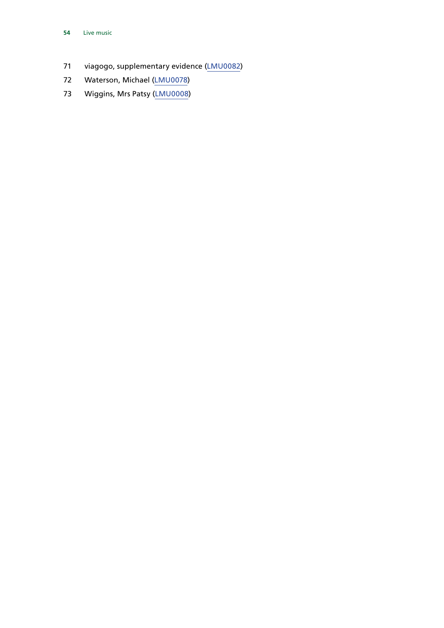- viagogo, supplementary evidence ([LMU0082](http://data.parliament.uk/writtenevidence/committeeevidence.svc/evidencedocument/digital-culture-media-and-sport-committee/live-music/written/90326.html))
- Waterson, Michael [\(LMU0078](http://data.parliament.uk/WrittenEvidence/CommitteeEvidence.svc/EvidenceDocument/Digital,%20Culture,%20Media%20and%20Sport/Live%20music/Written/82408.html))
- Wiggins, Mrs Patsy ([LMU0008\)](http://data.parliament.uk/writtenevidence/committeeevidence.svc/evidencedocument/digital-culture-media-and-sport-committee/live-music/written/77968.html)